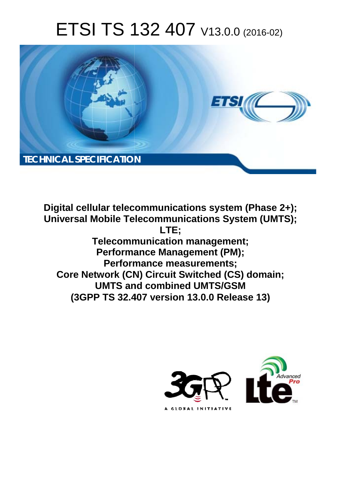# ETSI TS 132 407 V13.0.0 (2016-02)



**Digital cellular telecommunications system (Phase 2+); Universal Mobile Tel elecommunications System ( (UMTS); Telecomm munication management; Performa mance Management (PM); Perform rmance measurements; Core Network (CN) Circuit Switched (CS) domain; UMTS an and combined UMTS/GSM (3GPP TS 32.4 .407 version 13.0.0 Release 13 13) LTE;** 

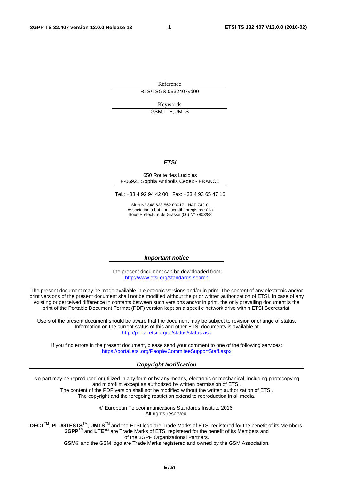Reference RTS/TSGS-0532407vd00

> Keywords GSM,LTE,UMTS

#### *ETSI*

#### 650 Route des Lucioles F-06921 Sophia Antipolis Cedex - FRANCE

Tel.: +33 4 92 94 42 00 Fax: +33 4 93 65 47 16

Siret N° 348 623 562 00017 - NAF 742 C Association à but non lucratif enregistrée à la Sous-Préfecture de Grasse (06) N° 7803/88

#### *Important notice*

The present document can be downloaded from: <http://www.etsi.org/standards-search>

The present document may be made available in electronic versions and/or in print. The content of any electronic and/or print versions of the present document shall not be modified without the prior written authorization of ETSI. In case of any existing or perceived difference in contents between such versions and/or in print, the only prevailing document is the print of the Portable Document Format (PDF) version kept on a specific network drive within ETSI Secretariat.

Users of the present document should be aware that the document may be subject to revision or change of status. Information on the current status of this and other ETSI documents is available at <http://portal.etsi.org/tb/status/status.asp>

If you find errors in the present document, please send your comment to one of the following services: <https://portal.etsi.org/People/CommiteeSupportStaff.aspx>

#### *Copyright Notification*

No part may be reproduced or utilized in any form or by any means, electronic or mechanical, including photocopying and microfilm except as authorized by written permission of ETSI.

The content of the PDF version shall not be modified without the written authorization of ETSI. The copyright and the foregoing restriction extend to reproduction in all media.

> © European Telecommunications Standards Institute 2016. All rights reserved.

**DECT**TM, **PLUGTESTS**TM, **UMTS**TM and the ETSI logo are Trade Marks of ETSI registered for the benefit of its Members. **3GPP**TM and **LTE**™ are Trade Marks of ETSI registered for the benefit of its Members and of the 3GPP Organizational Partners.

**GSM**® and the GSM logo are Trade Marks registered and owned by the GSM Association.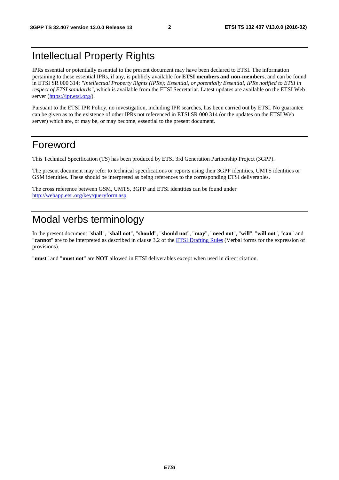# Intellectual Property Rights

IPRs essential or potentially essential to the present document may have been declared to ETSI. The information pertaining to these essential IPRs, if any, is publicly available for **ETSI members and non-members**, and can be found in ETSI SR 000 314: *"Intellectual Property Rights (IPRs); Essential, or potentially Essential, IPRs notified to ETSI in respect of ETSI standards"*, which is available from the ETSI Secretariat. Latest updates are available on the ETSI Web server [\(https://ipr.etsi.org/\)](https://ipr.etsi.org/).

Pursuant to the ETSI IPR Policy, no investigation, including IPR searches, has been carried out by ETSI. No guarantee can be given as to the existence of other IPRs not referenced in ETSI SR 000 314 (or the updates on the ETSI Web server) which are, or may be, or may become, essential to the present document.

# Foreword

This Technical Specification (TS) has been produced by ETSI 3rd Generation Partnership Project (3GPP).

The present document may refer to technical specifications or reports using their 3GPP identities, UMTS identities or GSM identities. These should be interpreted as being references to the corresponding ETSI deliverables.

The cross reference between GSM, UMTS, 3GPP and ETSI identities can be found under [http://webapp.etsi.org/key/queryform.asp.](http://webapp.etsi.org/key/queryform.asp)

# Modal verbs terminology

In the present document "**shall**", "**shall not**", "**should**", "**should not**", "**may**", "**need not**", "**will**", "**will not**", "**can**" and "**cannot**" are to be interpreted as described in clause 3.2 of the [ETSI Drafting Rules](http://portal.etsi.org/Help/editHelp!/Howtostart/ETSIDraftingRules.aspx) (Verbal forms for the expression of provisions).

"**must**" and "**must not**" are **NOT** allowed in ETSI deliverables except when used in direct citation.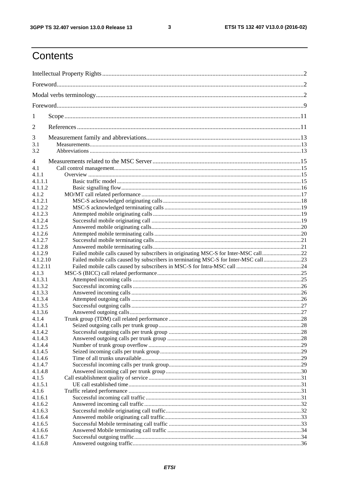$\mathbf{3}$ 

# Contents

| 1        |                                                                                     |  |  |
|----------|-------------------------------------------------------------------------------------|--|--|
| 2        |                                                                                     |  |  |
| 3        |                                                                                     |  |  |
| 3.1      |                                                                                     |  |  |
| 3.2      |                                                                                     |  |  |
| 4        |                                                                                     |  |  |
| 4.1      |                                                                                     |  |  |
| 4.1.1    |                                                                                     |  |  |
| 4.1.1.1  |                                                                                     |  |  |
| 4.1.1.2  |                                                                                     |  |  |
| 4.1.2    |                                                                                     |  |  |
| 4.1.2.1  |                                                                                     |  |  |
| 4.1.2.2  |                                                                                     |  |  |
| 4.1.2.3  |                                                                                     |  |  |
| 4.1.2.4  |                                                                                     |  |  |
| 4.1.2.5  |                                                                                     |  |  |
| 4.1.2.6  |                                                                                     |  |  |
| 4.1.2.7  |                                                                                     |  |  |
| 4.1.2.8  |                                                                                     |  |  |
| 4.1.2.9  | Failed mobile calls caused by subscribers in originating MSC-S for Inter-MSC call22 |  |  |
| 4.1.2.10 | Failed mobile calls caused by subscribers in terminating MSC-S for Inter-MSC call23 |  |  |
| 4.1.2.11 |                                                                                     |  |  |
| 4.1.3    |                                                                                     |  |  |
| 4.1.3.1  |                                                                                     |  |  |
| 4.1.3.2  |                                                                                     |  |  |
| 4.1.3.3  |                                                                                     |  |  |
| 4.1.3.4  |                                                                                     |  |  |
| 4.1.3.5  |                                                                                     |  |  |
| 4.1.3.6  |                                                                                     |  |  |
| 4.1.4    |                                                                                     |  |  |
| 4.1.4.1  |                                                                                     |  |  |
| 4.1.4.2  |                                                                                     |  |  |
| 4.1.4.3  |                                                                                     |  |  |
| 4.1.4.4  |                                                                                     |  |  |
| 4.1.4.5  |                                                                                     |  |  |
| 4.1.4.6  |                                                                                     |  |  |
| 4.1.4.7  |                                                                                     |  |  |
| 4.1.4.8  |                                                                                     |  |  |
| 4.1.5    |                                                                                     |  |  |
| 4.1.5.1  |                                                                                     |  |  |
| 4.1.6    |                                                                                     |  |  |
| 4.1.6.1  |                                                                                     |  |  |
| 4.1.6.2  |                                                                                     |  |  |
| 4.1.6.3  |                                                                                     |  |  |
| 4.1.6.4  |                                                                                     |  |  |
| 4.1.6.5  |                                                                                     |  |  |
| 4.1.6.6  |                                                                                     |  |  |
| 4.1.6.7  |                                                                                     |  |  |
| 4.1.6.8  |                                                                                     |  |  |
|          |                                                                                     |  |  |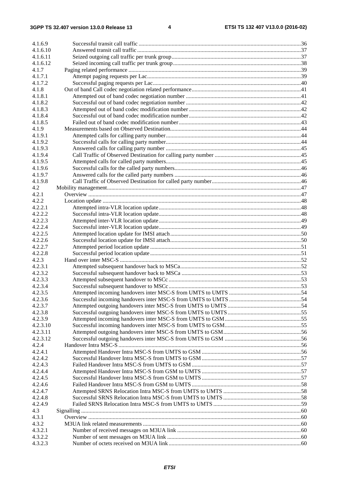# **3GPP TS 32.407 version 13.0.0 Release 13 4 ETSI TS 132 407 V13.0.0 (2016-02)**

| 4.1.6.9  |  |
|----------|--|
| 4.1.6.10 |  |
| 4.1.6.11 |  |
| 4.1.6.12 |  |
| 4.1.7    |  |
| 4.1.7.1  |  |
| 4.1.7.2  |  |
|          |  |
| 4.1.8    |  |
| 4.1.8.1  |  |
| 4.1.8.2  |  |
| 4.1.8.3  |  |
| 4.1.8.4  |  |
| 4.1.8.5  |  |
| 4.1.9    |  |
| 4.1.9.1  |  |
| 4.1.9.2  |  |
| 4.1.9.3  |  |
| 4.1.9.4  |  |
| 4.1.9.5  |  |
| 4.1.9.6  |  |
| 4.1.9.7  |  |
| 4.1.9.8  |  |
| 4.2      |  |
| 4.2.1    |  |
| 4.2.2    |  |
| 4.2.2.1  |  |
| 4.2.2.2  |  |
| 4.2.2.3  |  |
| 4.2.2.4  |  |
| 4.2.2.5  |  |
| 4.2.2.6  |  |
| 4.2.2.7  |  |
| 4.2.2.8  |  |
| 4.2.3    |  |
| 4.2.3.1  |  |
| 4.2.3.2  |  |
| 4.2.3.3  |  |
| 4.2.3.4  |  |
| 4.2.3.5  |  |
| 4.2.3.6  |  |
| 4.2.3.7  |  |
| 4.2.3.8  |  |
| 4.2.3.9  |  |
| 4.2.3.10 |  |
| 4.2.3.11 |  |
| 4.2.3.12 |  |
| 4.2.4    |  |
| 4.2.4.1  |  |
|          |  |
| 4.2.4.2  |  |
| 4.2.4.3  |  |
| 4.2.4.4  |  |
| 4.2.4.5  |  |
| 4.2.4.6  |  |
| 4.2.4.7  |  |
| 4.2.4.8  |  |
| 4.2.4.9  |  |
| 4.3      |  |
| 4.3.1    |  |
| 4.3.2    |  |
| 4.3.2.1  |  |
| 4.3.2.2  |  |
| 4.3.2.3  |  |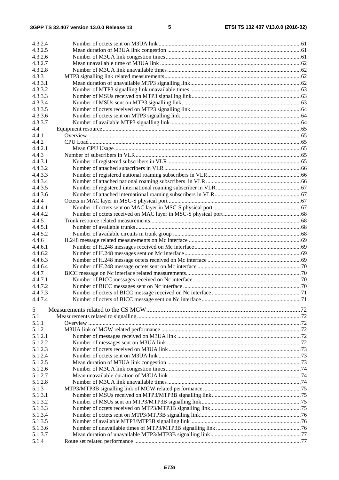| 4.3.2.4 |  |
|---------|--|
| 4.3.2.5 |  |
| 4.3.2.6 |  |
| 4.3.2.7 |  |
| 4.3.2.8 |  |
| 4.3.3   |  |
| 4.3.3.1 |  |
| 4.3.3.2 |  |
| 4.3.3.3 |  |
| 4.3.3.4 |  |
| 4.3.3.5 |  |
| 4.3.3.6 |  |
| 4.3.3.7 |  |
| 4.4     |  |
| 4.4.1   |  |
| 4.4.2   |  |
| 4.4.2.1 |  |
| 4.4.3   |  |
| 4.4.3.1 |  |
| 4.4.3.2 |  |
| 4.4.3.3 |  |
| 4.4.3.4 |  |
| 4.4.3.5 |  |
| 4.4.3.6 |  |
| 4.4.4   |  |
| 4.4.4.1 |  |
| 4.4.4.2 |  |
| 4.4.5   |  |
|         |  |
| 4.4.5.1 |  |
| 4.4.5.2 |  |
| 4.4.6   |  |
| 4.4.6.1 |  |
| 4.4.6.2 |  |
| 4.4.6.3 |  |
| 4.4.6.4 |  |
| 4.4.7   |  |
| 4.4.7.1 |  |
| 4.4.7.2 |  |
| 4.4.7.3 |  |
| 4.4.7.4 |  |
| 5       |  |
| 5.1     |  |
| 5.1.1   |  |
| 5.1.2   |  |
| 5.1.2.1 |  |
| 5.1.2.2 |  |
| 5.1.2.3 |  |
| 5.1.2.4 |  |
| 5.1.2.5 |  |
| 5.1.2.6 |  |
| 5.1.2.7 |  |
| 5.1.2.8 |  |
| 5.1.3   |  |
| 5.1.3.1 |  |
| 5.1.3.2 |  |
| 5.1.3.3 |  |
| 5.1.3.4 |  |
| 5.1.3.5 |  |
| 5.1.3.6 |  |
| 5.1.3.7 |  |
| 5.1.4   |  |
|         |  |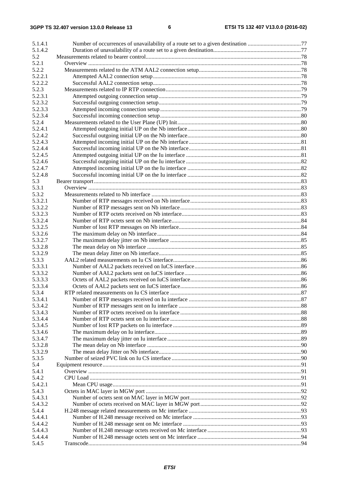| 5.1.4.1 |  |
|---------|--|
| 5.1.4.2 |  |
| 5.2     |  |
| 5.2.1   |  |
| 5.2.2   |  |
| 5.2.2.1 |  |
| 5.2.2.2 |  |
| 5.2.3   |  |
| 5.2.3.1 |  |
| 5.2.3.2 |  |
| 5.2.3.3 |  |
| 5.2.3.4 |  |
| 5.2.4   |  |
| 5.2.4.1 |  |
| 5.2.4.2 |  |
| 5.2.4.3 |  |
| 5.2.4.4 |  |
| 5.2.4.5 |  |
| 5.2.4.6 |  |
| 5.2.4.7 |  |
| 5.2.4.8 |  |
| 5.3     |  |
| 5.3.1   |  |
| 5.3.2   |  |
| 5.3.2.1 |  |
| 5.3.2.2 |  |
| 5.3.2.3 |  |
| 5.3.2.4 |  |
| 5.3.2.5 |  |
| 5.3.2.6 |  |
| 5.3.2.7 |  |
| 5.3.2.8 |  |
| 5.3.2.9 |  |
| 5.3.3   |  |
| 5.3.3.1 |  |
| 5.3.3.2 |  |
| 5.3.3.3 |  |
| 5.3.3.4 |  |
| 5.3.4   |  |
| 5.3.4.1 |  |
|         |  |
| 5.3.4.2 |  |
| 5.3.4.3 |  |
| 5.3.4.4 |  |
| 5.3.4.5 |  |
| 5.3.4.6 |  |
| 5.3.4.7 |  |
| 5.3.2.8 |  |
| 5.3.2.9 |  |
| 5.3.5   |  |
| 5.4     |  |
| 5.4.1   |  |
| 5.4.2   |  |
| 5.4.2.1 |  |
| 5.4.3   |  |
| 5.4.3.1 |  |
| 5.4.3.2 |  |
| 5.4.4   |  |
| 5.4.4.1 |  |
| 5.4.4.2 |  |
| 5.4.4.3 |  |
| 5.4.4.4 |  |
| 5.4.5   |  |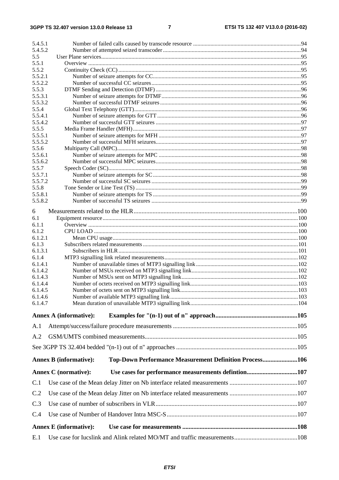| 5.4.5.1          |                                                                                         |  |
|------------------|-----------------------------------------------------------------------------------------|--|
| 5.4.5.2          |                                                                                         |  |
| 5.5              |                                                                                         |  |
| 5.5.1            |                                                                                         |  |
| 5.5.2<br>5.5.2.1 |                                                                                         |  |
| 5.5.2.2          |                                                                                         |  |
| 5.5.3            |                                                                                         |  |
| 5.5.3.1          |                                                                                         |  |
| 5.5.3.2          |                                                                                         |  |
| 5.5.4            |                                                                                         |  |
| 5.5.4.1          |                                                                                         |  |
| 5.5.4.2          |                                                                                         |  |
| 5.5.5            |                                                                                         |  |
| 5.5.5.1          |                                                                                         |  |
| 5.5.5.2          |                                                                                         |  |
| 5.5.6            |                                                                                         |  |
| 5.5.6.1          |                                                                                         |  |
| 5.5.6.2          |                                                                                         |  |
| 5.5.7            |                                                                                         |  |
| 5.5.7.1          |                                                                                         |  |
| 5.5.7.2<br>5.5.8 |                                                                                         |  |
| 5.5.8.1          |                                                                                         |  |
| 5.5.8.2          |                                                                                         |  |
|                  |                                                                                         |  |
| 6                |                                                                                         |  |
| 6.1              |                                                                                         |  |
| 6.1.1            |                                                                                         |  |
| 6.1.2            |                                                                                         |  |
| 6.1.2.1          |                                                                                         |  |
| 6.1.3            |                                                                                         |  |
| 6.1.3.1          |                                                                                         |  |
| 6.1.4<br>6.1.4.1 |                                                                                         |  |
| 6.1.4.2          |                                                                                         |  |
| 6.1.4.3          |                                                                                         |  |
| 6.1.4.4          |                                                                                         |  |
| 6.1.4.5          |                                                                                         |  |
| 6.1.4.6          |                                                                                         |  |
| 6.1.4.7          |                                                                                         |  |
|                  | <b>Annex A (informative):</b>                                                           |  |
|                  |                                                                                         |  |
| A.1              |                                                                                         |  |
| A.2              |                                                                                         |  |
|                  |                                                                                         |  |
|                  | Top-Down Performance Measurement Definition Process106<br><b>Annex B (informative):</b> |  |
|                  | Use cases for performance measurements defintion107<br><b>Annex C</b> (normative):      |  |
| C.1              |                                                                                         |  |
| C.2              |                                                                                         |  |
| C.3              |                                                                                         |  |
| C.4              |                                                                                         |  |
|                  |                                                                                         |  |
|                  | <b>Annex E</b> (informative):                                                           |  |
| E.1              |                                                                                         |  |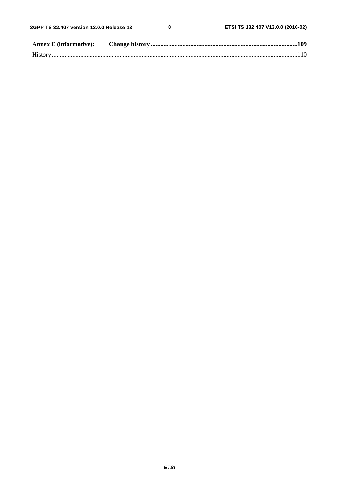$\pmb{8}$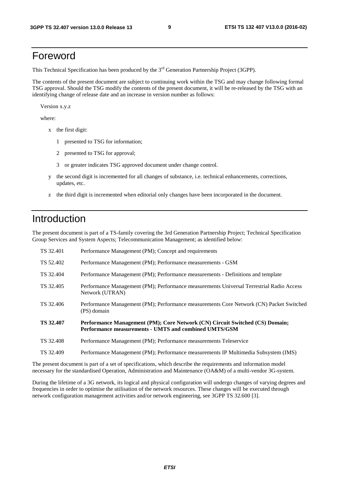# Foreword

This Technical Specification has been produced by the 3<sup>rd</sup> Generation Partnership Project (3GPP).

The contents of the present document are subject to continuing work within the TSG and may change following formal TSG approval. Should the TSG modify the contents of the present document, it will be re-released by the TSG with an identifying change of release date and an increase in version number as follows:

Version x.y.z

where:

- x the first digit:
	- 1 presented to TSG for information;
	- 2 presented to TSG for approval;
	- 3 or greater indicates TSG approved document under change control.
- y the second digit is incremented for all changes of substance, i.e. technical enhancements, corrections, updates, etc.
- z the third digit is incremented when editorial only changes have been incorporated in the document.

# Introduction

The present document is part of a TS-family covering the 3rd Generation Partnership Project; Technical Specification Group Services and System Aspects; Telecommunication Management; as identified below:

| TS 32.401        | Performance Management (PM); Concept and requirements                                                                                 |
|------------------|---------------------------------------------------------------------------------------------------------------------------------------|
| TS 52.402        | Performance Management (PM); Performance measurements - GSM                                                                           |
| TS 32.404        | Performance Management (PM); Performance measurements - Definitions and template                                                      |
| TS 32.405        | Performance Management (PM); Performance measurements Universal Terrestrial Radio Access<br>Network (UTRAN)                           |
| TS 32.406        | Performance Management (PM); Performance measurements Core Network (CN) Packet Switched<br>(PS) domain                                |
| <b>TS 32.407</b> | Performance Management (PM); Core Network (CN) Circuit Switched (CS) Domain;<br>Performance measurements - UMTS and combined UMTS/GSM |
| TS 32.408        | Performance Management (PM); Performance measurements Teleservice                                                                     |
| TS 32.409        | Performance Management (PM); Performance measurements IP Multimedia Subsystem (IMS)                                                   |

The present document is part of a set of specifications, which describe the requirements and information model necessary for the standardised Operation, Administration and Maintenance (OA&M) of a multi-vendor 3G-system.

During the lifetime of a 3G network, its logical and physical configuration will undergo changes of varying degrees and frequencies in order to optimise the utilisation of the network resources. These changes will be executed through network configuration management activities and/or network engineering, see 3GPP TS 32.600 [3].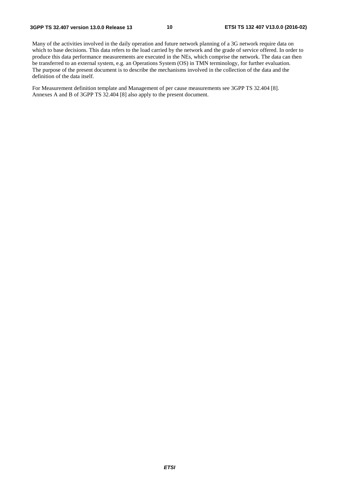Many of the activities involved in the daily operation and future network planning of a 3G network require data on which to base decisions. This data refers to the load carried by the network and the grade of service offered. In order to produce this data performance measurements are executed in the NEs, which comprise the network. The data can then be transferred to an external system, e.g. an Operations System (OS) in TMN terminology, for further evaluation. The purpose of the present document is to describe the mechanisms involved in the collection of the data and the definition of the data itself.

For Measurement definition template and Management of per cause measurements see 3GPP TS 32.404 [8]. Annexes A and B of 3GPP TS 32.404 [8] also apply to the present document.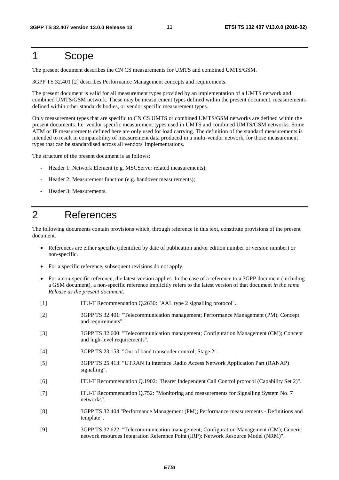# 1 Scope

The present document describes the CN CS measurements for UMTS and combined UMTS/GSM.

3GPP TS 32.401 [2] describes Performance Management concepts and requirements.

The present document is valid for all measurement types provided by an implementation of a UMTS network and combined UMTS/GSM network. These may be measurement types defined within the present document, measurements defined within other standards bodies, or vendor specific measurement types.

Only measurement types that are specific to CN CS UMTS or combined UMTS/GSM networks are defined within the present documents. I.e. vendor specific measurement types used in UMTS and combined UMTS/GSM networks. Some ATM or IP measurements defined here are only used for load carrying. The definition of the standard measurements is intended to result in comparability of measurement data produced in a multi-vendor network, for those measurement types that can be standardised across all vendors' implementations.

The structure of the present document is as follows:

- Header 1: Network Element (e.g. MSCServer related measurements);
- Header 2: Measurement function (e.g. handover measurements);
- Header 3: Measurements.

# 2 References

The following documents contain provisions which, through reference in this text, constitute provisions of the present document.

- References are either specific (identified by date of publication and/or edition number or version number) or non-specific.
- For a specific reference, subsequent revisions do not apply.
- For a non-specific reference, the latest version applies. In the case of a reference to a 3GPP document (including a GSM document), a non-specific reference implicitly refers to the latest version of that document *in the same Release as the present document*.
- [1] ITU-T Recommendation Q.2630: "AAL type 2 signalling protocol".
- [2] 3GPP TS 32.401: "Telecommunication management; Performance Management (PM); Concept and requirements".
- [3] 3GPP TS 32.600: "Telecommunication management; Configuration Management (CM); Concept and high-level requirements".
- [4] 3GPP TS 23.153: "Out of band transcoder control; Stage 2".
- [5] 3GPP TS 25.413: "UTRAN Iu interface Radio Access Network Application Part (RANAP) signalling".
- [6] ITU-T Recommendation Q.1902: "Bearer Independent Call Control protocol (Capability Set 2)".
- [7] ITU-T Recommendation Q.752: "Monitoring and measurements for Signalling System No. 7 networks".
- [8] 3GPP TS 32.404 "Performance Management (PM); Performance measurements Definitions and template".
- [9] 3GPP TS 32.622: "Telecommunication management; Configuration Management (CM); Generic network resources Integration Reference Point (IRP): Network Resource Model (NRM)".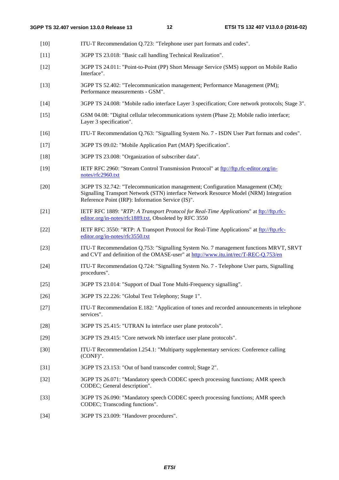- [10] ITU-T Recommendation Q.723: "Telephone user part formats and codes".
- [11] 3GPP TS 23.018: "Basic call handling Technical Realization".
- [12] 3GPP TS 24.011: "Point-to-Point (PP) Short Message Service (SMS) support on Mobile Radio Interface".
- [13] 3GPP TS 52.402: "Telecommunication management; Performance Management (PM); Performance measurements - GSM".
- [14] 3GPP TS 24.008: "Mobile radio interface Layer 3 specification; Core network protocols; Stage 3".
- [15] GSM 04.08: "Digital cellular telecommunications system (Phase 2); Mobile radio interface; Layer 3 specification".
- [16] ITU-T Recommendation Q.763: "Signalling System No. 7 ISDN User Part formats and codes".
- [17] 3GPP TS 09.02: "Mobile Application Part (MAP) Specification".
- [18] 3GPP TS 23.008: "Organization of subscriber data".
- [19] IETF RFC 2960: "Stream Control Transmission Protocol" at [ftp://ftp.rfc-editor.org/in](ftp://ftp.rfc-editor.org/in-notes/rfc2960.txt)[notes/rfc2960.txt](ftp://ftp.rfc-editor.org/in-notes/rfc2960.txt)
- [20] 3GPP TS 32.742: "Telecommunication management; Configuration Management (CM); Signalling Transport Network (STN) interface Network Resource Model (NRM) Integration Reference Point (IRP): Information Service (IS)".
- [21] IETF RFC 1889: "*RTP: A Transport Protocol for Real-Time Applications*" at [ftp://ftp.rfc](ftp://ftp.rfc-editor.org/in-notes/rfc1889.txt)[editor.org/in-notes/rfc1889.txt,](ftp://ftp.rfc-editor.org/in-notes/rfc1889.txt) Obsoleted by RFC 3550
- [22] IETF RFC 3550: "RTP: A Transport Protocol for Real-Time Applications" at [ftp://ftp.rfc](ftp://ftp.rfc-editor.org/in-notes/rfc3550.txt)[editor.org/in-notes/rfc3550.txt](ftp://ftp.rfc-editor.org/in-notes/rfc3550.txt)
- [23] ITU-T Recommendation Q.753: "Signalling System No. 7 management functions MRVT, SRVT and CVT and definition of the OMASE-user" at<http://www.itu.int/rec/T-REC-Q.753/en>
- [24] ITU-T Recommendation Q.724: "Signalling System No. 7 Telephone User parts, Signalling procedures".
- [25] 3GPP TS 23.014: "Support of Dual Tone Multi-Frequency signalling".
- [26] 3GPP TS 22.226: "Global Text Telephony; Stage 1".
- [27] ITU-T Recommendation E.182: "Application of tones and recorded announcements in telephone services".
- [28] 3GPP TS 25.415: "UTRAN Iu interface user plane protocols".
- [29] 3GPP TS 29.415: "Core network Nb interface user plane protocols".
- [30] ITU-T Recommendation I.254.1: "Multiparty supplementary services: Conference calling (CONF)".
- [31] 3GPP TS 23.153: "Out of band transcoder control; Stage 2".
- [32] 3GPP TS 26.071: "Mandatory speech CODEC speech processing functions; AMR speech CODEC; General description".
- [33] 3GPP TS 26.090: "Mandatory speech CODEC speech processing functions; AMR speech CODEC; Transcoding functions".
- [34] 3GPP TS 23.009: "Handover procedures".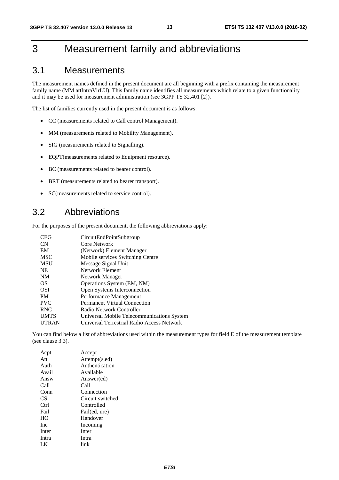# 3 Measurement family and abbreviations

# 3.1 Measurements

The measurement names defined in the present document are all beginning with a prefix containing the measurement family name (MM attIntraVlrLU). This family name identifies all measurements which relate to a given functionality and it may be used for measurement administration (see 3GPP TS 32.401 [2]).

The list of families currently used in the present document is as follows:

- CC (measurements related to Call control Management).
- MM (measurements related to Mobility Management).
- SIG (measurements related to Signalling).
- EQPT(measurements related to Equipment resource).
- BC (measurements related to bearer control).
- BRT (measurements related to bearer transport).
- SC(measurements related to service control).

# 3.2 Abbreviations

For the purposes of the present document, the following abbreviations apply:

| <b>CEG</b>   | CircuitEndPointSubgroup                    |
|--------------|--------------------------------------------|
| <b>CN</b>    | Core Network                               |
| EM           | (Network) Element Manager                  |
| <b>MSC</b>   | Mobile services Switching Centre           |
| <b>MSU</b>   | Message Signal Unit                        |
| <b>NE</b>    | Network Element                            |
| <b>NM</b>    | Network Manager                            |
| OS           | Operations System (EM, NM)                 |
| <b>OSI</b>   | Open Systems Interconnection               |
| <b>PM</b>    | Performance Management                     |
| <b>PVC</b>   | Permanent Virtual Connection               |
| <b>RNC</b>   | Radio Network Controller                   |
| <b>UMTS</b>  | Universal Mobile Telecommunications System |
| <b>UTRAN</b> | Universal Terrestrial Radio Access Network |

You can find below a list of abbreviations used within the measurement types for field E of the measurement template (see clause 3.3).

| Accept           |
|------------------|
| Attempt(s,ed)    |
| Authentication   |
| Available        |
| Answer(ed)       |
| Call             |
| Connection       |
| Circuit switched |
| Controlled       |
| Fail(ed, ure)    |
| Handover         |
| Incoming         |
| Inter            |
| Intra            |
| link             |
|                  |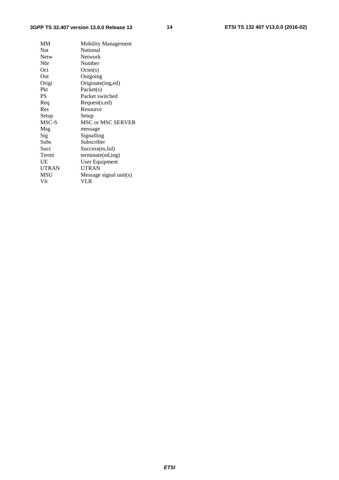# **3GPP TS 32.407 version 13.0.0 Release 13 14 ETSI TS 132 407 V13.0.0 (2016-02)**

| MM           | <b>Mobility Management</b> |
|--------------|----------------------------|
| <b>Nat</b>   | National                   |
| <b>Netw</b>  | Network                    |
| Nbr          | Number                     |
| Oct          | Octet(s)                   |
| Out          | Outgoing                   |
| Origi        | Originate(ing,ed)          |
| Pkt          | Packet(s)                  |
| PS           | Packet switched            |
| Req          | Request(s,ed)              |
| Res          | Resource                   |
| Setup        | Setup                      |
| MSC-S        | <b>MSC or MSC SERVER</b>   |
| Msg          | message                    |
| Sig          | Signalling                 |
| Subs         | Subscriber                 |
| Succ         | Success(es,ful)            |
| Termi        | terminate(ed,ing)          |
| UE           | <b>User Equipment</b>      |
| <b>UTRAN</b> | <b>UTRAN</b>               |
| MSU          | Message signal unit(s)     |
| Vlr          |                            |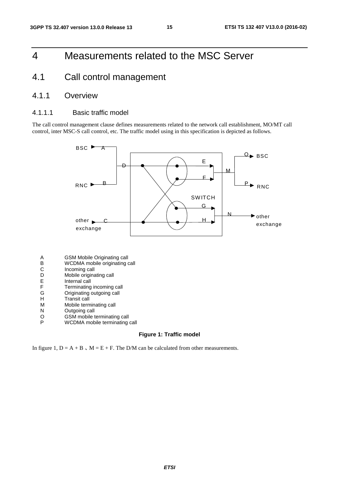# 4 Measurements related to the MSC Server

# 4.1 Call control management

# 4.1.1 Overview

# 4.1.1.1 Basic traffic model

The call control management clause defines measurements related to the network call establishment, MO/MT call control, inter MSC-S call control, etc. The traffic model using in this specification is depicted as follows.



- A GSM Mobile Originating call<br>B WCDMA mobile originating of<br>C Incoming call<br>D Mobile originating call
- WCDMA mobile originating call
- Incoming call
- D Mobile originating call<br>E Internal call
- E Internal call<br>F Terminating
- F Terminating incoming call<br>G Originating outgoing call<br>H Transit call
- Originating outgoing call
- H Transit call<br>M Mobile term
- M Mobile terminating call<br>N Outgoing call
- **Outgoing call**
- O GSM mobile terminating call<br>P WCDMA mobile terminating
- WCDMA mobile terminating call

### **Figure 1: Traffic model**

In figure 1,  $D = A + B$ ,  $M = E + F$ . The D/M can be calculated from other measurements.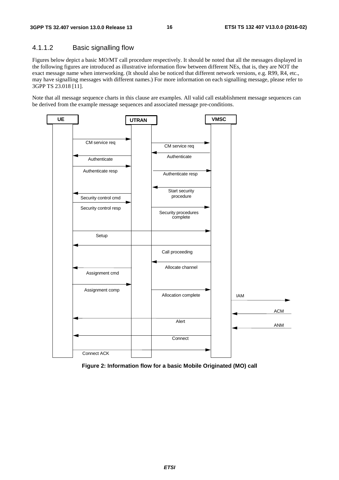# 4.1.1.2 Basic signalling flow

Figures below depict a basic MO/MT call procedure respectively. It should be noted that all the messages displayed in the following figures are introduced as illustrative information flow between different NEs, that is, they are NOT the exact message name when interworking. (It should also be noticed that different network versions, e.g. R99, R4, etc., may have signalling messages with different names.) For more information on each signalling message, please refer to 3GPP TS 23.018 [11].

Note that all message sequence charts in this clause are examples. All valid call establishment message sequences can be derived from the example message sequences and associated message pre-conditions.



**Figure 2: Information flow for a basic Mobile Originated (MO) call**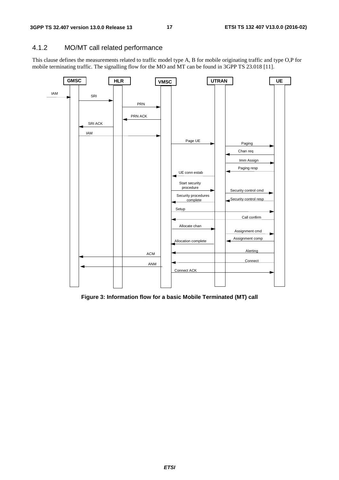# 4.1.2 MO/MT call related performance

This clause defines the measurements related to traffic model type A, B for mobile originating traffic and type O,P for mobile terminating traffic. The signalling flow for the MO and MT can be found in 3GPP TS 23.018 [11].



**Figure 3: Information flow for a basic Mobile Terminated (MT) call**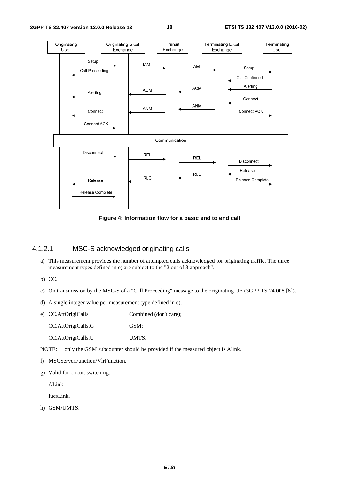

**Figure 4: Information flow for a basic end to end call** 

# 4.1.2.1 MSC-S acknowledged originating calls

a) This measurement provides the number of attempted calls acknowledged for originating traffic. The three measurement types defined in e) are subject to the "2 out of 3 approach".

b) CC.

- c) On transmission by the MSC-S of a "Call Proceeding" message to the originating UE (3GPP TS 24.008 [6]).
- d) A single integer value per measurement type defined in e).
- e) CC.AttOrigiCalls Combined (don't care);

CC.AttOrigiCalls.G GSM;

CC.AttOrigiCalls.U UMTS.

NOTE: only the GSM subcounter should be provided if the measured object is Alink.

- f) MSCServerFunction/VlrFunction.
- g) Valid for circuit switching.

ALink

IucsLink.

h) GSM/UMTS.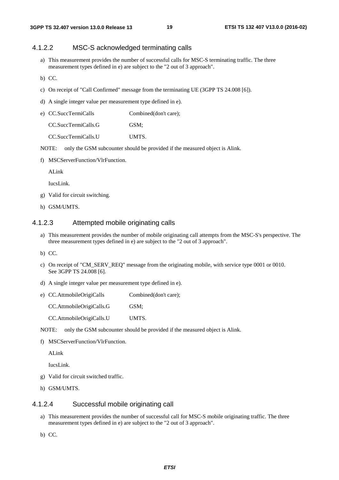### 4.1.2.2 MSC-S acknowledged terminating calls

- a) This measurement provides the number of successful calls for MSC-S terminating traffic. The three measurement types defined in e) are subject to the "2 out of 3 approach".
- b) CC.
- c) On receipt of "Call Confirmed" message from the terminating UE (3GPP TS 24.008 [6]).
- d) A single integer value per measurement type defined in e).

| e) CC.SuccTermiCalls | Combined(don't care); |
|----------------------|-----------------------|
| CC.SuccTermiCalls.G  | GSM:                  |
| CC.SuccTermiCalls U  | <b>UMTS</b>           |

- NOTE: only the GSM subcounter should be provided if the measured object is Alink.
- f) MSCServerFunction/VlrFunction.

ALink

IucsLink.

- g) Valid for circuit switching.
- h) GSM/UMTS.

# 4.1.2.3 Attempted mobile originating calls

- a) This measurement provides the number of mobile originating call attempts from the MSC-S's perspective. The three measurement types defined in e) are subject to the "2 out of 3 approach".
- b) CC.
- c) On receipt of "CM\_SERV\_REQ" message from the originating mobile, with service type 0001 or 0010. See 3GPP TS 24.008 [6].
- d) A single integer value per measurement type defined in e).
- e) CC.AttmobileOrigiCalls Combined(don't care);

CC.AttmobileOrigiCalls.G GSM;

CC.AttmobileOrigiCalls.U UMTS.

NOTE: only the GSM subcounter should be provided if the measured object is Alink.

f) MSCServerFunction/VlrFunction.

ALink

IucsLink.

- g) Valid for circuit switched traffic.
- h) GSM/UMTS.

#### 4.1.2.4 Successful mobile originating call

- a) This measurement provides the number of successful call for MSC-S mobile originating traffic. The three measurement types defined in e) are subject to the "2 out of 3 approach".
- b) CC.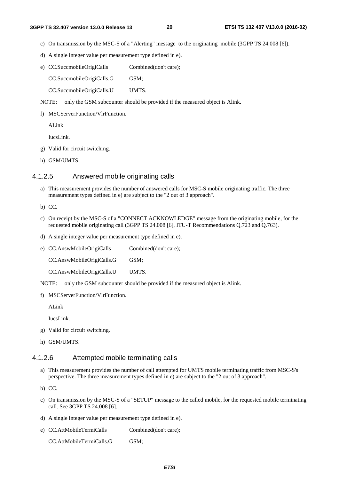#### **3GPP TS 32.407 version 13.0.0 Release 13 20 ETSI TS 132 407 V13.0.0 (2016-02)**

- c) On transmission by the MSC-S of a "Alerting" message to the originating mobile (3GPP TS 24.008 [6]).
- d) A single integer value per measurement type defined in e).
- e) CC.SuccmobileOrigiCalls Combined(don't care);

CC.SuccmobileOrigiCalls.G GSM;

CC.SuccmobileOrigiCalls.U UMTS.

NOTE: only the GSM subcounter should be provided if the measured object is Alink.

f) MSCServerFunction/VlrFunction.

ALink

IucsLink.

- g) Valid for circuit switching.
- h) GSM/UMTS.

### 4.1.2.5 Answered mobile originating calls

a) This measurement provides the number of answered calls for MSC-S mobile originating traffic. The three measurement types defined in e) are subject to the "2 out of 3 approach".

b) CC.

- c) On receipt by the MSC-S of a "CONNECT ACKNOWLEDGE" message from the originating mobile, for the requested mobile originating call (3GPP TS 24.008 [6], ITU-T Recommendations Q.723 and Q.763).
- d) A single integer value per measurement type defined in e).

e) CC.AnswMobileOrigiCalls Combined(don't care); CC.AnswMobileOrigiCalls.G GSM; CC.AnswMobileOrigiCalls.U UMTS.

- NOTE: only the GSM subcounter should be provided if the measured object is Alink.
- f) MSCServerFunction/VlrFunction.

ALink

IucsLink.

g) Valid for circuit switching.

h) GSM/UMTS.

### 4.1.2.6 Attempted mobile terminating calls

a) This measurement provides the number of call attempted for UMTS mobile terminating traffic from MSC-S's perspective. The three measurement types defined in e) are subject to the "2 out of 3 approach".

b) CC.

- c) On transmission by the MSC-S of a "SETUP" message to the called mobile, for the requested mobile terminating call. See 3GPP TS 24.008 [6].
- d) A single integer value per measurement type defined in e).
- e) CC.AttMobileTermiCalls Combined(don't care);

CC.AttMobileTermiCalls.G GSM: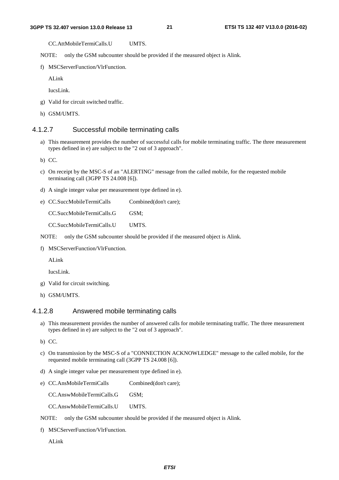CC.AttMobileTermiCalls.U UMTS.

NOTE: only the GSM subcounter should be provided if the measured object is Alink.

f) MSCServerFunction/VlrFunction.

ALink

IucsLink.

- g) Valid for circuit switched traffic.
- h) GSM/UMTS.

#### 4.1.2.7 Successful mobile terminating calls

a) This measurement provides the number of successful calls for mobile terminating traffic. The three measurement types defined in e) are subject to the "2 out of 3 approach".

b) CC.

- c) On receipt by the MSC-S of an "ALERTING" message from the called mobile, for the requested mobile terminating call (3GPP TS 24.008 [6]).
- d) A single integer value per measurement type defined in e).
- e) CC.SuccMobileTermiCalls Combined(don't care); CC.SuccMobileTermiCalls.G GSM;

CC.SuccMobileTermiCalls.U UMTS.

NOTE: only the GSM subcounter should be provided if the measured object is Alink.

f) MSCServerFunction/VlrFunction.

ALink

IucsLink.

- g) Valid for circuit switching.
- h) GSM/UMTS.

# 4.1.2.8 Answered mobile terminating calls

a) This measurement provides the number of answered calls for mobile terminating traffic. The three measurement types defined in e) are subject to the "2 out of 3 approach".

b) CC.

- c) On transmission by the MSC-S of a "CONNECTION ACKNOWLEDGE" message to the called mobile, for the requested mobile terminating call (3GPP TS 24.008 [6]).
- d) A single integer value per measurement type defined in e).
- e) CC.AnsMobileTermiCalls Combined(don't care);

CC.AnswMobileTermiCalls.G GSM;

CC.AnswMobileTermiCalls.U UMTS.

- NOTE: only the GSM subcounter should be provided if the measured object is Alink.
- f) MSCServerFunction/VlrFunction.

ALink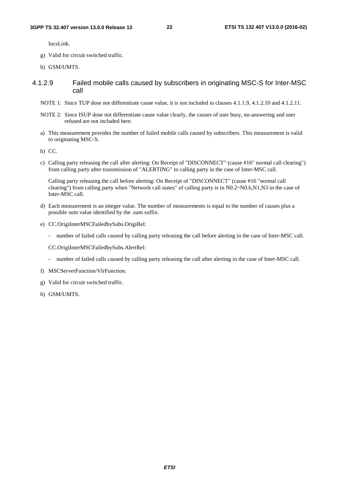IucsLink.

- g) Valid for circuit switched traffic.
- h) GSM/UMTS.
- 4.1.2.9 Failed mobile calls caused by subscribers in originating MSC-S for Inter-MSC call
	- NOTE 1: Since TUP dose not differentiate cause value, it is not included in clauses 4.1.1.9, 4.1.2.10 and 4.1.2.11.
	- NOTE 2: Since ISUP dose not differentiate cause value clearly, the causes of user busy, no-answering and user refused are not included here.
	- a) This measurement provides the number of failed mobile calls caused by subscribers. This measurement is valid to originating MSC-S.
	- b) CC.
	- c) Calling party releasing the call after alerting: On Receipt of "DISCONNECT" (cause #16" normal call clearing") from calling party after transmission of "ALERTING" to calling party in the case of Inter-MSC call.

 Calling party releasing the call before alerting: On Receipt of "DISCONNECT" (cause #16 "normal call clearing") from calling party when "Network call states" of calling party is in N0.2~N0.6,N1,N3 in the case of Inter-MSC call.

- d) Each measurement is an integer value. The number of measurements is equal to the number of causes plus a possible sum value identified by the .sum suffix.
- e) CC.OrigiInterMSCFailedbySubs.OrigiRel:
	- number of failed calls caused by calling party releasing the call before alerting in the case of Inter-MSC call.

CC.OrigiInterMSCFailedbySubs.AlertRel:

- number of failed calls caused by calling party releasing the call after alerting in the case of Inter-MSC call.
- f) MSCServerFunction/VlrFunction.
- g) Valid for circuit switched traffic.
- h) GSM/UMTS.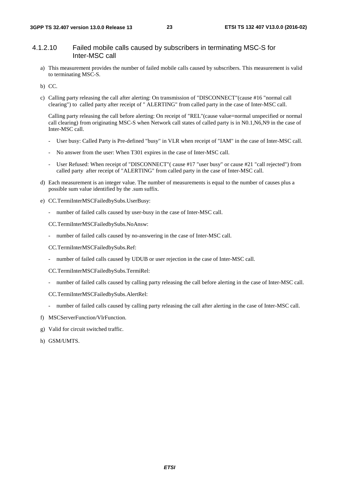# 4.1.2.10 Failed mobile calls caused by subscribers in terminating MSC-S for Inter-MSC call

- a) This measurement provides the number of failed mobile calls caused by subscribers. This measurement is valid to terminating MSC-S.
- b) CC.
- c) Calling party releasing the call after alerting: On transmission of "DISCONNECT"(cause #16 "normal call clearing") to called party after receipt of " ALERTING" from called party in the case of Inter-MSC call.

 Calling party releasing the call before alerting: On receipt of "REL"(cause value=normal unspecified or normal call clearing) from originating MSC-S when Network call states of called party is in N0.1,N6,N9 in the case of Inter-MSC call.

- User busy: Called Party is Pre-defined "busy" in VLR when receipt of "IAM" in the case of Inter-MSC call.
- No answer from the user: When T301 expires in the case of Inter-MSC call.
- User Refused: When receipt of "DISCONNECT" (cause #17 "user busy" or cause #21 "call rejected") from called party after receipt of "ALERTING" from called party in the case of Inter-MSC call.
- d) Each measurement is an integer value. The number of measurements is equal to the number of causes plus a possible sum value identified by the .sum suffix.
- e) CC.TermiInterMSCFailedbySubs.UserBusy:
	- number of failed calls caused by user-busy in the case of Inter-MSC call.

CC.TermiInterMSCFailedbySubs.NoAnsw:

number of failed calls caused by no-answering in the case of Inter-MSC call.

CC.TermiInterMSCFailedbySubs.Ref:

- number of failed calls caused by UDUB or user rejection in the case of Inter-MSC call.

CC.TermiInterMSCFailedbySubs.TermiRel:

- number of failed calls caused by calling party releasing the call before alerting in the case of Inter-MSC call.
- CC.TermiInterMSCFailedbySubs.AlertRel:
- number of failed calls caused by calling party releasing the call after alerting in the case of Inter-MSC call.
- f) MSCServerFunction/VlrFunction.
- g) Valid for circuit switched traffic.
- h) GSM/UMTS.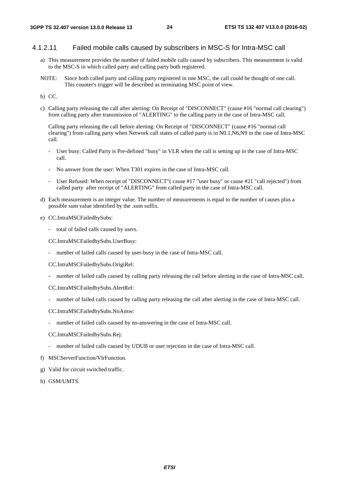### 4.1.2.11 Failed mobile calls caused by subscribers in MSC-S for Intra-MSC call

- a) This measurement provides the number of failed mobile calls caused by subscribers. This measurement is valid to the MSC-S in which called party and calling party both registered.
- NOTE: Since both called party and calling party registered in one MSC, the call could be thought of one call. This counter's trigger will be described as terminating MSC point of view.
- b) CC.
- c) Calling party releasing the call after alerting: On Receipt of "DISCONNECT" (cause #16 "normal call clearing") from calling party after transmission of "ALERTING" to the calling party in the case of Intra-MSC call.

 Calling party releasing the call before alerting: On Receipt of "DISCONNECT" (cause #16 "normal call clearing") from calling party when Network call states of called party is in N0.1,N6,N9 in the case of Intra-MSC call.

- User busy: Called Party is Pre-defined "busy" in VLR when the call is setting up in the case of Intra-MSC call.
- No answer from the user: When T301 expires in the case of Intra-MSC call.
- User Refused: When receipt of "DISCONNECT"( cause #17 "user busy" or cause #21 "call rejected") from called party after receipt of "ALERTING" from called party in the case of Intra-MSC call.
- d) Each measurement is an integer value. The number of measurements is equal to the number of causes plus a possible sum value identified by the .sum suffix.
- e) CC.IntraMSCFailedbySubs:
	- total of failed calls caused by users.

CC.IntraMSCFailedbySubs.UserBusy:

- number of failed calls caused by user-busy in the case of Intra-MSC call.

CC.IntraMSCFailedbySubs.OrigiRel:

- number of failed calls caused by calling party releasing the call before alerting in the case of Intra-MSC call.

CC.IntraMSCFailedbySubs.AlertRel:

number of failed calls caused by calling party releasing the call after alerting in the case of Intra-MSC call.

CC.IntraMSCFailedbySubs.NoAnsw:

number of failed calls caused by no-answering in the case of Intra-MSC call.

CC.IntraMSCFailedbySubs.Rej:

- number of failed calls caused by UDUB or user rejection in the case of Intra-MSC call.
- f) MSCServerFunction/VlrFunction.
- g) Valid for circuit switched traffic.
- h) GSM/UMTS.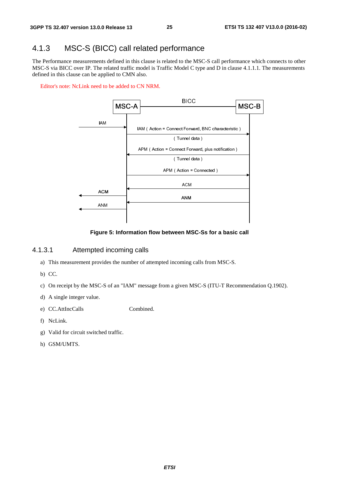# 4.1.3 MSC-S (BICC) call related performance

The Performance measurements defined in this clause is related to the MSC-S call performance which connects to other MSC-S via BICC over IP. The related traffic model is Traffic Model C type and D in clause 4.1.1.1. The measurements defined in this clause can be applied to CMN also.

Editor's note: NcLink need to be added to CN NRM.



#### **Figure 5: Information flow between MSC-Ss for a basic call**

### 4.1.3.1 Attempted incoming calls

- a) This measurement provides the number of attempted incoming calls from MSC-S.
- b) CC.
- c) On receipt by the MSC-S of an "IAM" message from a given MSC-S (ITU-T Recommendation Q.1902).
- d) A single integer value.
- e) CC.AttIncCalls Combined.
- f) NcLink.
- g) Valid for circuit switched traffic.
- h) GSM/UMTS.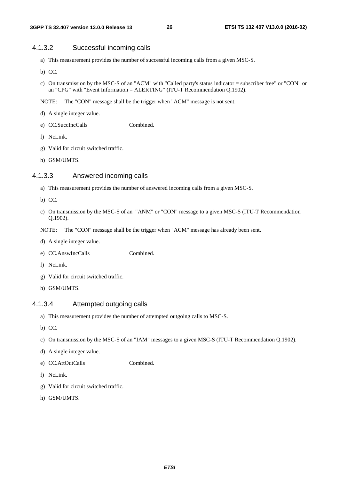# 4.1.3.2 Successful incoming calls

- a) This measurement provides the number of successful incoming calls from a given MSC-S.
- b) CC.
- c) On transmission by the MSC-S of an "ACM" with "Called party's status indicator = subscriber free" or "CON" or an "CPG" with "Event Information = ALERTING" (ITU-T Recommendation Q.1902).
- NOTE: The "CON" message shall be the trigger when "ACM" message is not sent.
- d) A single integer value.
- e) CC.SuccIncCalls Combined.
- f) NcLink.
- g) Valid for circuit switched traffic.
- h) GSM/UMTS.

# 4.1.3.3 Answered incoming calls

- a) This measurement provides the number of answered incoming calls from a given MSC-S.
- b) CC.
- c) On transmission by the MSC-S of an "ANM" or "CON" message to a given MSC-S (ITU-T Recommendation Q.1902).
- NOTE: The "CON" message shall be the trigger when "ACM" message has already been sent.
- d) A single integer value.
- e) CC.AnswIncCalls Combined.
- f) NcLink.
- g) Valid for circuit switched traffic.
- h) GSM/UMTS.

### 4.1.3.4 Attempted outgoing calls

- a) This measurement provides the number of attempted outgoing calls to MSC-S.
- b) CC.
- c) On transmission by the MSC-S of an "IAM" messages to a given MSC-S (ITU-T Recommendation Q.1902).
- d) A single integer value.
- e) CC.AttOutCalls Combined.
- f) NcLink.
- g) Valid for circuit switched traffic.
- h) GSM/UMTS.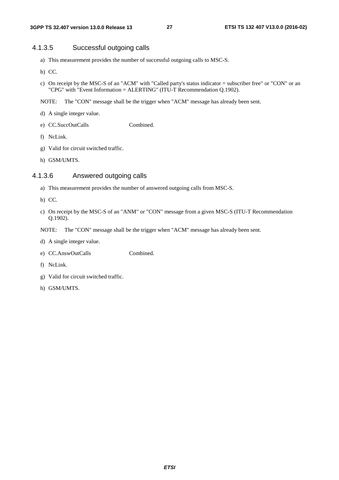# 4.1.3.5 Successful outgoing calls

- a) This measurement provides the number of successful outgoing calls to MSC-S.
- b) CC.
- c) On receipt by the MSC-S of an "ACM" with "Called party's status indicator = subscriber free" or "CON" or an "CPG" with "Event Information = ALERTING" (ITU-T Recommendation Q.1902).
- NOTE: The "CON" message shall be the trigger when "ACM" message has already been sent.
- d) A single integer value.
- e) CC.SuccOutCalls Combined.
- f) NcLink.
- g) Valid for circuit switched traffic.
- h) GSM/UMTS.

# 4.1.3.6 Answered outgoing calls

- a) This measurement provides the number of answered outgoing calls from MSC-S.
- b) CC.
- c) On receipt by the MSC-S of an "ANM" or "CON" message from a given MSC-S (ITU-T Recommendation Q.1902).
- NOTE: The "CON" message shall be the trigger when "ACM" message has already been sent.
- d) A single integer value.
- e) CC.AnswOutCalls Combined.
- f) NcLink.
- g) Valid for circuit switched traffic.
- h) GSM/UMTS.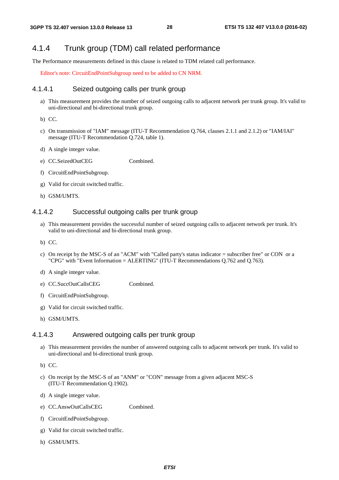# 4.1.4 Trunk group (TDM) call related performance

The Performance measurements defined in this clause is related to TDM related call performance.

Editor's note: CircuitEndPointSubgroup need to be added to CN NRM.

#### 4.1.4.1 Seized outgoing calls per trunk group

a) This measurement provides the number of seized outgoing calls to adjacent network per trunk group. It's valid to uni-directional and bi-directional trunk group.

b) CC.

- c) On transmission of "IAM" message (ITU-T Recommendation Q.764, clauses 2.1.1 and 2.1.2) or "IAM/IAI" message (ITU-T Recommendation Q.724, table 1).
- d) A single integer value.
- e) CC.SeizedOutCEG Combined.
- f) CircuitEndPointSubgroup.
- g) Valid for circuit switched traffic.
- h) GSM/UMTS.

#### 4.1.4.2 Successful outgoing calls per trunk group

- a) This measurement provides the successful number of seized outgoing calls to adjacent network per trunk. It's valid to uni-directional and bi-directional trunk group.
- b) CC.
- c) On receipt by the MSC-S of an "ACM" with "Called party's status indicator = subscriber free" or CON or a "CPG" with "Event Information = ALERTING" (ITU-T Recommendations Q.762 and Q.763).
- d) A single integer value.
- e) CC.SuccOutCallsCEG Combined.
- f) CircuitEndPointSubgroup.
- g) Valid for circuit switched traffic.
- h) GSM/UMTS.

### 4.1.4.3 Answered outgoing calls per trunk group

- a) This measurement provides the number of answered outgoing calls to adjacent network per trunk. It's valid to uni-directional and bi-directional trunk group.
- b) CC.
- c) On receipt by the MSC-S of an "ANM" or "CON" message from a given adjacent MSC-S (ITU-T Recommendation Q.1902).
- d) A single integer value.
- e) CC.AnswOutCallsCEG Combined.
- f) CircuitEndPointSubgroup.
- g) Valid for circuit switched traffic.
- h) GSM/UMTS.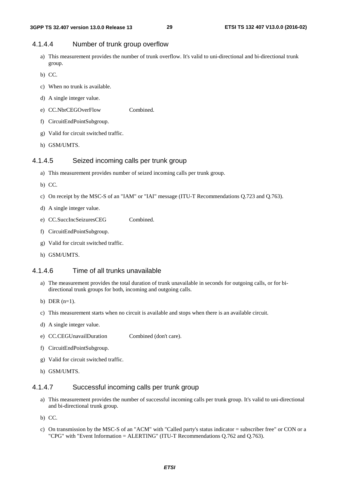# 4.1.4.4 Number of trunk group overflow

- a) This measurement provides the number of trunk overflow. It's valid to uni-directional and bi-directional trunk group.
- b) CC.
- c) When no trunk is available.
- d) A single integer value.
- e) CC.NbrCEGOverFlow Combined.
- f) CircuitEndPointSubgroup.
- g) Valid for circuit switched traffic.
- h) GSM/UMTS.

### 4.1.4.5 Seized incoming calls per trunk group

- a) This measurement provides number of seized incoming calls per trunk group.
- b) CC.
- c) On receipt by the MSC-S of an "IAM" or "IAI" message (ITU-T Recommendations Q.723 and Q.763).
- d) A single integer value.
- e) CC.SuccIncSeizuresCEG Combined.
- f) CircuitEndPointSubgroup.
- g) Valid for circuit switched traffic.
- h) GSM/UMTS.

#### 4.1.4.6 Time of all trunks unavailable

- a) The measurement provides the total duration of trunk unavailable in seconds for outgoing calls, or for bidirectional trunk groups for both, incoming and outgoing calls.
- b) DER  $(n=1)$ .
- c) This measurement starts when no circuit is available and stops when there is an available circuit.
- d) A single integer value.
- e) CC.CEGUnavailDuration Combined (don't care).
- f) CircuitEndPointSubgroup.
- g) Valid for circuit switched traffic.
- h) GSM/UMTS.

# 4.1.4.7 Successful incoming calls per trunk group

- a) This measurement provides the number of successful incoming calls per trunk group. It's valid to uni-directional and bi-directional trunk group.
- b) CC.
- c) On transmission by the MSC-S of an "ACM" with "Called party's status indicator = subscriber free" or CON or a "CPG" with "Event Information = ALERTING" (ITU-T Recommendations Q.762 and Q.763).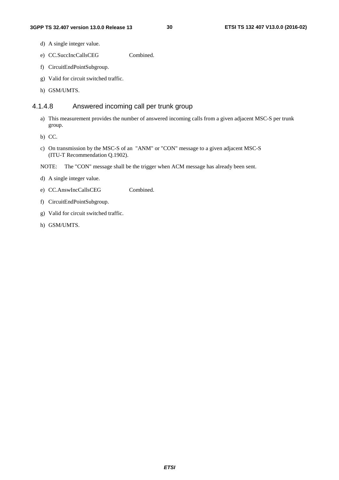- d) A single integer value.
- e) CC.SuccIncCallsCEG Combined.
- f) CircuitEndPointSubgroup.
- g) Valid for circuit switched traffic.
- h) GSM/UMTS.

# 4.1.4.8 Answered incoming call per trunk group

- a) This measurement provides the number of answered incoming calls from a given adjacent MSC-S per trunk group.
- b) CC.
- c) On transmission by the MSC-S of an "ANM" or "CON" message to a given adjacent MSC-S (ITU-T Recommendation Q.1902).
- NOTE: The "CON" message shall be the trigger when ACM message has already been sent.
- d) A single integer value.
- e) CC.AnswIncCallsCEG Combined.
- f) CircuitEndPointSubgroup.
- g) Valid for circuit switched traffic.
- h) GSM/UMTS.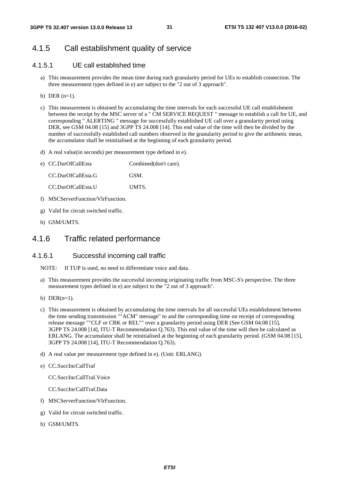# 4.1.5 Call establishment quality of service

# 4.1.5.1 UE call established time

- a) This measurement provides the mean time during each granularity period for UEs to establish connection. The three measurement types defined in e) are subject to the "2 out of 3 approach".
- b) DER  $(n=1)$ .
- c) This measurement is obtained by accumulating the time intervals for each successful UE call establishment between the receipt by the MSC server of a " CM SERVICE REQUEST " message to establish a call for UE, and corresponding " ALERTING " message for successfully established UE call over a granularity period using DER, see GSM 04.08 [15] and 3GPP TS 24.008 [14]. This end value of the time will then be divided by the number of successfully established call numbers observed in the granularity period to give the arithmetic mean, the accumulator shall be reinitialised at the beginning of each granularity period.
- d) A real value(in seconds) per measurement type defined in e).

| e) CC.DurOfCallEsta | Combined(don't care). |
|---------------------|-----------------------|
| CC.DurOfCallEsta.G  | GSM.                  |
| CC.DurOfCallEsta.U  | UMTS.                 |
|                     |                       |

- f) MSCServerFunction/VlrFunction.
- g) Valid for circuit switched traffic.
- h) GSM/UMTS.

# 4.1.6 Traffic related performance

### 4.1.6.1 Successful incoming call traffic

- NOTE: If TUP is used, no need to differentiate voice and data.
- a) This measurement provides the successful incoming originating traffic from MSC-S's perspective. The three measurement types defined in e) are subject to the "2 out of 3 approach".
- b) DER $(n=1)$ .
- c) This measurement is obtained by accumulating the time intervals for all successful UEs establishment between the time sending transmission ""ACM" message" to and the corresponding time on receipt of corresponding release message ""CLF or CBK or REL"" over a granularity period using DER (See GSM 04.08 [15], 3GPP TS 24.008 [14], ITU-T Recommendation Q.763). This end value of the time will then be calculated as ERLANG. The accumulator shall be reinitialised at the beginning of each granularity period. (GSM 04.08 [15], 3GPP TS 24.008 [14], ITU-T Recommendation Q.763).
- d) A real value per measurement type defined in e). (Unit: ERLANG).
- e) CC.SuccIncCallTraf

CC.SuccIncCallTraf.Voice

CC.SuccIncCallTraf.Data

- f) MSCServerFunction/VlrFunction.
- g) Valid for circuit switched traffic.
- h) GSM/UMTS.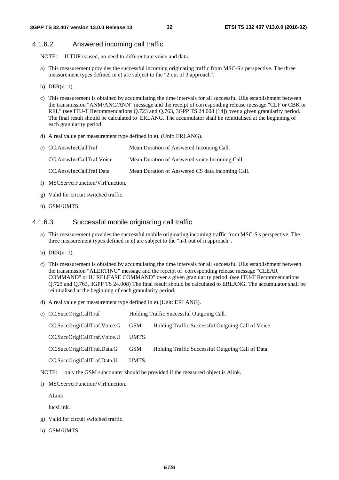#### 4.1.6.2 Answered incoming call traffic

NOTE: If TUP is used, no need to differentiate voice and data.

- a) This measurement provides the successful incoming originating traffic from MSC-S's perspective. The three measurement types defined in e) are subject to the "2 out of 3 approach".
- b)  $DER(n=1)$ .
- c) This measurement is obtained by accumulating the time intervals for all successful UEs establishment between the transmission "ANM/ANC/ANN" message and the receipt of corresponding release message "CLF or CBK or REL" (see ITU-T Recommendations Q.723 and Q.763, 3GPP TS 24.008 [14]) over a given granularity period. The final result should be calculated to ERLANG. The accumulator shall be reinitialised at the beginning of each granularity period.
- d) A real value per measurement type defined in e). (Unit: ERLANG).

| e) CC.AnswIncCallTraf    | Mean Duration of Answered Incoming Call.         |
|--------------------------|--------------------------------------------------|
| CC.AnswIncCallTraf.Voice | Mean Duration of Answered voice Incoming Call.   |
| CC.AnswIncCallTraf.Data  | Mean Duration of Answered CS data Incoming Call. |

- f) MSCServerFunction/VlrFunction.
- g) Valid for circuit switched traffic.
- h) GSM/UMTS.

### 4.1.6.3 Successful mobile originating call traffic

- a) This measurement provides the successful mobile originating incoming traffic from MSC-S's perspective. The three measurement types defined in e) are subject to the "n-1 out of n approach".
- b) DER $(n=1)$ .
- c) This measurement is obtained by accumulating the time intervals for all successful UEs establishment between the transmission "ALERTING" message and the receipt of corresponding release message "CLEAR COMMAND" or IU RELEASE COMMAND" over a given granularity period. (see ITU-T Recommendations Q.723 and Q.763, 3GPP TS 24.008) The final result should be calculated to ERLANG. The accumulator shall be reinitialised at the beginning of each granularity period.
- d) A real value per measurement type defined in e).(Unit: ERLANG).

| e) CC.SuccOrigiCallTraf      |            | Holding Traffic Successful Outgoing Call.          |
|------------------------------|------------|----------------------------------------------------|
| CC.SuccOrigiCallTraf.Voice.G | <b>GSM</b> | Holding Traffic Successful Outgoing Call of Voice. |
| CC.SuccOrigiCallTraf.Voice.U | UMTS.      |                                                    |
| CC.SuccOrigiCallTraf.Data.G  | <b>GSM</b> | Holding Traffic Successful Outgoing Call of Data.  |
| CC.SuccOrigiCallTraf.Data.U  | UMTS.      |                                                    |

- NOTE: only the GSM subcounter should be provided if the measured object is Alink.
- f) MSCServerFunction/VlrFunction.

ALink

IucsLink.

- g) Valid for circuit switched traffic.
- h) GSM/UMTS.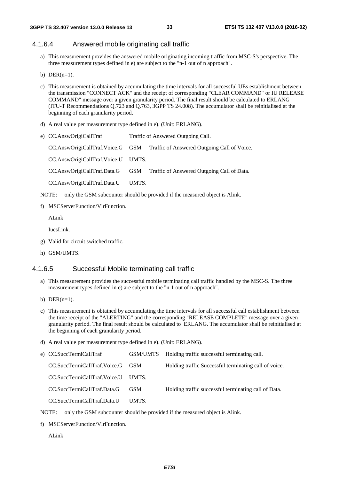# 4.1.6.4 Answered mobile originating call traffic

- a) This measurement provides the answered mobile originating incoming traffic from MSC-S's perspective. The three measurement types defined in e) are subject to the "n-1 out of n approach".
- b) DER $(n=1)$ .
- c) This measurement is obtained by accumulating the time intervals for all successful UEs establishment between the transmission "CONNECT ACK" and the receipt of corresponding "CLEAR COMMAND" or IU RELEASE COMMAND" message over a given granularity period. The final result should be calculated to ERLANG (ITU-T Recommendations Q.723 and Q.763, 3GPP TS 24.008). The accumulator shall be reinitialised at the beginning of each granularity period.
- d) A real value per measurement type defined in e). (Unit: ERLANG).
- e) CC.AnswOrigiCallTraf Traffic of Answered Outgoing Call.

CC.AnswOrigiCallTraf.Voice.G GSM Traffic of Answered Outgoing Call of Voice.

CC.AnswOrigiCallTraf.Voice.U UMTS.

CC.AnswOrigiCallTraf.Data.G GSM Traffic of Answered Outgoing Call of Data.

CC.AnswOrigiCallTraf.Data.U UMTS.

NOTE: only the GSM subcounter should be provided if the measured object is Alink.

f) MSCServerFunction/VlrFunction.

ALink

IucsLink.

- g) Valid for circuit switched traffic.
- h) GSM/UMTS.

#### 4.1.6.5 Successful Mobile terminating call traffic

- a) This measurement provides the successful mobile terminating call traffic handled by the MSC-S. The three measurement types defined in e) are subject to the "n-1 out of n approach".
- b) DER $(n=1)$ .
- c) This measurement is obtained by accumulating the time intervals for all successful call establishment between the time receipt of the "ALERTING" and the corresponding "RELEASE COMPLETE" message over a given granularity period. The final result should be calculated to ERLANG. The accumulator shall be reinitialised at the beginning of each granularity period.
- d) A real value per measurement type defined in e). (Unit: ERLANG).

| e) CC.SuccTermiCallTraf      |              | GSM/UMTS Holding traffic successful terminating call. |
|------------------------------|--------------|-------------------------------------------------------|
| CC.SuccTermiCallTraf.Voice.G | - GSM        | Holding traffic Successful terminating call of voice. |
| CC.SuccTermiCallTraf.Voice.U | <b>TIMTS</b> |                                                       |
| CC.SuccTermiCallTraf.Data.G  | GSM.         | Holding traffic successful terminating call of Data.  |
| CC.SuccTermiCallTraf.Data.U  | <b>HMTS</b>  |                                                       |

NOTE: only the GSM subcounter should be provided if the measured object is Alink.

- f) MSCServerFunction/VlrFunction.
	- ALink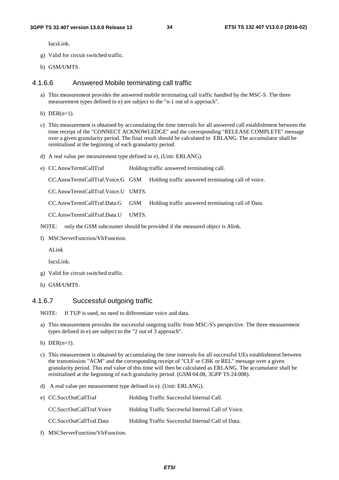IucsLink.

- g) Valid for circuit switched traffic.
- h) GSM/UMTS.

### 4.1.6.6 Answered Mobile terminating call traffic

- a) This measurement provides the answered mobile terminating call traffic handled by the MSC-S. The three measurement types defined in e) are subject to the "n-1 out of n approach".
- b) DER $(n=1)$ .
- c) This measurement is obtained by accumulating the time intervals for all answered call establishment between the time receipt of the "CONNECT ACKNOWLEDGE" and the corresponding "RELEASE COMPLETE" message over a given granularity period. The final result should be calculated to ERLANG. The accumulator shall be reinitialised at the beginning of each granularity period.
- d) A real value per measurement type defined in e). (Unit: ERLANG).
- e) CC.AnswTermiCallTraf Holding traffic answered terminating call. CC.AnswTermiCallTraf.Voice.G GSM Holding traffic answered terminating call of voice. CC.AnswTermiCallTraf.Voice.U UMTS. CC.AnswTermiCallTraf.Data.G GSM Holding traffic answered terminating call of Data. CC.AnswTermiCallTraf.Data.U UMTS.
- NOTE: only the GSM subcounter should be provided if the measured object is Alink.
- f) MSCServerFunction/VlrFunction.

ALink

IucsLink.

- g) Valid for circuit switched traffic.
- h) GSM/UMTS.

# 4.1.6.7 Successful outgoing traffic

NOTE: If TUP is used, no need to differentiate voice and data.

- a) This measurement provides the successful outgoing traffic from MSC-S's perspective. The three measurement types defined in e) are subject to the "2 out of 3 approach".
- b) DER $(n=1)$ .
- c) This measurement is obtained by accumulating the time intervals for all successful UEs establishment between the transmission "ACM" and the corresponding receipt of "CLF or CBK or REL" message over a given granularity period. This end value of this time will then be calculated as ERLANG. The accumulator shall be reinitialised at the beginning of each granularity period. (GSM 04.08, 3GPP TS 24.008).
- d) A real value per measurement type defined in e). (Unit: ERLANG).

| e) CC.SuccOutCallTraf    | Holding Traffic Successful Internal Call.          |
|--------------------------|----------------------------------------------------|
| CC.SuccOutCallTraf.Voice | Holding Traffic Successful Internal Call of Voice. |
| CC.SuccOutCallTraf.Data  | Holding Traffic Successful Internal Call of Data.  |

f) MSCServerFunction/VlrFunction.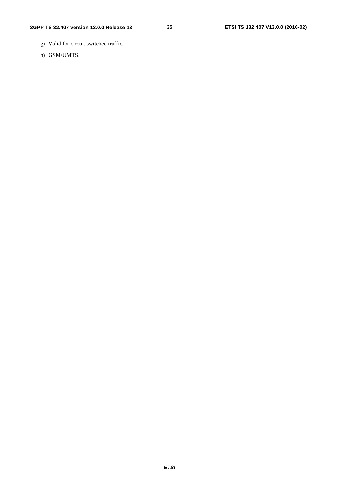- g) Valid for circuit switched traffic.
- h) GSM/UMTS.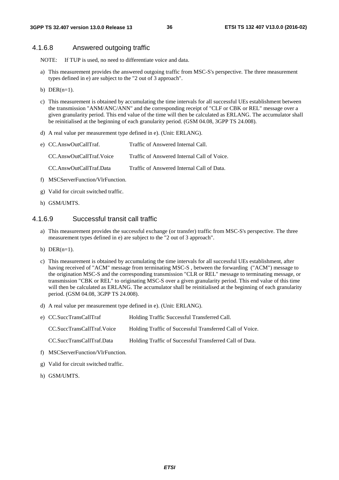### 4.1.6.8 Answered outgoing traffic

NOTE: If TUP is used, no need to differentiate voice and data.

- a) This measurement provides the answered outgoing traffic from MSC-S's perspective. The three measurement types defined in e) are subject to the "2 out of 3 approach".
- b) DER $(n=1)$ .
- c) This measurement is obtained by accumulating the time intervals for all successful UEs establishment between the transmission "ANM/ANC/ANN" and the corresponding receipt of "CLF or CBK or REL" message over a given granularity period. This end value of the time will then be calculated as ERLANG. The accumulator shall be reinitialised at the beginning of each granularity period. (GSM 04.08, 3GPP TS 24.008).
- d) A real value per measurement type defined in e). (Unit: ERLANG).

| e) CC.AnswOutCallTraf.            | Traffic of Answered Internal Call.          |
|-----------------------------------|---------------------------------------------|
| CC.AnswOutCallTraf.Voice          | Traffic of Answered Internal Call of Voice. |
| CC.AnswOutCallTraf.Data           | Traffic of Answered Internal Call of Data.  |
| f) MSCServerFunction/VlrFunction. |                                             |

- 
- g) Valid for circuit switched traffic.
- h) GSM/UMTS.

#### 4.1.6.9 Successful transit call traffic

- a) This measurement provides the successful exchange (or transfer) traffic from MSC-S's perspective. The three measurement types defined in e) are subject to the "2 out of 3 approach".
- b)  $DER(n=1)$ .
- c) This measurement is obtained by accumulating the time intervals for all successful UEs establishment, after having received of "ACM" message from terminating MSC-S , between the forwarding ("ACM") message to the origination MSC-S and the corresponding transmission "CLR or REL" message to terminating message, or transmission "CBK or REL" to originating MSC-S over a given granularity period. This end value of this time will then be calculated as ERLANG. The accumulator shall be reinitialised at the beginning of each granularity period. (GSM 04.08, 3GPP TS 24.008).
- d) A real value per measurement type defined in e). (Unit: ERLANG).

| e) CC.SuccTransCallTraf    | Holding Traffic Successful Transferred Call.             |
|----------------------------|----------------------------------------------------------|
| CC.SuccTransCallTraf.Voice | Holding Traffic of Successful Transferred Call of Voice. |
| CC.SuccTransCallTraf.Data  | Holding Traffic of Successful Transferred Call of Data.  |

- f) MSCServerFunction/VlrFunction.
- g) Valid for circuit switched traffic.
- h) GSM/UMTS.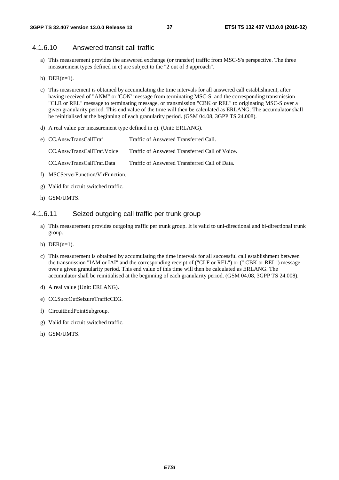# 4.1.6.10 Answered transit call traffic

- a) This measurement provides the answered exchange (or transfer) traffic from MSC-S's perspective. The three measurement types defined in e) are subject to the "2 out of 3 approach".
- b) DER $(n=1)$ .
- c) This measurement is obtained by accumulating the time intervals for all answered call establishment, after having received of "ANM" or 'CON' message from terminating MSC-S and the corresponding transmission "CLR or REL" message to terminating message, or transmission "CBK or REL" to originating MSC-S over a given granularity period. This end value of the time will then be calculated as ERLANG. The accumulator shall be reinitialised at the beginning of each granularity period. (GSM 04.08, 3GPP TS 24.008).
- d) A real value per measurement type defined in e). (Unit: ERLANG).
- e) CC.AnswTransCallTraf Traffic of Answered Transferred Call. CC.AnswTransCallTraf.Voice Traffic of Answered Transferred Call of Voice. CC.AnswTransCallTraf.Data Traffic of Answered Transferred Call of Data.
- f) MSCServerFunction/VlrFunction.
- g) Valid for circuit switched traffic.
- h) GSM/UMTS.

#### 4.1.6.11 Seized outgoing call traffic per trunk group

- a) This measurement provides outgoing traffic per trunk group. It is valid to uni-directional and bi-directional trunk group.
- b) DER $(n=1)$ .
- c) This measurement is obtained by accumulating the time intervals for all successful call establishment between the transmission "IAM or IAI" and the corresponding receipt of ("CLF or REL") or (" CBK or REL") message over a given granularity period. This end value of this time will then be calculated as ERLANG. The accumulator shall be reinitialised at the beginning of each granularity period. (GSM 04.08, 3GPP TS 24.008).
- d) A real value (Unit: ERLANG).
- e) CC.SuccOutSeizureTrafficCEG.
- f) CircuitEndPointSubgroup.
- g) Valid for circuit switched traffic.
- h) GSM/UMTS.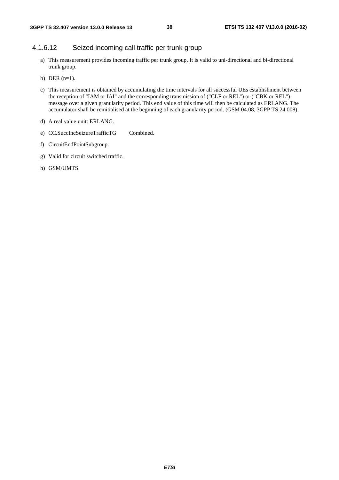# 4.1.6.12 Seized incoming call traffic per trunk group

- a) This measurement provides incoming traffic per trunk group. It is valid to uni-directional and bi-directional trunk group.
- b) DER (n=1).
- c) This measurement is obtained by accumulating the time intervals for all successful UEs establishment between the reception of "IAM or IAI" and the corresponding transmission of ("CLF or REL") or ("CBK or REL") message over a given granularity period. This end value of this time will then be calculated as ERLANG. The accumulator shall be reinitialised at the beginning of each granularity period. (GSM 04.08, 3GPP TS 24.008).
- d) A real value unit: ERLANG.
- e) CC.SuccIncSeizureTrafficTG Combined.
- f) CircuitEndPointSubgroup.
- g) Valid for circuit switched traffic.
- h) GSM/UMTS.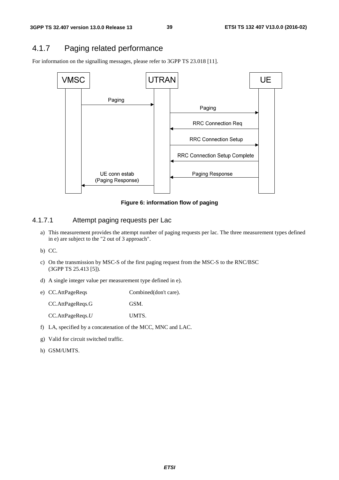# 4.1.7 Paging related performance

For information on the signalling messages, please refer to 3GPP TS 23.018 [11].



**Figure 6: information flow of paging** 

## 4.1.7.1 Attempt paging requests per Lac

- a) This measurement provides the attempt number of paging requests per lac. The three measurement types defined in e) are subject to the "2 out of 3 approach".
- b) CC.
- c) On the transmission by MSC-S of the first paging request from the MSC-S to the RNC/BSC (3GPP TS 25.413 [5]).
- d) A single integer value per measurement type defined in e).
- e) CC.AttPageReqs Combined(don't care). CC.AttPageReqs.G GSM. CC.AttPageReqs.*U* UMTS.
- f) LA, specified by a concatenation of the MCC, MNC and LAC.
- g) Valid for circuit switched traffic.
- h) GSM/UMTS.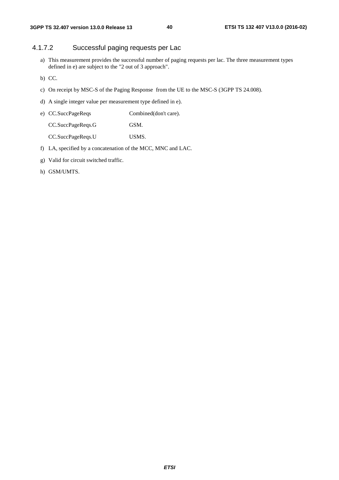# 4.1.7.2 Successful paging requests per Lac

a) This measurement provides the successful number of paging requests per lac. The three measurement types defined in e) are subject to the "2 out of 3 approach".

b) CC.

- c) On receipt by MSC-S of the Paging Response from the UE to the MSC-S (3GPP TS 24.008).
- d) A single integer value per measurement type defined in e).

| e) CC.SuccPageReqs | Combined(don't care). |
|--------------------|-----------------------|
| CC.SuccPageReqs.G  | GSM.                  |

CC.SuccPageReqs.U USMS.

- f) LA, specified by a concatenation of the MCC, MNC and LAC.
- g) Valid for circuit switched traffic.
- h) GSM/UMTS.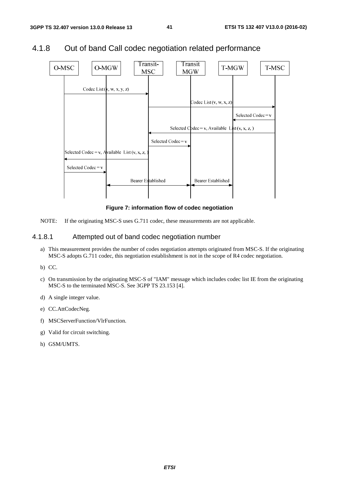

# 4.1.8 Out of band Call codec negotiation related performance

**Figure 7: information flow of codec negotiation** 

NOTE: If the originating MSC-S uses G.711 codec, these measurements are not applicable.

### 4.1.8.1 Attempted out of band codec negotiation number

- a) This measurement provides the number of codes negotiation attempts originated from MSC-S. If the originating MSC-S adopts G.711 codec, this negotiation establishment is not in the scope of R4 codec negotiation.
- b) CC.
- c) On transmission by the originating MSC-S of "IAM" message which includes codec list IE from the originating MSC-S to the terminated MSC-S. See 3GPP TS 23.153 [4].
- d) A single integer value.
- e) CC.AttCodecNeg.
- f) MSCServerFunction/VlrFunction.
- g) Valid for circuit switching.
- h) GSM/UMTS.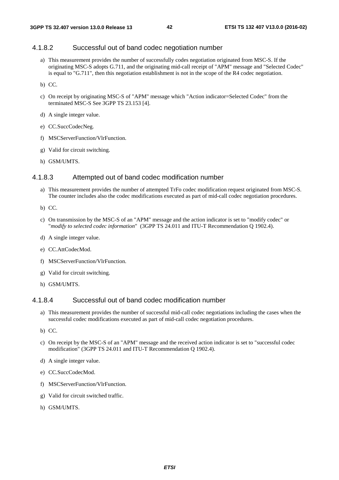### 4.1.8.2 Successful out of band codec negotiation number

a) This measurement provides the number of successfully codes negotiation originated from MSC-S. If the originating MSC-S adopts G.711, and the originating mid-call receipt of "APM" message and "Selected Codec" is equal to "G.711", then this negotiation establishment is not in the scope of the R4 codec negotiation.

b) CC.

- c) On receipt by originating MSC-S of "APM" message which "Action indicator=Selected Codec" from the terminated MSC-S See 3GPP TS 23.153 [4].
- d) A single integer value.
- e) CC.SuccCodecNeg.
- f) MSCServerFunction/VlrFunction.
- g) Valid for circuit switching.
- h) GSM/UMTS.

#### 4.1.8.3 Attempted out of band codec modification number

- a) This measurement provides the number of attempted TrFo codec modification request originated from MSC-S. The counter includes also the codec modifications executed as part of mid-call codec negotiation procedures.
- b) CC.
- c) On transmission by the MSC-S of an "APM" message and the action indicator is set to "modify codec" or "*modify to selected codec information*" (3GPP TS 24.011 and ITU-T Recommendation Q 1902.4).
- d) A single integer value.
- e) CC.AttCodecMod.
- f) MSCServerFunction/VlrFunction.
- g) Valid for circuit switching.
- h) GSM/UMTS.

#### 4.1.8.4 Successful out of band codec modification number

- a) This measurement provides the number of successful mid-call codec negotiations including the cases when the successful codec modifications executed as part of mid-call codec negotiation procedures.
- b) CC.
- c) On receipt by the MSC-S of an "APM" message and the received action indicator is set to "successful codec modification" (3GPP TS 24.011 and ITU-T Recommendation Q 1902.4).
- d) A single integer value.
- e) CC.SuccCodecMod.
- f) MSCServerFunction/VlrFunction.
- g) Valid for circuit switched traffic.
- h) GSM/UMTS.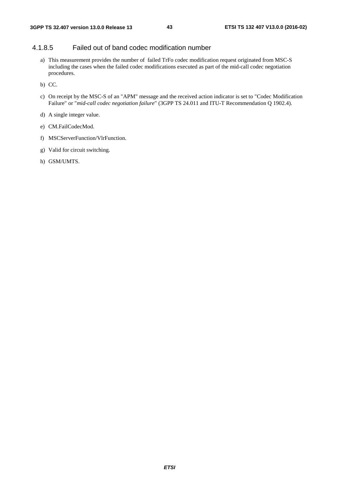# 4.1.8.5 Failed out of band codec modification number

a) This measurement provides the number of failed TrFo codec modification request originated from MSC-S including the cases when the failed codec modifications executed as part of the mid-call codec negotiation procedures.

b) CC.

- c) On receipt by the MSC-S of an "APM" message and the received action indicator is set to "Codec Modification Failure" or "*mid-call codec negotiation failure*" (3GPP TS 24.011 and ITU-T Recommendation Q 1902.4).
- d) A single integer value.
- e) CM.FailCodecMod.
- f) MSCServerFunction/VlrFunction.
- g) Valid for circuit switching.
- h) GSM/UMTS.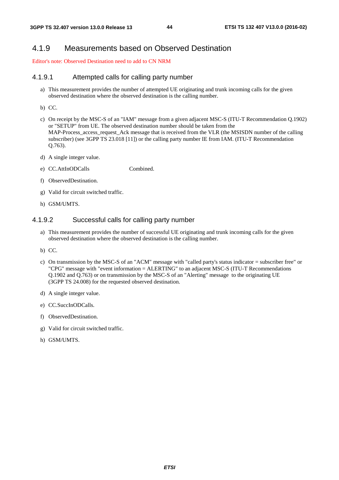# 4.1.9 Measurements based on Observed Destination

Editor's note: Observed Destination need to add to CN NRM

#### 4.1.9.1 Attempted calls for calling party number

- a) This measurement provides the number of attempted UE originating and trunk incoming calls for the given observed destination where the observed destination is the calling number.
- b) CC.
- c) On receipt by the MSC-S of an "IAM" message from a given adjacent MSC-S (ITU-T Recommendation Q.1902) or "SETUP" from UE. The observed destination number should be taken from the MAP-Process access request Ack message that is received from the VLR (the MSISDN number of the calling subscriber) (see 3GPP TS 23.018 [11]) or the calling party number IE from IAM. (ITU-T Recommendation Q.763).
- d) A single integer value.
- e) CC.AttInODCalls Combined.
- f) ObservedDestination.
- g) Valid for circuit switched traffic.
- h) GSM/UMTS.

#### 4.1.9.2 Successful calls for calling party number

- a) This measurement provides the number of successful UE originating and trunk incoming calls for the given observed destination where the observed destination is the calling number.
- b) CC.
- c) On transmission by the MSC-S of an "ACM" message with "called party's status indicator = subscriber free" or "CPG" message with "event information = ALERTING" to an adjacent MSC-S (ITU-T Recommendations Q.1902 and Q.763) or on transmission by the MSC-S of an "Alerting" message to the originating UE (3GPP TS 24.008) for the requested observed destination.
- d) A single integer value.
- e) CC.SuccInODCalls.
- f) ObservedDestination.
- g) Valid for circuit switched traffic.
- h) GSM/UMTS.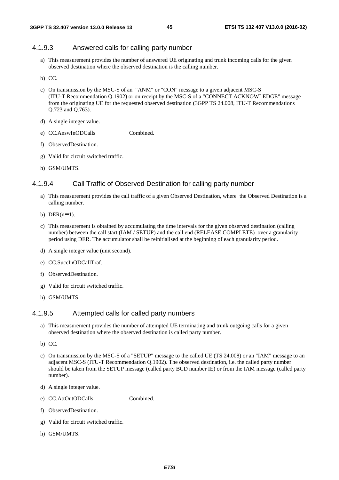#### 4.1.9.3 Answered calls for calling party number

- a) This measurement provides the number of answered UE originating and trunk incoming calls for the given observed destination where the observed destination is the calling number.
- b) CC.
- c) On transmission by the MSC-S of an "ANM" or "CON" message to a given adjacent MSC-S (ITU-T Recommendation Q.1902) or on receipt by the MSC-S of a "CONNECT ACKNOWLEDGE" message from the originating UE for the requested observed destination (3GPP TS 24.008, ITU-T Recommendations Q.723 and Q.763).
- d) A single integer value.
- e) CC.AnswInODCalls Combined.
- f) ObservedDestination.
- g) Valid for circuit switched traffic.
- h) GSM/UMTS.

## 4.1.9.4 Call Traffic of Observed Destination for calling party number

- a) This measurement provides the call traffic of a given Observed Destination, where the Observed Destination is a calling number.
- b) DER $(n=1)$ .
- c) This measurement is obtained by accumulating the time intervals for the given observed destination (calling number) between the call start (IAM / SETUP) and the call end (RELEASE COMPLETE) over a granularity period using DER. The accumulator shall be reinitialised at the beginning of each granularity period.
- d) A single integer value (unit second).
- e) CC.SuccInODCallTraf.
- f) ObservedDestination.
- g) Valid for circuit switched traffic.
- h) GSM/UMTS.

#### 4.1.9.5 Attempted calls for called party numbers

- a) This measurement provides the number of attempted UE terminating and trunk outgoing calls for a given observed destination where the observed destination is called party number.
- b) CC.
- c) On transmission by the MSC-S of a "SETUP" message to the called UE (TS 24.008) or an "IAM" message to an adjacent MSC-S (ITU-T Recommendation Q.1902). The observed destination, i.e. the called party number should be taken from the SETUP message (called party BCD number IE) or from the IAM message (called party number).
- d) A single integer value.
- e) CC.AttOutODCalls Combined.
- f) ObservedDestination.
- g) Valid for circuit switched traffic.
- h) GSM/UMTS.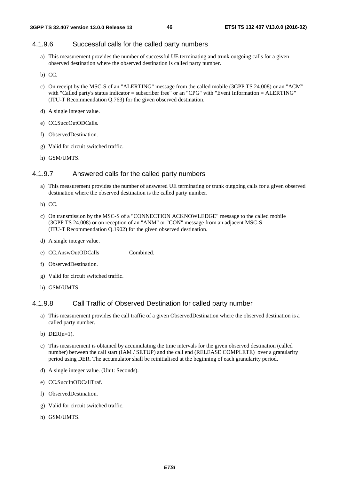## 4.1.9.6 Successful calls for the called party numbers

- a) This measurement provides the number of successful UE terminating and trunk outgoing calls for a given observed destination where the observed destination is called party number.
- b) CC.
- c) On receipt by the MSC-S of an "ALERTING" message from the called mobile (3GPP TS 24.008) or an "ACM" with "Called party's status indicator = subscriber free" or an "CPG" with "Event Information = ALERTING" (ITU-T Recommendation Q.763) for the given observed destination.
- d) A single integer value.
- e) CC.SuccOutODCalls.
- f) ObservedDestination.
- g) Valid for circuit switched traffic.
- h) GSM/UMTS.

# 4.1.9.7 Answered calls for the called party numbers

- a) This measurement provides the number of answered UE terminating or trunk outgoing calls for a given observed destination where the observed destination is the called party number.
- b) CC.
- c) On transmission by the MSC-S of a "CONNECTION ACKNOWLEDGE" message to the called mobile (3GPP TS 24.008) or on reception of an "ANM" or "CON" message from an adjacent MSC-S (ITU-T Recommendation Q.1902) for the given observed destination.
- d) A single integer value.
- e) CC.AnswOutODCalls Combined.
- f) ObservedDestination.
- g) Valid for circuit switched traffic.
- h) GSM/UMTS.

#### 4.1.9.8 Call Traffic of Observed Destination for called party number

- a) This measurement provides the call traffic of a given ObservedDestination where the observed destination is a called party number.
- b)  $DER(n=1)$ .
- c) This measurement is obtained by accumulating the time intervals for the given observed destination (called number) between the call start (IAM / SETUP) and the call end (RELEASE COMPLETE) over a granularity period using DER. The accumulator shall be reinitialised at the beginning of each granularity period.
- d) A single integer value. (Unit: Seconds).
- e) CC.SuccInODCallTraf.
- f) ObservedDestination.
- g) Valid for circuit switched traffic.
- h) GSM/UMTS.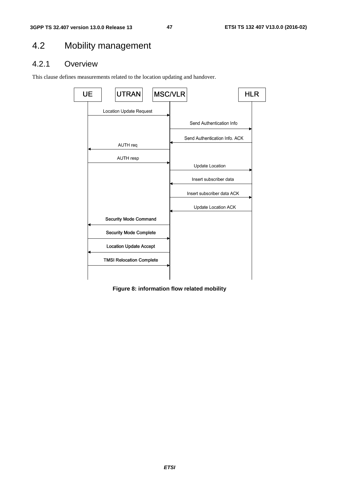# 4.2 Mobility management

# 4.2.1 Overview

This clause defines measurements related to the location updating and handover.



**Figure 8: information flow related mobility**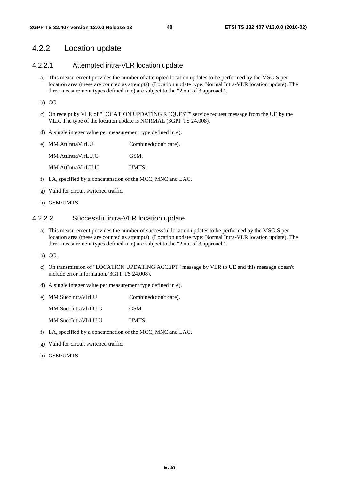# 4.2.2 Location update

# 4.2.2.1 Attempted intra-VLR location update

a) This measurement provides the number of attempted location updates to be performed by the MSC-S per location area (these are counted as attempts). (Location update type: Normal Intra-VLR location update). The three measurement types defined in e) are subject to the "2 out of 3 approach".

b) CC.

- c) On receipt by VLR of "LOCATION UPDATING REQUEST" service request message from the UE by the VLR. The type of the location update is NORMAL (3GPP TS 24.008).
- d) A single integer value per measurement type defined in e).

| e) MM AttIntraVlrLU | Combined(don't care). |
|---------------------|-----------------------|
| MM AttIntraVlrLU.G  | GSM.                  |
| MM AttIntraVlrLU.U  | UMTS.                 |

- f) LA, specified by a concatenation of the MCC, MNC and LAC.
- g) Valid for circuit switched traffic.
- h) GSM/UMTS.

# 4.2.2.2 Successful intra-VLR location update

a) This measurement provides the number of successful location updates to be performed by the MSC-S per location area (these are counted as attempts). (Location update type: Normal Intra-VLR location update). The three measurement types defined in e) are subject to the "2 out of 3 approach".

b) CC.

- c) On transmission of "LOCATION UPDATING ACCEPT" message by VLR to UE and this message doesn't include error information.(3GPP TS 24.008).
- d) A single integer value per measurement type defined in e).
- e) MM.SuccIntraVlrLU Combined(don't care). MM.SuccIntraVlrLU.G GSM.

MM.SuccIntraVlrLU.U UMTS.

- f) LA, specified by a concatenation of the MCC, MNC and LAC.
- g) Valid for circuit switched traffic.
- h) GSM/UMTS.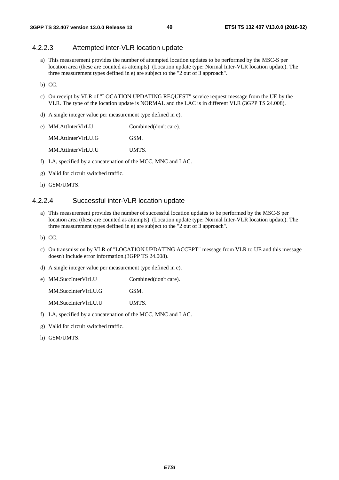#### 4.2.2.3 Attempted inter-VLR location update

a) This measurement provides the number of attempted location updates to be performed by the MSC-S per location area (these are counted as attempts). (Location update type: Normal Inter-VLR location update). The three measurement types defined in e) are subject to the "2 out of 3 approach".

b) CC.

- c) On receipt by VLR of "LOCATION UPDATING REQUEST" service request message from the UE by the VLR. The type of the location update is NORMAL and the LAC is in different VLR (3GPP TS 24.008).
- d) A single integer value per measurement type defined in e).

| e) MM.AttInterVlrLU | Combined(don't care). |
|---------------------|-----------------------|
| MM.AttInterVlrLU.G  | GSM.                  |
| MM.AttInterVlrLU.U  | UMTS.                 |

- f) LA, specified by a concatenation of the MCC, MNC and LAC.
- g) Valid for circuit switched traffic.
- h) GSM/UMTS.

#### 4.2.2.4 Successful inter-VLR location update

- a) This measurement provides the number of successful location updates to be performed by the MSC-S per location area (these are counted as attempts). (Location update type: Normal Inter-VLR location update). The three measurement types defined in e) are subject to the "2 out of 3 approach".
- b) CC.
- c) On transmission by VLR of "LOCATION UPDATING ACCEPT" message from VLR to UE and this message doesn't include error information.(3GPP TS 24.008).
- d) A single integer value per measurement type defined in e).

e) MM.SuccInterVlrLU Combined(don't care). MM.SuccInterVlrLU.G GSM. MM.SuccInterVlrLU.U UMTS.

- f) LA, specified by a concatenation of the MCC, MNC and LAC.
- g) Valid for circuit switched traffic.
- h) GSM/UMTS.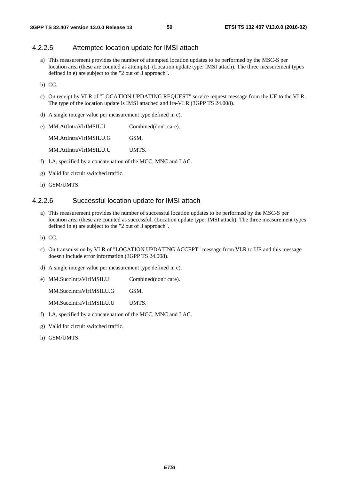## 4.2.2.5 Attempted location update for IMSI attach

a) This measurement provides the number of attempted location updates to be performed by the MSC-S per location area (these are counted as attempts). (Location update type: IMSI attach). The three measurement types defined in e) are subject to the "2 out of 3 approach".

b) CC.

- c) On receipt by VLR of "LOCATION UPDATING REQUEST" service request message from the UE to the VLR. The type of the location update is IMSI attached and Ira-VLR (3GPP TS 24.008).
- d) A single integer value per measurement type defined in e).
- e) MM.AttIntraVlrIMSILU Combined(don't care). MM.AttIntraVlrIMSILU.G GSM. MM.AttIntraVlrIMSILU.U UMTS.
- f) LA, specified by a concatenation of the MCC, MNC and LAC.
- g) Valid for circuit switched traffic.
- h) GSM/UMTS.

#### 4.2.2.6 Successful location update for IMSI attach

- a) This measurement provides the number of successful location updates to be performed by the MSC-S per location area (these are counted as successful. (Location update type: IMSI attach). The three measurement types defined in e) are subject to the "2 out of 3 approach".
- b) CC.
- c) On transmission by VLR of "LOCATION UPDATING ACCEPT" message from VLR to UE and this message doesn't include error information.(3GPP TS 24.008).
- d) A single integer value per measurement type defined in e).

e) MM.SuccIntraVlrIMSILU Combined(don't care). MM.SuccIntraVlrIMSILU.G GSM. MM.SuccIntraVlrIMSILU.U UMTS.

- f) LA, specified by a concatenation of the MCC, MNC and LAC.
- g) Valid for circuit switched traffic.
- h) GSM/UMTS.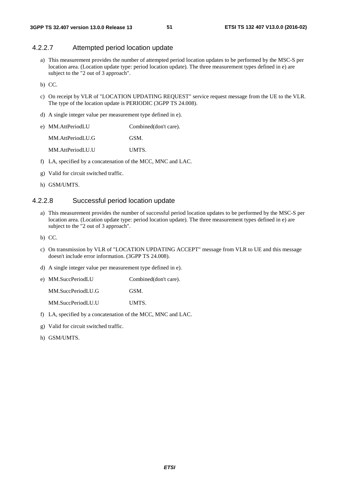#### 4.2.2.7 Attempted period location update

a) This measurement provides the number of attempted period location updates to be performed by the MSC-S per location area. (Location update type: period location update). The three measurement types defined in e) are subject to the "2 out of 3 approach".

b) CC.

- c) On receipt by VLR of "LOCATION UPDATING REQUEST" service request message from the UE to the VLR. The type of the location update is PERIODIC (3GPP TS 24.008).
- d) A single integer value per measurement type defined in e).
- e) MM.AttPeriodLU Combined(don't care). MM.AttPeriodLU.G GSM. MM.AttPeriodLU.U UMTS.
- f) LA, specified by a concatenation of the MCC, MNC and LAC.
- g) Valid for circuit switched traffic.
- h) GSM/UMTS.

#### 4.2.2.8 Successful period location update

- a) This measurement provides the number of successful period location updates to be performed by the MSC-S per location area. (Location update type: period location update). The three measurement types defined in e) are subject to the "2 out of 3 approach".
- b) CC.
- c) On transmission by VLR of "LOCATION UPDATING ACCEPT" message from VLR to UE and this message doesn't include error information. (3GPP TS 24.008).
- d) A single integer value per measurement type defined in e).

e) MM.SuccPeriodLU Combined(don't care). MM.SuccPeriodLU.G GSM. MM.SuccPeriodLU.U UMTS.

- 
- f) LA, specified by a concatenation of the MCC, MNC and LAC.
- g) Valid for circuit switched traffic.
- h) GSM/UMTS.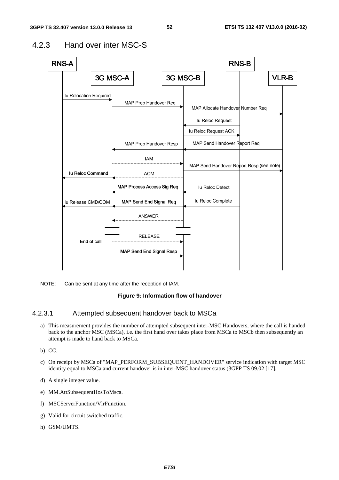

# 4.2.3 Hand over inter MSC-S

NOTE: Can be sent at any time after the reception of IAM.

#### **Figure 9: Information flow of handover**

## 4.2.3.1 Attempted subsequent handover back to MSCa

- a) This measurement provides the number of attempted subsequent inter-MSC Handovers, where the call is handed back to the anchor MSC (MSCa), i.e. the first hand over takes place from MSCa to MSCb then subsequently an attempt is made to hand back to MSCa.
- b) CC.
- c) On receipt by MSCa of "MAP\_PERFORM\_SUBSEQUENT\_HANDOVER" service indication with target MSC identity equal to MSCa and current handover is in inter-MSC handover status (3GPP TS 09.02 [17].
- d) A single integer value.
- e) MM.AttSubsequentHosToMsca.
- f) MSCServerFunction/VlrFunction.
- g) Valid for circuit switched traffic.
- h) GSM/UMTS.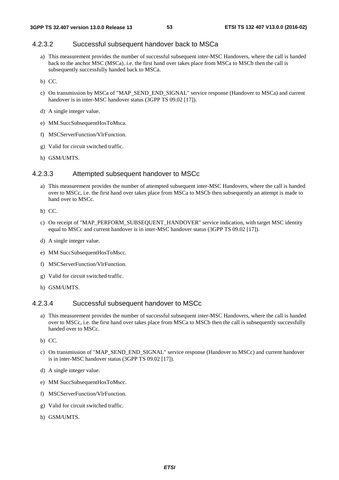## 4.2.3.2 Successful subsequent handover back to MSCa

- a) This measurement provides the number of successful subsequent inter-MSC Handovers, where the call is handed back to the anchor MSC (MSCa). i.e. the first hand over takes place from MSCa to MSCb then the call is subsequently successfully handed back to MSCa.
- b) CC.
- c) On transmission by MSCa of "MAP\_SEND\_END\_SIGNAL" service response (Handover to MSCa) and current handover is in inter-MSC handover status (3GPP TS 09.02 [17]).
- d) A single integer value.
- e) MM.SuccSubsequentHosToMsca.
- f) MSCServerFunction/VlrFunction.
- g) Valid for circuit switched traffic.
- h) GSM/UMTS.

# 4.2.3.3 Attempted subsequent handover to MSCc

- a) This measurement provides the number of attempted subsequent inter-MSC Handovers, where the call is handed over to MSCc, i.e. the first hand over takes place from MSCa to MSCb then subsequently an attempt is made to hand over to MSCc.
- b) CC.
- c) On receipt of "MAP\_PERFORM\_SUBSEQUENT\_HANDOVER" service indication, with target MSC identity equal to MSCc and current handover is in inter-MSC handover status (3GPP TS 09.02 [17]).
- d) A single integer value.
- e) MM SuccSubsequentHosToMscc.
- f) MSCServerFunction/VlrFunction.
- g) Valid for circuit switched traffic.
- h) GSM/UMTS.

## 4.2.3.4 Successful subsequent handover to MSCc

- a) This measurement provides the number of successful subsequent inter-MSC Handovers, where the call is handed over to MSCc, i.e. the first hand over takes place from MSCa to MSCb then the call is subsequently successfully handed over to MSCc.
- b) CC.
- c) On transmission of "MAP\_SEND\_END\_SIGNAL" service response (Handover to MSCc) and current handover is in inter-MSC handover status (3GPP TS 09.02 [17]).
- d) A single integer value.
- e) MM SuccSubsequentHosToMscc.
- f) MSCServerFunction/VlrFunction.
- g) Valid for circuit switched traffic.
- h) GSM/UMTS.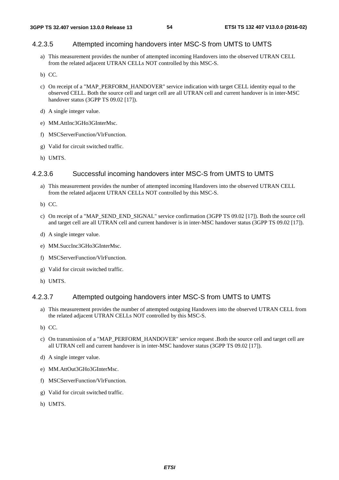# 4.2.3.5 Attempted incoming handovers inter MSC-S from UMTS to UMTS

- a) This measurement provides the number of attempted incoming Handovers into the observed UTRAN CELL from the related adjacent UTRAN CELLs NOT controlled by this MSC-S.
- b) CC.
- c) On receipt of a "MAP\_PERFORM\_HANDOVER" service indication with target CELL identity equal to the observed CELL. Both the source cell and target cell are all UTRAN cell and current handover is in inter-MSC handover status (3GPP TS 09.02 [17]).
- d) A single integer value.
- e) MM.AttInc3GHo3GInterMsc.
- f) MSCServerFunction/VlrFunction.
- g) Valid for circuit switched traffic.
- h) UMTS.

## 4.2.3.6 Successful incoming handovers inter MSC-S from UMTS to UMTS

- a) This measurement provides the number of attempted incoming Handovers into the observed UTRAN CELL from the related adjacent UTRAN CELLs NOT controlled by this MSC-S.
- b) CC.
- c) On receipt of a "MAP\_SEND\_END\_SIGNAL" service confirmation (3GPP TS 09.02 [17]). Both the source cell and target cell are all UTRAN cell and current handover is in inter-MSC handover status (3GPP TS 09.02 [17]).
- d) A single integer value.
- e) MM.SuccInc3GHo3GInterMsc.
- f) MSCServerFunction/VlrFunction.
- g) Valid for circuit switched traffic.
- h) UMTS.

## 4.2.3.7 Attempted outgoing handovers inter MSC-S from UMTS to UMTS

- a) This measurement provides the number of attempted outgoing Handovers into the observed UTRAN CELL from the related adjacent UTRAN CELLs NOT controlled by this MSC-S.
- b) CC.
- c) On transmission of a "MAP\_PERFORM\_HANDOVER" service request .Both the source cell and target cell are all UTRAN cell and current handover is in inter-MSC handover status (3GPP TS 09.02 [17]).
- d) A single integer value.
- e) MM.AttOut3GHo3GInterMsc.
- f) MSCServerFunction/VlrFunction.
- g) Valid for circuit switched traffic.
- h) UMTS.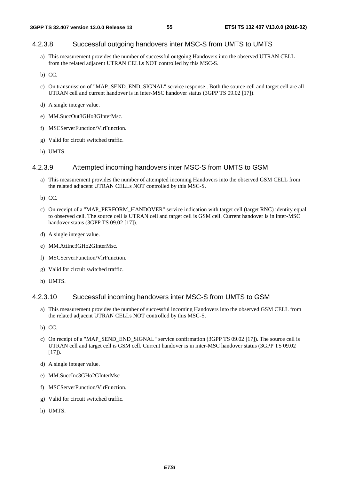# 4.2.3.8 Successful outgoing handovers inter MSC-S from UMTS to UMTS

- a) This measurement provides the number of successful outgoing Handovers into the observed UTRAN CELL from the related adjacent UTRAN CELLs NOT controlled by this MSC-S.
- b) CC.
- c) On transmission of "MAP\_SEND\_END\_SIGNAL" service response . Both the source cell and target cell are all UTRAN cell and current handover is in inter-MSC handover status (3GPP TS 09.02 [17]).
- d) A single integer value.
- e) MM.SuccOut3GHo3GInterMsc.
- f) MSCServerFunction/VlrFunction.
- g) Valid for circuit switched traffic.
- h) UMTS.

# 4.2.3.9 Attempted incoming handovers inter MSC-S from UMTS to GSM

- a) This measurement provides the number of attempted incoming Handovers into the observed GSM CELL from the related adjacent UTRAN CELLs NOT controlled by this MSC-S.
- b) CC.
- c) On receipt of a "MAP\_PERFORM\_HANDOVER" service indication with target cell (target RNC) identity equal to observed cell. The source cell is UTRAN cell and target cell is GSM cell. Current handover is in inter-MSC handover status (3GPP TS 09.02 [17]).
- d) A single integer value.
- e) MM.AttInc3GHo2GInterMsc.
- f) MSCServerFunction/VlrFunction.
- g) Valid for circuit switched traffic.
- h) UMTS.

## 4.2.3.10 Successful incoming handovers inter MSC-S from UMTS to GSM

- a) This measurement provides the number of successful incoming Handovers into the observed GSM CELL from the related adjacent UTRAN CELLs NOT controlled by this MSC-S.
- b) CC.
- c) On receipt of a "MAP\_SEND\_END\_SIGNAL" service confirmation (3GPP TS 09.02 [17]). The source cell is UTRAN cell and target cell is GSM cell. Current handover is in inter-MSC handover status (3GPP TS 09.02  $[17]$ ).
- d) A single integer value.
- e) MM.SuccInc3GHo2GInterMsc
- f) MSCServerFunction/VlrFunction.
- g) Valid for circuit switched traffic.
- h) UMTS.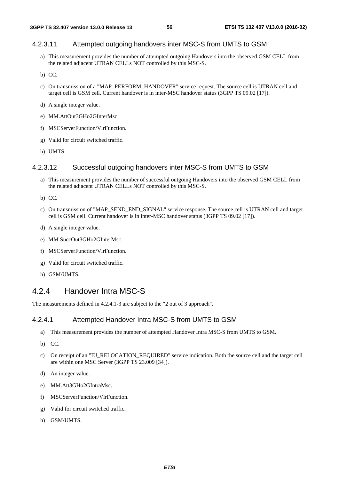# 4.2.3.11 Attempted outgoing handovers inter MSC-S from UMTS to GSM

- a) This measurement provides the number of attempted outgoing Handovers into the observed GSM CELL from the related adjacent UTRAN CELLs NOT controlled by this MSC-S.
- b) CC.
- c) On transmission of a "MAP\_PERFORM\_HANDOVER" service request. The source cell is UTRAN cell and target cell is GSM cell. Current handover is in inter-MSC handover status (3GPP TS 09.02 [17]).
- d) A single integer value.
- e) MM.AttOut3GHo2GInterMsc.
- f) MSCServerFunction/VlrFunction.
- g) Valid for circuit switched traffic.
- h) UMTS.

# 4.2.3.12 Successful outgoing handovers inter MSC-S from UMTS to GSM

a) This measurement provides the number of successful outgoing Handovers into the observed GSM CELL from the related adjacent UTRAN CELLs NOT controlled by this MSC-S.

b) CC.

- c) On transmission of "MAP\_SEND\_END\_SIGNAL" service response. The source cell is UTRAN cell and target cell is GSM cell. Current handover is in inter-MSC handover status (3GPP TS 09.02 [17]).
- d) A single integer value.
- e) MM.SuccOut3GHo2GInterMsc.
- f) MSCServerFunction/VlrFunction.
- g) Valid for circuit switched traffic.
- h) GSM/UMTS.

# 4.2.4 Handover Intra MSC-S

The measurements defined in 4.2.4.1-3 are subject to the "2 out of 3 approach".

#### 4.2.4.1 Attempted Handover Intra MSC-S from UMTS to GSM

- a) This measurement provides the number of attempted Handover Intra MSC-S from UMTS to GSM.
- b) CC.
- c) On receipt of an "IU\_RELOCATION\_REQUIRED" service indication. Both the source cell and the target cell are within one MSC Server (3GPP TS 23.009 [34]).
- d) An integer value.
- e) MM.Att3GHo2GIntraMsc.
- f) MSCServerFunction/VlrFunction.
- g) Valid for circuit switched traffic.
- h) GSM/UMTS.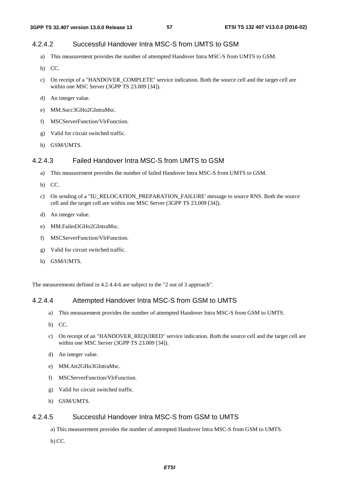# 4.2.4.2 Successful Handover Intra MSC-S from UMTS to GSM

- a) This measurement provides the number of attempted Handover Intra MSC-S from UMTS to GSM.
- b) CC.
- c) On receipt of a "HANDOVER\_COMPLETE" service indication. Both the source cell and the target cell are within one MSC Server (3GPP TS 23.009 [34]).
- d) An integer value.
- e) MM.Succ3GHo2GIntraMsc.
- f) MSCServerFunction/VlrFunction.
- g) Valid for circuit switched traffic.
- h) GSM/UMTS.

# 4.2.4.3 Failed Handover Intra MSC-S from UMTS to GSM

- a) This measurement provides the number of failed Handover Intra MSC-S from UMTS to GSM.
- b) CC.
- c) On sending of a "IU\_RELOCATION\_PREPARATION\_FAILURE' message to source RNS. Both the source cell and the target cell are within one MSC Server (3GPP TS 23.009 [34]).
- d) An integer value.
- e) MM.Failed3GHo2GIntraMsc.
- f) MSCServerFunction/VlrFunction.
- g) Valid for circuit switched traffic.
- h) GSM/UMTS.

The measurements defined in 4.2.4.4-6 are subject to the "2 out of 3 approach".

#### 4.2.4.4 Attempted Handover Intra MSC-S from GSM to UMTS

- a) This measurement provides the number of attempted Handover Intra MSC-S from GSM to UMTS.
- b) CC.
- c) On receipt of an "HANDOVER\_REQUIRED" service indication. Both the source cell and the target cell are within one MSC Server (3GPP TS 23.009 [34]).
- d) An integer value.
- e) MM.Att2GHo3GIntraMsc.
- f) MSCServerFunction/VlrFunction.
- g) Valid for circuit switched traffic.
- h) GSM/UMTS.

# 4.2.4.5 Successful Handover Intra MSC-S from GSM to UMTS

- a) This measurement provides the number of attempted Handover Intra MSC-S from GSM to UMTS.
- b) CC.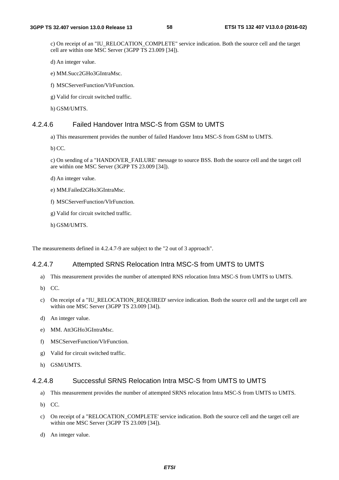c) On receipt of an "IU\_RELOCATION\_COMPLETE" service indication. Both the source cell and the target cell are within one MSC Server (3GPP TS 23.009 [34]).

d) An integer value.

- e) MM.Succ2GHo3GIntraMsc.
- f) MSCServerFunction/VlrFunction.
- g) Valid for circuit switched traffic.
- h) GSM/UMTS.

## 4.2.4.6 Failed Handover Intra MSC-S from GSM to UMTS

a) This measurement provides the number of failed Handover Intra MSC-S from GSM to UMTS.

b) CC.

c) On sending of a "HANDOVER\_FAILURE' message to source BSS. Both the source cell and the target cell are within one MSC Server (3GPP TS 23.009 [34]).

- d) An integer value.
- e) MM.Failed2GHo3GIntraMsc.
- f) MSCServerFunction/VlrFunction.
- g) Valid for circuit switched traffic.
- h) GSM/UMTS.

The measurements defined in 4.2.4.7-9 are subject to the "2 out of 3 approach".

#### 4.2.4.7 Attempted SRNS Relocation Intra MSC-S from UMTS to UMTS

- a) This measurement provides the number of attempted RNS relocation Intra MSC-S from UMTS to UMTS.
- b) CC.
- c) On receipt of a "IU\_RELOCATION\_REQUIRED' service indication. Both the source cell and the target cell are within one MSC Server (3GPP TS 23.009 [34]).
- d) An integer value.
- e) MM. Att3GHo3GIntraMsc.
- f) MSCServerFunction/VlrFunction.
- g) Valid for circuit switched traffic.
- h) GSM/UMTS.

#### 4.2.4.8 Successful SRNS Relocation Intra MSC-S from UMTS to UMTS

- a) This measurement provides the number of attempted SRNS relocation Intra MSC-S from UMTS to UMTS.
- b) CC.
- c) On receipt of a "RELOCATION\_COMPLETE' service indication. Both the source cell and the target cell are within one MSC Server (3GPP TS 23.009 [34]).
- d) An integer value.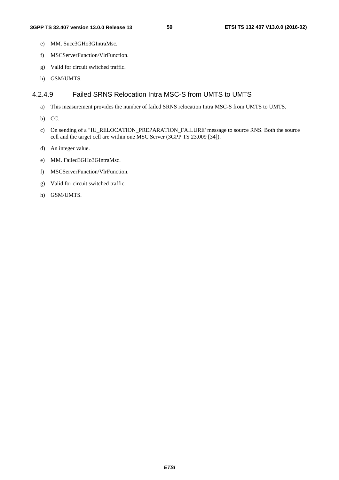- e) MM. Succ3GHo3GIntraMsc.
- f) MSCServerFunction/VlrFunction.
- g) Valid for circuit switched traffic.
- h) GSM/UMTS.

## 4.2.4.9 Failed SRNS Relocation Intra MSC-S from UMTS to UMTS

- a) This measurement provides the number of failed SRNS relocation Intra MSC-S from UMTS to UMTS.
- b) CC.
- c) On sending of a "IU\_RELOCATION\_PREPARATION\_FAILURE' message to source RNS. Both the source cell and the target cell are within one MSC Server (3GPP TS 23.009 [34]).
- d) An integer value.
- e) MM. Failed3GHo3GIntraMsc.
- f) MSCServerFunction/VlrFunction.
- g) Valid for circuit switched traffic.
- h) GSM/UMTS.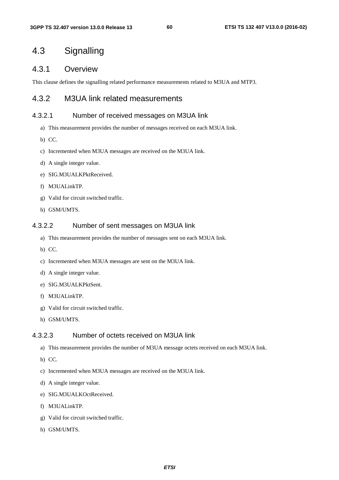# 4.3 Signalling

# 4.3.1 Overview

This clause defines the signalling related performance measurements related to M3UA and MTP3.

# 4.3.2 M3UA link related measurements

## 4.3.2.1 Number of received messages on M3UA link

- a) This measurement provides the number of messages received on each M3UA link.
- b) CC.
- c) Incremented when M3UA messages are received on the M3UA link.
- d) A single integer value.
- e) SIG.M3UALKPktReceived.
- f) M3UALinkTP.
- g) Valid for circuit switched traffic.
- h) GSM/UMTS.

#### 4.3.2.2 Number of sent messages on M3UA link

- a) This measurement provides the number of messages sent on each M3UA link.
- b) CC.
- c) Incremented when M3UA messages are sent on the M3UA link.
- d) A single integer value.
- e) SIG.M3UALKPktSent.
- f) M3UALinkTP.
- g) Valid for circuit switched traffic.
- h) GSM/UMTS.

# 4.3.2.3 Number of octets received on M3UA link

- a) This measurement provides the number of M3UA message octets received on each M3UA link.
- b) CC.
- c) Incremented when M3UA messages are received on the M3UA link.
- d) A single integer value.
- e) SIG.M3UALKOctReceived.
- f) M3UALinkTP.
- g) Valid for circuit switched traffic.
- h) GSM/UMTS.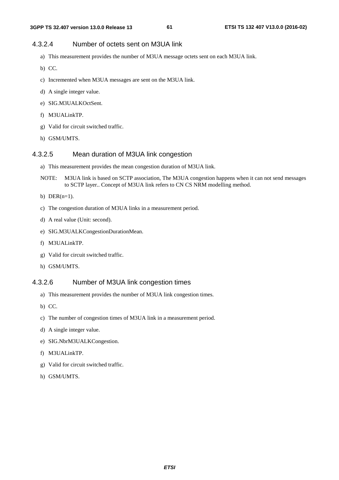# 4.3.2.4 Number of octets sent on M3UA link

- a) This measurement provides the number of M3UA message octets sent on each M3UA link.
- b) CC.
- c) Incremented when M3UA messages are sent on the M3UA link.
- d) A single integer value.
- e) SIG.M3UALKOctSent.
- f) M3UALinkTP.
- g) Valid for circuit switched traffic.
- h) GSM/UMTS.

## 4.3.2.5 Mean duration of M3UA link congestion

- a) This measurement provides the mean congestion duration of M3UA link.
- NOTE: M3UA link is based on SCTP association, The M3UA congestion happens when it can not send messages to SCTP layer.. Concept of M3UA link refers to CN CS NRM modelling method.
- b) DER $(n=1)$ .
- c) The congestion duration of M3UA links in a measurement period.
- d) A real value (Unit: second).
- e) SIG.M3UALKCongestionDurationMean.
- f) M3UALinkTP.
- g) Valid for circuit switched traffic.
- h) GSM/UMTS.

#### 4.3.2.6 Number of M3UA link congestion times

- a) This measurement provides the number of M3UA link congestion times.
- b) CC.
- c) The number of congestion times of M3UA link in a measurement period.
- d) A single integer value.
- e) SIG.NbrM3UALKCongestion.
- f) M3UALinkTP.
- g) Valid for circuit switched traffic.
- h) GSM/UMTS.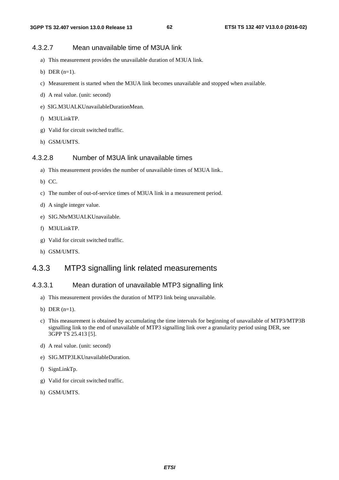# 4.3.2.7 Mean unavailable time of M3UA link

- a) This measurement provides the unavailable duration of M3UA link.
- b) DER  $(n=1)$ .
- c) Measurement is started when the M3UA link becomes unavailable and stopped when available.
- d) A real value. (unit: second)
- e) SIG.M3UALKUnavailableDurationMean.
- f) M3ULinkTP.
- g) Valid for circuit switched traffic.
- h) GSM/UMTS.

# 4.3.2.8 Number of M3UA link unavailable times

- a) This measurement provides the number of unavailable times of M3UA link..
- b) CC.
- c) The number of out-of-service times of M3UA link in a measurement period.
- d) A single integer value.
- e) SIG.NbrM3UALKUnavailable.
- f) M3ULinkTP.
- g) Valid for circuit switched traffic.
- h) GSM/UMTS.

# 4.3.3 MTP3 signalling link related measurements

#### 4.3.3.1 Mean duration of unavailable MTP3 signalling link

- a) This measurement provides the duration of MTP3 link being unavailable.
- b) DER  $(n=1)$ .
- c) This measurement is obtained by accumulating the time intervals for beginning of unavailable of MTP3/MTP3B signalling link to the end of unavailable of MTP3 signalling link over a granularity period using DER, see 3GPP TS 25.413 [5].
- d) A real value. (unit: second)
- e) SIG.MTP3LKUnavailableDuration.
- f) SignLinkTp.
- g) Valid for circuit switched traffic.
- h) GSM/UMTS.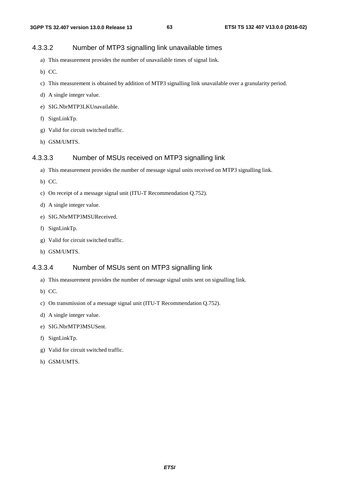# 4.3.3.2 Number of MTP3 signalling link unavailable times

- a) This measurement provides the number of unavailable times of signal link.
- b) CC.
- c) This measurement is obtained by addition of MTP3 signalling link unavailable over a granularity period.
- d) A single integer value.
- e) SIG.NbrMTP3LKUnavailable.
- f) SignLinkTp.
- g) Valid for circuit switched traffic.
- h) GSM/UMTS.

## 4.3.3.3 Number of MSUs received on MTP3 signalling link

- a) This measurement provides the number of message signal units received on MTP3 signalling link.
- b) CC.
- c) On receipt of a message signal unit (ITU-T Recommendation Q.752).
- d) A single integer value.
- e) SIG.NbrMTP3MSUReceived.
- f) SignLinkTp.
- g) Valid for circuit switched traffic.
- h) GSM/UMTS.

#### 4.3.3.4 Number of MSUs sent on MTP3 signalling link

- a) This measurement provides the number of message signal units sent on signalling link.
- b) CC.
- c) On transmission of a message signal unit (ITU-T Recommendation Q.752).
- d) A single integer value.
- e) SIG.NbrMTP3MSUSent.
- f) SignLinkTp.
- g) Valid for circuit switched traffic.
- h) GSM/UMTS.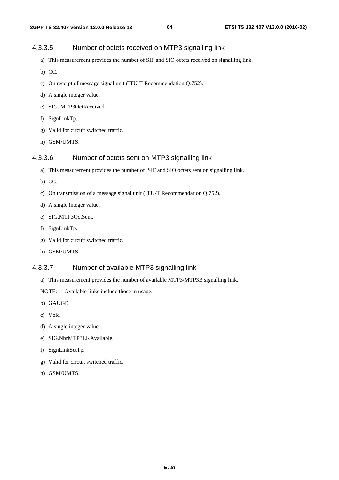# 4.3.3.5 Number of octets received on MTP3 signalling link

- a) This measurement provides the number of SIF and SIO octets received on signalling link.
- b) CC.
- c) On receipt of message signal unit (ITU-T Recommendation Q.752).
- d) A single integer value.
- e) SIG. MTP3OctReceived.
- f) SignLinkTp.
- g) Valid for circuit switched traffic.
- h) GSM/UMTS.

# 4.3.3.6 Number of octets sent on MTP3 signalling link

- a) This measurement provides the number of SIF and SIO octets sent on signalling link.
- b) CC.
- c) On transmission of a message signal unit (ITU-T Recommendation Q.752).
- d) A single integer value.
- e) SIG.MTP3OctSent.
- f) SignLinkTp.
- g) Valid for circuit switched traffic.
- h) GSM/UMTS.

# 4.3.3.7 Number of available MTP3 signalling link

a) This measurement provides the number of available MTP3/MTP3B signalling link.

NOTE: Available links include those in usage.

- b) GAUGE.
- c) Void
- d) A single integer value.
- e) SIG.NbrMTP3LKAvailable.
- f) SignLinkSetTp.
- g) Valid for circuit switched traffic.
- h) GSM/UMTS.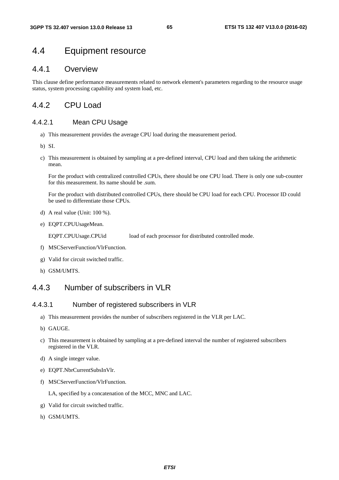# 4.4 Equipment resource

# 4.4.1 Overview

This clause define performance measurements related to network element's parameters regarding to the resource usage status, system processing capability and system load, etc.

# 442 CPU Load

# 4.4.2.1 Mean CPU Usage

- a) This measurement provides the average CPU load during the measurement period.
- b) SI.
- c) This measurement is obtained by sampling at a pre-defined interval, CPU load and then taking the arithmetic mean.

 For the product with centralized controlled CPUs, there should be one CPU load. There is only one sub-counter for this measurement. Its name should be .sum.

 For the product with distributed controlled CPUs, there should be CPU load for each CPU. Processor ID could be used to differentiate those CPUs.

- d) A real value (Unit: 100 %).
- e) EQPT.CPUUsageMean.

EQPT.CPUUsage.CPUid load of each processor for distributed controlled mode.

- f) MSCServerFunction/VlrFunction.
- g) Valid for circuit switched traffic.
- h) GSM/UMTS.

# 4.4.3 Number of subscribers in VLR

# 4.4.3.1 Number of registered subscribers in VLR

- a) This measurement provides the number of subscribers registered in the VLR per LAC.
- b) GAUGE.
- c) This measurement is obtained by sampling at a pre-defined interval the number of registered subscribers registered in the VLR.
- d) A single integer value.
- e) EQPT.NbrCurrentSubsInVlr.
- f) MSCServerFunction/VlrFunction.

LA, specified by a concatenation of the MCC, MNC and LAC.

- g) Valid for circuit switched traffic.
- h) GSM/UMTS.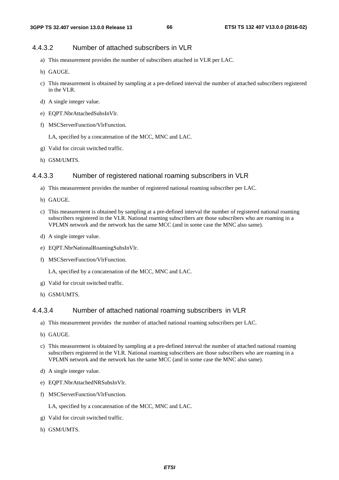#### 4.4.3.2 Number of attached subscribers in VLR

- a) This measurement provides the number of subscribers attached in VLR per LAC.
- b) GAUGE.
- c) This measurement is obtained by sampling at a pre-defined interval the number of attached subscribers registered in the VLR.
- d) A single integer value.
- e) EQPT.NbrAttachedSubsInVlr.
- f) MSCServerFunction/VlrFunction.

LA, specified by a concatenation of the MCC, MNC and LAC.

- g) Valid for circuit switched traffic.
- h) GSM/UMTS.

#### 4.4.3.3 Number of registered national roaming subscribers in VLR

- a) This measurement provides the number of registered national roaming subscriber per LAC.
- b) GAUGE.
- c) This measurement is obtained by sampling at a pre-defined interval the number of registered national roaming subscribers registered in the VLR. National roaming subscribers are those subscribers who are roaming in a VPLMN network and the network has the same MCC (and in some case the MNC also same).
- d) A single integer value.
- e) EQPT.NbrNationalRoamingSubsInVlr.
- f) MSCServerFunction/VlrFunction.

LA, specified by a concatenation of the MCC, MNC and LAC.

- g) Valid for circuit switched traffic.
- h) GSM/UMTS.

#### 4.4.3.4 Number of attached national roaming subscribers in VLR

- a) This measurement provides the number of attached national roaming subscribers per LAC.
- b) GAUGE.
- c) This measurement is obtained by sampling at a pre-defined interval the number of attached national roaming subscribers registered in the VLR. National roaming subscribers are those subscribers who are roaming in a VPLMN network and the network has the same MCC (and in some case the MNC also same).
- d) A single integer value.
- e) EQPT.NbrAttachedNRSubsInVlr.
- f) MSCServerFunction/VlrFunction.

LA, specified by a concatenation of the MCC, MNC and LAC.

- g) Valid for circuit switched traffic.
- h) GSM/UMTS.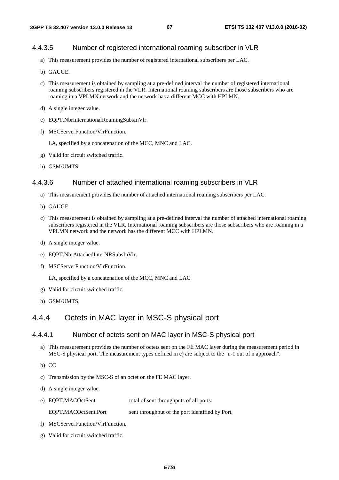## 4.4.3.5 Number of registered international roaming subscriber in VLR

- a) This measurement provides the number of registered international subscribers per LAC.
- b) GAUGE.
- c) This measurement is obtained by sampling at a pre-defined interval the number of registered international roaming subscribers registered in the VLR. International roaming subscribers are those subscribers who are roaming in a VPLMN network and the network has a different MCC with HPLMN.
- d) A single integer value.
- e) EQPT.NbrInternationalRoamingSubsInVlr.
- f) MSCServerFunction/VlrFunction.
	- LA, specified by a concatenation of the MCC, MNC and LAC.
- g) Valid for circuit switched traffic.
- h) GSM/UMTS.

#### 4.4.3.6 Number of attached international roaming subscribers in VLR

- a) This measurement provides the number of attached international roaming subscribers per LAC.
- b) GAUGE.
- c) This measurement is obtained by sampling at a pre-defined interval the number of attached international roaming subscribers registered in the VLR. International roaming subscribers are those subscribers who are roaming in a VPLMN network and the network has the different MCC with HPLMN.
- d) A single integer value.
- e) EQPT.NbrAttachedInterNRSubsInVlr.
- f) MSCServerFunction/VlrFunction.

LA, specified by a concatenation of the MCC, MNC and LAC

- g) Valid for circuit switched traffic.
- h) GSM/UMTS.

# 4.4.4 Octets in MAC layer in MSC-S physical port

## 4.4.4.1 Number of octets sent on MAC layer in MSC-S physical port

a) This measurement provides the number of octets sent on the FE MAC layer during the measurement period in MSC-S physical port. The measurement types defined in e) are subject to the "n-1 out of n approach".

b) CC

- c) Transmission by the MSC-S of an octet on the FE MAC layer.
- d) A single integer value.
- e) EQPT.MACOctSent total of sent throughputs of all ports.

EQPT.MACOctSent.Port sent throughput of the port identified by Port.

- f) MSCServerFunction/VlrFunction.
- g) Valid for circuit switched traffic.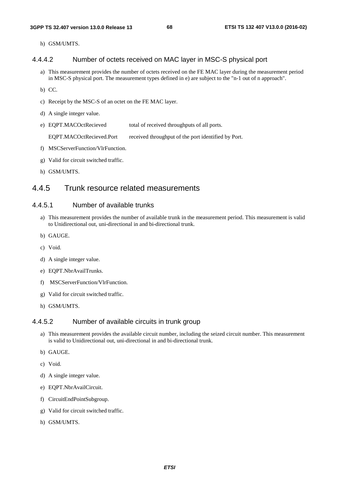h) GSM/UMTS.

#### 4.4.4.2 Number of octets received on MAC layer in MSC-S physical port

- a) This measurement provides the number of octets received on the FE MAC layer during the measurement period in MSC-S physical port. The measurement types defined in e) are subject to the "n-1 out of n approach".
- b) CC.
- c) Receipt by the MSC-S of an octet on the FE MAC layer.
- d) A single integer value.
- e) EQPT.MACOctRecieved total of received throughputs of all ports.

EQPT.MACOctRecieved.Port received throughput of the port identified by Port.

- f) MSCServerFunction/VlrFunction.
- g) Valid for circuit switched traffic.
- h) GSM/UMTS.

# 4.4.5 Trunk resource related measurements

#### 4.4.5.1 Number of available trunks

- a) This measurement provides the number of available trunk in the measurement period. This measurement is valid to Unidirectional out, uni-directional in and bi-directional trunk.
- b) GAUGE.
- c) Void.
- d) A single integer value.
- e) EQPT.NbrAvailTrunks.
- f) MSCServerFunction/VlrFunction.
- g) Valid for circuit switched traffic.
- h) GSM/UMTS.

#### 4.4.5.2 Number of available circuits in trunk group

- a) This measurement provides the available circuit number, including the seized circuit number. This measurement is valid to Unidirectional out, uni-directional in and bi-directional trunk.
- b) GAUGE.
- c) Void.
- d) A single integer value.
- e) EQPT.NbrAvailCircuit.
- f) CircuitEndPointSubgroup.
- g) Valid for circuit switched traffic.
- h) GSM/UMTS.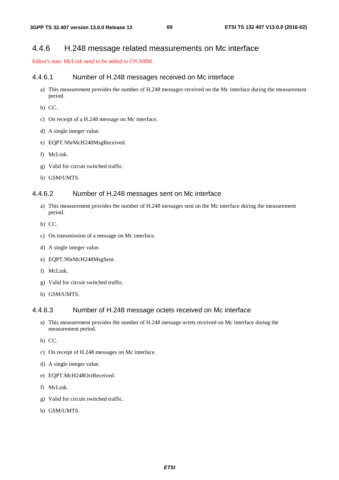# 4.4.6 H.248 message related measurements on Mc interface

Editor's note: McLink need to be added to CN NRM.

#### 4.4.6.1 Number of H.248 messages received on Mc interface

- a) This measurement provides the number of H.248 messages received on the Mc interface during the measurement period.
- b) CC.
- c) On receipt of a H.248 message on Mc interface.
- d) A single integer value.
- e) EQPT.NbrMcH248MsgReceived.
- f) McLink.
- g) Valid for circuit switched traffic.
- h) GSM/UMTS.

#### 4.4.6.2 Number of H.248 messages sent on Mc interface

- a) This measurement provides the number of H.248 messages sent on the Mc interface during the measurement period.
- b) CC.
- c) On transmission of a message on Mc interface.
- d) A single integer value.
- e) EQPT.NbrMcH248MsgSent.
- f) McLink.
- g) Valid for circuit switched traffic.
- h) GSM/UMTS.

## 4.4.6.3 Number of H.248 message octets received on Mc interface

- a) This measurement provides the number of H.248 message octets received on Mc interface during the measurement period.
- b) CC.
- c) On receipt of H.248 messages on Mc interface.
- d) A single integer value.
- e) EQPT.McH248OctReceived.
- f) McLink.
- g) Valid for circuit switched traffic.
- h) GSM/UMTS.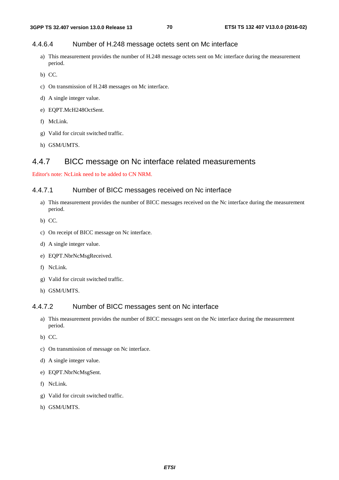# 4.4.6.4 Number of H.248 message octets sent on Mc interface

- a) This measurement provides the number of H.248 message octets sent on Mc interface during the measurement period.
- b) CC.
- c) On transmission of H.248 messages on Mc interface.
- d) A single integer value.
- e) EQPT.McH248OctSent.
- f) McLink.
- g) Valid for circuit switched traffic.
- h) GSM/UMTS.

# 4.4.7 BICC message on Nc interface related measurements

Editor's note: NcLink need to be added to CN NRM.

## 4.4.7.1 Number of BICC messages received on Nc interface

- a) This measurement provides the number of BICC messages received on the Nc interface during the measurement period.
- b) CC.
- c) On receipt of BICC message on Nc interface.
- d) A single integer value.
- e) EQPT.NbrNcMsgReceived.
- f) NcLink.
- g) Valid for circuit switched traffic.
- h) GSM/UMTS.

# 4.4.7.2 Number of BICC messages sent on Nc interface

- a) This measurement provides the number of BICC messages sent on the Nc interface during the measurement period.
- b) CC.
- c) On transmission of message on Nc interface.
- d) A single integer value.
- e) EQPT.NbrNcMsgSent.
- f) NcLink.
- g) Valid for circuit switched traffic.
- h) GSM/UMTS.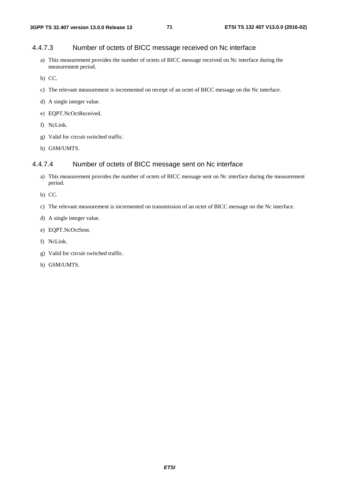### 4.4.7.3 Number of octets of BICC message received on Nc interface

- a) This measurement provides the number of octets of BICC message received on Nc interface during the measurement period.
- b) CC.
- c) The relevant measurement is incremented on receipt of an octet of BICC message on the Nc interface.
- d) A single integer value.
- e) EQPT.NcOctReceived.
- f) NcLink.
- g) Valid for circuit switched traffic.
- h) GSM/UMTS.

## 4.4.7.4 Number of octets of BICC message sent on Nc interface

- a) This measurement provides the number of octets of BICC message sent on Nc interface during the measurement period.
- b) CC.
- c) The relevant measurement is incremented on transmission of an octet of BICC message on the Nc interface.
- d) A single integer value.
- e) EQPT.NcOctSent.
- f) NcLink.
- g) Valid for circuit switched traffic.
- h) GSM/UMTS.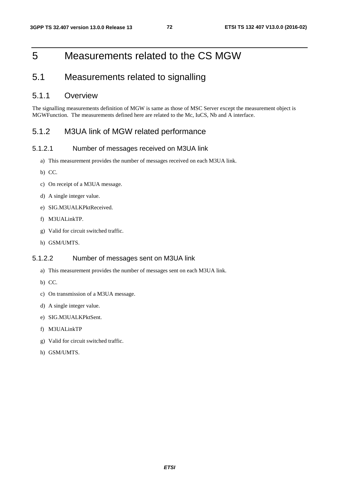# 5 Measurements related to the CS MGW

# 5.1 Measurements related to signalling

## 5.1.1 Overview

The signalling measurements definition of MGW is same as those of MSC Server except the measurement object is MGWFunction. The measurements defined here are related to the Mc, IuCS, Nb and A interface.

## 5.1.2 M3UA link of MGW related performance

#### 5.1.2.1 Number of messages received on M3UA link

- a) This measurement provides the number of messages received on each M3UA link.
- b) CC.
- c) On receipt of a M3UA message.
- d) A single integer value.
- e) SIG.M3UALKPktReceived.
- f) M3UALinkTP.
- g) Valid for circuit switched traffic.
- h) GSM/UMTS.

### 5.1.2.2 Number of messages sent on M3UA link

- a) This measurement provides the number of messages sent on each M3UA link.
- b) CC.
- c) On transmission of a M3UA message.
- d) A single integer value.
- e) SIG.M3UALKPktSent.
- f) M3UALinkTP
- g) Valid for circuit switched traffic.
- h) GSM/UMTS.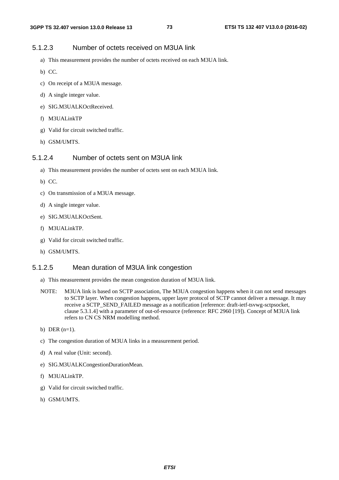### 5.1.2.3 Number of octets received on M3UA link

- a) This measurement provides the number of octets received on each M3UA link.
- b) CC.
- c) On receipt of a M3UA message.
- d) A single integer value.
- e) SIG.M3UALKOctReceived.
- f) M3UALinkTP
- g) Valid for circuit switched traffic.
- h) GSM/UMTS.

### 5.1.2.4 Number of octets sent on M3UA link

- a) This measurement provides the number of octets sent on each M3UA link.
- b) CC.
- c) On transmission of a M3UA message.
- d) A single integer value.
- e) SIG.M3UALKOctSent.
- f) M3UALinkTP.
- g) Valid for circuit switched traffic.
- h) GSM/UMTS.

#### 5.1.2.5 Mean duration of M3UA link congestion

- a) This measurement provides the mean congestion duration of M3UA link.
- NOTE: M3UA link is based on SCTP association, The M3UA congestion happens when it can not send messages to SCTP layer. When congestion happens, upper layer protocol of SCTP cannot deliver a message. It may receive a SCTP\_SEND\_FAILED message as a notification [reference: draft-ietf-tsvwg-sctpsocket, clause 5.3.1.4] with a parameter of out-of-resource (reference: RFC 2960 [19]). Concept of M3UA link refers to CN CS NRM modelling method.
- b) DER  $(n=1)$ .
- c) The congestion duration of M3UA links in a measurement period.
- d) A real value (Unit: second).
- e) SIG.M3UALKCongestionDurationMean.
- f) M3UALinkTP.
- g) Valid for circuit switched traffic.
- h) GSM/UMTS.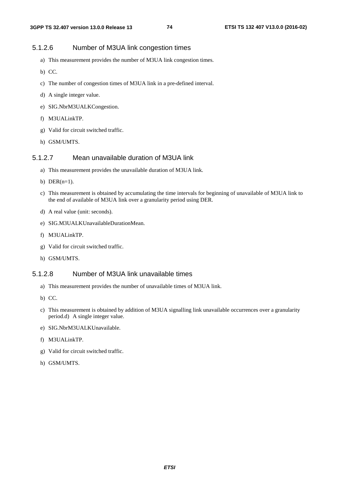## 5.1.2.6 Number of M3UA link congestion times

- a) This measurement provides the number of M3UA link congestion times.
- b) CC.
- c) The number of congestion times of M3UA link in a pre-defined interval.
- d) A single integer value.
- e) SIG.NbrM3UALKCongestion.
- f) M3UALinkTP.
- g) Valid for circuit switched traffic.
- h) GSM/UMTS.

### 5.1.2.7 Mean unavailable duration of M3UA link

- a) This measurement provides the unavailable duration of M3UA link.
- b) DER $(n=1)$ .
- c) This measurement is obtained by accumulating the time intervals for beginning of unavailable of M3UA link to the end of available of M3UA link over a granularity period using DER.
- d) A real value (unit: seconds).
- e) SIG.M3UALKUnavailableDurationMean.
- f) M3UALinkTP.
- g) Valid for circuit switched traffic.
- h) GSM/UMTS.

### 5.1.2.8 Number of M3UA link unavailable times

- a) This measurement provides the number of unavailable times of M3UA link.
- b) CC.
- c) This measurement is obtained by addition of M3UA signalling link unavailable occurrences over a granularity period.d) A single integer value.
- e) SIG.NbrM3UALKUnavailable.
- f) M3UALinkTP.
- g) Valid for circuit switched traffic.
- h) GSM/UMTS.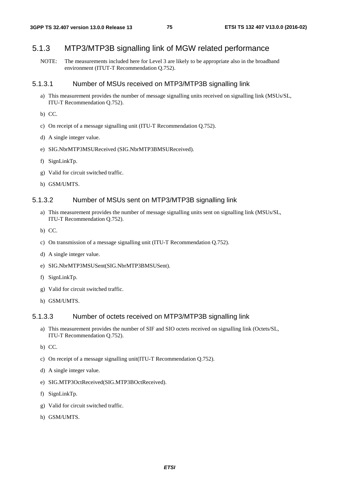## 5.1.3 MTP3/MTP3B signalling link of MGW related performance

NOTE: The measurements included here for Level 3 are likely to be appropriate also in the broadband environment (ITUT-T Recommendation Q.752).

#### 5.1.3.1 Number of MSUs received on MTP3/MTP3B signalling link

- a) This measurement provides the number of message signalling units received on signalling link (MSUs/SL, ITU-T Recommendation Q.752).
- b) CC.
- c) On receipt of a message signalling unit (ITU-T Recommendation Q.752).
- d) A single integer value.
- e) SIG.NbrMTP3MSUReceived (SIG.NbrMTP3BMSUReceived).
- f) SignLinkTp.
- g) Valid for circuit switched traffic.
- h) GSM/UMTS.

#### 5.1.3.2 Number of MSUs sent on MTP3/MTP3B signalling link

- a) This measurement provides the number of message signalling units sent on signalling link (MSUs/SL, ITU-T Recommendation Q.752).
- b) CC.
- c) On transmission of a message signalling unit (ITU-T Recommendation Q.752).
- d) A single integer value.
- e) SIG.NbrMTP3MSUSent(SIG.NbrMTP3BMSUSent).
- f) SignLinkTp.
- g) Valid for circuit switched traffic.
- h) GSM/UMTS.

#### 5.1.3.3 Number of octets received on MTP3/MTP3B signalling link

- a) This measurement provides the number of SIF and SIO octets received on signalling link (Octets/SL, ITU-T Recommendation Q.752).
- b) CC.
- c) On receipt of a message signalling unit(ITU-T Recommendation Q.752).
- d) A single integer value.
- e) SIG.MTP3OctReceived(SIG.MTP3BOctReceived).
- f) SignLinkTp.
- g) Valid for circuit switched traffic.
- h) GSM/UMTS.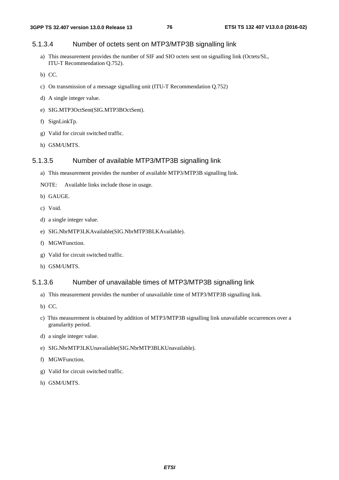### 5.1.3.4 Number of octets sent on MTP3/MTP3B signalling link

- a) This measurement provides the number of SIF and SIO octets sent on signalling link (Octets/SL, ITU-T Recommendation Q.752).
- b) CC.
- c) On transmission of a message signalling unit (ITU-T Recommendation Q.752)
- d) A single integer value.
- e) SIG.MTP3OctSent(SIG.MTP3BOctSent).
- f) SignLinkTp.
- g) Valid for circuit switched traffic.
- h) GSM/UMTS.

#### 5.1.3.5 Number of available MTP3/MTP3B signalling link

- a) This measurement provides the number of available MTP3/MTP3B signalling link.
- NOTE: Available links include those in usage.
- b) GAUGE.
- c) Void.
- d) a single integer value.
- e) SIG.NbrMTP3LKAvailable(SIG.NbrMTP3BLKAvailable).
- f) MGWFunction.
- g) Valid for circuit switched traffic.
- h) GSM/UMTS.

#### 5.1.3.6 Number of unavailable times of MTP3/MTP3B signalling link

- a) This measurement provides the number of unavailable time of MTP3/MTP3B signalling link.
- b) CC.
- c) This measurement is obtained by addition of MTP3/MTP3B signalling link unavailable occurrences over a granularity period.
- d) a single integer value.
- e) SIG.NbrMTP3LKUnavailable(SIG.NbrMTP3BLKUnavailable).
- f) MGWFunction.
- g) Valid for circuit switched traffic.
- h) GSM/UMTS.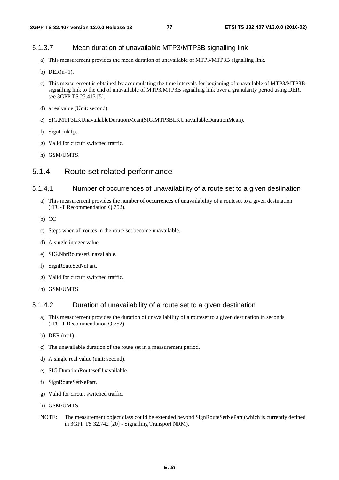### 5.1.3.7 Mean duration of unavailable MTP3/MTP3B signalling link

- a) This measurement provides the mean duration of unavailable of MTP3/MTP3B signalling link.
- b) DER $(n=1)$ .
- c) This measurement is obtained by accumulating the time intervals for beginning of unavailable of MTP3/MTP3B signalling link to the end of unavailable of MTP3/MTP3B signalling link over a granularity period using DER, see 3GPP TS 25.413 [5].
- d) a realvalue.(Unit: second).
- e) SIG.MTP3LKUnavailableDurationMean(SIG.MTP3BLKUnavailableDurationMean).
- f) SignLinkTp.
- g) Valid for circuit switched traffic.
- h) GSM/UMTS.

# 5.1.4 Route set related performance

#### 5.1.4.1 Number of occurrences of unavailability of a route set to a given destination

- a) This measurement provides the number of occurrences of unavailability of a routeset to a given destination (ITU-T Recommendation Q.752).
- b) CC
- c) Steps when all routes in the route set become unavailable.
- d) A single integer value.
- e) SIG.NbrRoutesetUnavailable.
- f) SignRouteSetNePart.
- g) Valid for circuit switched traffic.
- h) GSM/UMTS.

### 5.1.4.2 Duration of unavailability of a route set to a given destination

- a) This measurement provides the duration of unavailability of a routeset to a given destination in seconds (ITU-T Recommendation Q.752).
- b) DER  $(n=1)$ .
- c) The unavailable duration of the route set in a measurement period.
- d) A single real value (unit: second).
- e) SIG.DurationRoutesetUnavailable.
- f) SignRouteSetNePart.
- g) Valid for circuit switched traffic.
- h) GSM/UMTS.
- NOTE: The measurement object class could be extended beyond SignRouteSetNePart (which is currently defined in 3GPP TS 32.742 [20] - Signalling Transport NRM).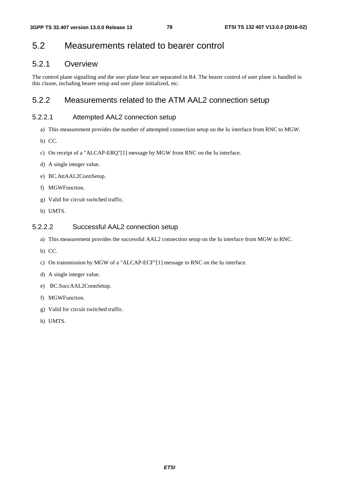# 5.2 Measurements related to bearer control

# 5.2.1 Overview

The control plane signalling and the user plane bear are separated in R4. The bearer control of user plane is handled in this clause, including bearer setup and user plane initialized, etc.

# 5.2.2 Measurements related to the ATM AAL2 connection setup

### 5.2.2.1 Attempted AAL2 connection setup

- a) This measurement provides the number of attempted connection setup on the Iu interface from RNC to MGW.
- b) CC.
- c) On receipt of a "ALCAP-ERQ"[1] message by MGW from RNC on the Iu interface.
- d) A single integer value.
- e) BC.AttAAL2ConnSetup.
- f) MGWFunction.
- g) Valid for circuit switched traffic.
- h) UMTS.

### 5.2.2.2 Successful AAL2 connection setup

- a) This measurement provides the successful AAL2 connection setup on the Iu interface from MGW to RNC.
- b) CC.
- c) On transmission by MGW of a "ALCAP-ECF"[1] message to RNC on the Iu interface.
- d) A single integer value.
- e) BC.SuccAAL2ConnSetup.
- f) MGWFunction.
- g) Valid for circuit switched traffic.
- h) UMTS.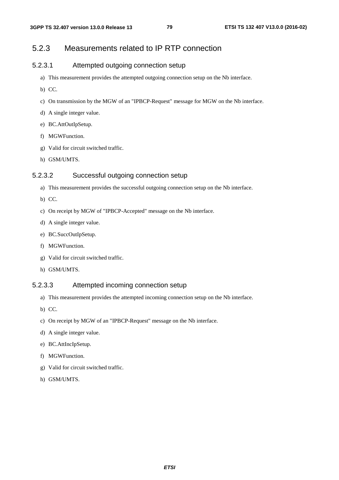# 5.2.3 Measurements related to IP RTP connection

### 5.2.3.1 Attempted outgoing connection setup

- a) This measurement provides the attempted outgoing connection setup on the Nb interface.
- b) CC.
- c) On transmission by the MGW of an "IPBCP-Request" message for MGW on the Nb interface.
- d) A single integer value.
- e) BC.AttOutIpSetup.
- f) MGWFunction.
- g) Valid for circuit switched traffic.
- h) GSM/UMTS.

### 5.2.3.2 Successful outgoing connection setup

- a) This measurement provides the successful outgoing connection setup on the Nb interface.
- b) CC.
- c) On receipt by MGW of "IPBCP-Accepted" message on the Nb interface.
- d) A single integer value.
- e) BC.SuccOutIpSetup.
- f) MGWFunction.
- g) Valid for circuit switched traffic.
- h) GSM/UMTS.

### 5.2.3.3 Attempted incoming connection setup

- a) This measurement provides the attempted incoming connection setup on the Nb interface.
- b) CC.
- c) On receipt by MGW of an "IPBCP-Request" message on the Nb interface.
- d) A single integer value.
- e) BC.AttIncIpSetup.
- f) MGWFunction.
- g) Valid for circuit switched traffic.
- h) GSM/UMTS.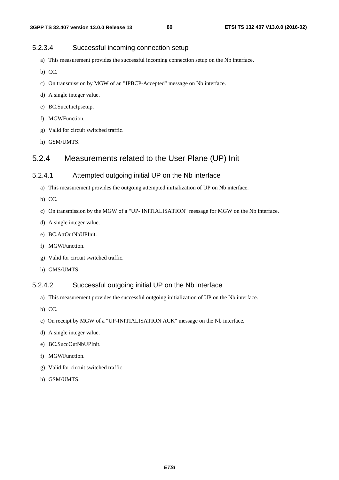### 5.2.3.4 Successful incoming connection setup

- a) This measurement provides the successful incoming connection setup on the Nb interface.
- b) CC.
- c) On transmission by MGW of an "IPBCP-Accepted" message on Nb interface.
- d) A single integer value.
- e) BC.SuccIncIpsetup.
- f) MGWFunction.
- g) Valid for circuit switched traffic.
- h) GSM/UMTS.

# 5.2.4 Measurements related to the User Plane (UP) Init

### 5.2.4.1 Attempted outgoing initial UP on the Nb interface

- a) This measurement provides the outgoing attempted initialization of UP on Nb interface.
- b) CC.
- c) On transmission by the MGW of a "UP- INITIALISATION" message for MGW on the Nb interface.
- d) A single integer value.
- e) BC.AttOutNbUPInit.
- f) MGWFunction.
- g) Valid for circuit switched traffic.
- h) GMS/UMTS.

### 5.2.4.2 Successful outgoing initial UP on the Nb interface

- a) This measurement provides the successful outgoing initialization of UP on the Nb interface.
- b) CC.
- c) On receipt by MGW of a "UP-INITIALISATION ACK" message on the Nb interface.
- d) A single integer value.
- e) BC.SuccOutNbUPInit.
- f) MGWFunction.
- g) Valid for circuit switched traffic.
- h) GSM/UMTS.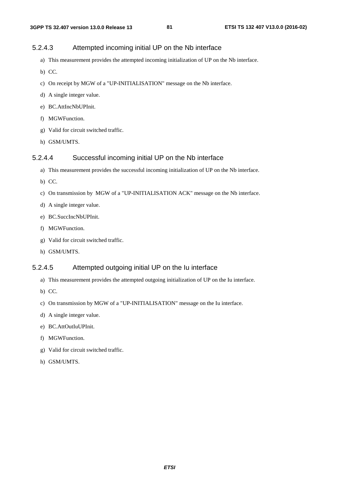### 5.2.4.3 Attempted incoming initial UP on the Nb interface

- a) This measurement provides the attempted incoming initialization of UP on the Nb interface.
- b) CC.
- c) On receipt by MGW of a "UP-INITIALISATION" message on the Nb interface.
- d) A single integer value.
- e) BC.AttIncNbUPInit.
- f) MGWFunction.
- g) Valid for circuit switched traffic.
- h) GSM/UMTS.

### 5.2.4.4 Successful incoming initial UP on the Nb interface

- a) This measurement provides the successful incoming initialization of UP on the Nb interface.
- b) CC.
- c) On transmission by MGW of a "UP-INITIALISATION ACK" message on the Nb interface.
- d) A single integer value.
- e) BC.SuccIncNbUPInit.
- f) MGWFunction.
- g) Valid for circuit switched traffic.
- h) GSM/UMTS.

#### 5.2.4.5 Attempted outgoing initial UP on the Iu interface

- a) This measurement provides the attempted outgoing initialization of UP on the Iu interface.
- b) CC.
- c) On transmission by MGW of a "UP-INITIALISATION" message on the Iu interface.
- d) A single integer value.
- e) BC.AttOutIuUPInit.
- f) MGWFunction.
- g) Valid for circuit switched traffic.
- h) GSM/UMTS.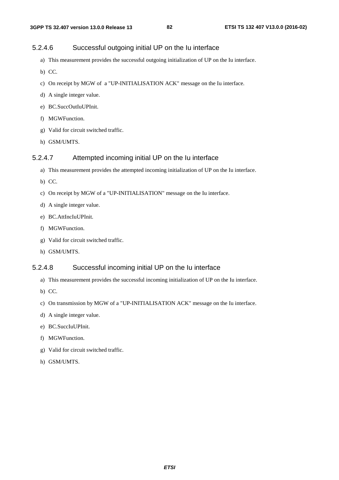### 5.2.4.6 Successful outgoing initial UP on the Iu interface

- a) This measurement provides the successful outgoing initialization of UP on the Iu interface.
- b) CC.
- c) On receipt by MGW of a "UP-INITIALISATION ACK" message on the Iu interface.
- d) A single integer value.
- e) BC.SuccOutIuUPInit.
- f) MGWFunction.
- g) Valid for circuit switched traffic.
- h) GSM/UMTS.

### 5.2.4.7 Attempted incoming initial UP on the Iu interface

- a) This measurement provides the attempted incoming initialization of UP on the Iu interface.
- b) CC.
- c) On receipt by MGW of a "UP-INITIALISATION" message on the Iu interface.
- d) A single integer value.
- e) BC.AttIncIuUPInit.
- f) MGWFunction.
- g) Valid for circuit switched traffic.
- h) GSM/UMTS.

#### 5.2.4.8 Successful incoming initial UP on the Iu interface

- a) This measurement provides the successful incoming initialization of UP on the Iu interface.
- b) CC.
- c) On transmission by MGW of a "UP-INITIALISATION ACK" message on the Iu interface.
- d) A single integer value.
- e) BC.SuccIuUPInit.
- f) MGWFunction.
- g) Valid for circuit switched traffic.
- h) GSM/UMTS.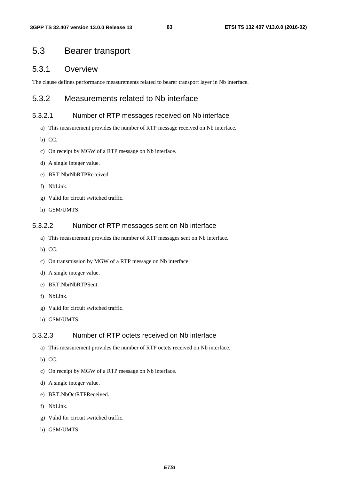# 5.3 Bearer transport

### 5.3.1 Overview

The clause defines performance measurements related to bearer transport layer in Nb interface.

## 5.3.2 Measurements related to Nb interface

### 5.3.2.1 Number of RTP messages received on Nb interface

- a) This measurement provides the number of RTP message received on Nb interface.
- b) CC.
- c) On receipt by MGW of a RTP message on Nb interface.
- d) A single integer value.
- e) BRT.NbrNbRTPReceived.
- f) NbLink.
- g) Valid for circuit switched traffic.
- h) GSM/UMTS.

#### 5.3.2.2 Number of RTP messages sent on Nb interface

- a) This measurement provides the number of RTP messages sent on Nb interface.
- b) CC.
- c) On transmission by MGW of a RTP message on Nb interface.
- d) A single integer value.
- e) BRT.NbrNbRTPSent.
- f) NbLink.
- g) Valid for circuit switched traffic.
- h) GSM/UMTS.

### 5.3.2.3 Number of RTP octets received on Nb interface

- a) This measurement provides the number of RTP octets received on Nb interface.
- b) CC.
- c) On receipt by MGW of a RTP message on Nb interface.
- d) A single integer value.
- e) BRT.NbOctRTPReceived.
- f) NbLink.
- g) Valid for circuit switched traffic.
- h) GSM/UMTS.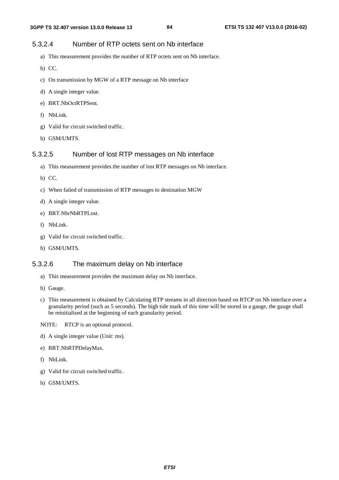### 5.3.2.4 Number of RTP octets sent on Nb interface

- a) This measurement provides the number of RTP octets sent on Nb interface.
- b) CC.
- c) On transmission by MGW of a RTP message on Nb interface
- d) A single integer value.
- e) BRT.NbOctRTPSent.
- f) NbLink.
- g) Valid for circuit switched traffic.
- h) GSM/UMTS.

### 5.3.2.5 Number of lost RTP messages on Nb interface

- a) This measurement provides the number of lost RTP messages on Nb interface.
- b) CC.
- c) When failed of transmission of RTP messages to destination MGW
- d) A single integer value.
- e) BRT.NbrNbRTPLost.
- f) NbLink.
- g) Valid for circuit switched traffic.
- h) GSM/UMTS.

#### 5.3.2.6 The maximum delay on Nb interface

- a) This measurement provides the maximum delay on Nb interface.
- b) Gauge.
- c) This measurement is obtained by Calculating RTP streams in all direction based on RTCP on Nb interface over a granularity period (such as 5 seconds). The high tide mark of this time will be stored in a gauge, the gauge shall be reinitialised at the beginning of each granularity period.
- NOTE: RTCP is an optional protocol.
- d) A single integer value (Unit: ms).
- e) BRT.NbRTPDelayMax.
- f) NbLink.
- g) Valid for circuit switched traffic.
- h) GSM/UMTS.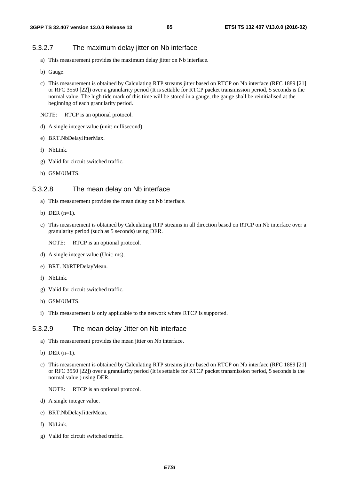#### 5.3.2.7 The maximum delay jitter on Nb interface

- a) This measurement provides the maximum delay jitter on Nb interface.
- b) Gauge.
- c) This measurement is obtained by Calculating RTP streams jitter based on RTCP on Nb interface (RFC 1889 [21] or RFC 3550 [22]) over a granularity period (It is settable for RTCP packet transmission period, 5 seconds is the normal value. The high tide mark of this time will be stored in a gauge, the gauge shall be reinitialised at the beginning of each granularity period.
- NOTE: RTCP is an optional protocol.
- d) A single integer value (unit: millisecond).
- e) BRT.NbDelayJitterMax.
- f) NbLink.
- g) Valid for circuit switched traffic.
- h) GSM/UMTS.

#### 5.3.2.8 The mean delay on Nb interface

- a) This measurement provides the mean delay on Nb interface.
- b) DER  $(n=1)$ .
- c) This measurement is obtained by Calculating RTP streams in all direction based on RTCP on Nb interface over a granularity period (such as 5 seconds) using DER.
	- NOTE: RTCP is an optional protocol.
- d) A single integer value (Unit: ms).
- e) BRT. NbRTPDelayMean.
- f) NbLink.
- g) Valid for circuit switched traffic.
- h) GSM/UMTS.
- i) This measurement is only applicable to the network where RTCP is supported.

#### 5.3.2.9 The mean delay Jitter on Nb interface

- a) This measurement provides the mean jitter on Nb interface.
- b) DER  $(n=1)$ .
- c) This measurement is obtained by Calculating RTP streams jitter based on RTCP on Nb interface (RFC 1889 [21] or RFC 3550 [22]) over a granularity period (It is settable for RTCP packet transmission period, 5 seconds is the normal value ) using DER.
	- NOTE: RTCP is an optional protocol.
- d) A single integer value.
- e) BRT.NbDelayJitterMean.
- f) NbLink.
- g) Valid for circuit switched traffic.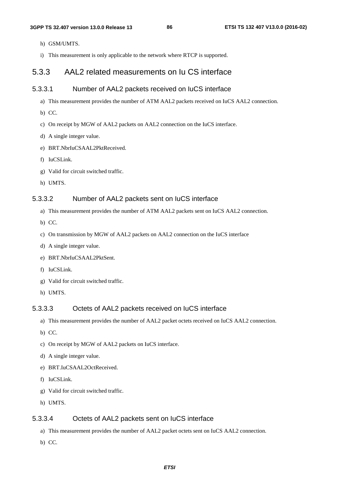- h) GSM/UMTS.
- i) This measurement is only applicable to the network where RTCP is supported.

## 5.3.3 AAL2 related measurements on Iu CS interface

### 5.3.3.1 Number of AAL2 packets received on IuCS interface

- a) This measurement provides the number of ATM AAL2 packets received on IuCS AAL2 connection.
- b) CC.
- c) On receipt by MGW of AAL2 packets on AAL2 connection on the IuCS interface.
- d) A single integer value.
- e) BRT.NbrIuCSAAL2PktReceived.
- f) IuCSLink.
- g) Valid for circuit switched traffic.
- h) UMTS.

### 5.3.3.2 Number of AAL2 packets sent on IuCS interface

- a) This measurement provides the number of ATM AAL2 packets sent on IuCS AAL2 connection.
- b) CC.
- c) On transmission by MGW of AAL2 packets on AAL2 connection on the IuCS interface
- d) A single integer value.
- e) BRT.NbrIuCSAAL2PktSent.
- f) IuCSLink.
- g) Valid for circuit switched traffic.
- h) UMTS.

#### 5.3.3.3 Octets of AAL2 packets received on IuCS interface

- a) This measurement provides the number of AAL2 packet octets received on IuCS AAL2 connection.
- b) CC.
- c) On receipt by MGW of AAL2 packets on IuCS interface.
- d) A single integer value.
- e) BRT.IuCSAAL2OctReceived.
- f) IuCSLink.
- g) Valid for circuit switched traffic.
- h) UMTS.

#### 5.3.3.4 Octets of AAL2 packets sent on IuCS interface

- a) This measurement provides the number of AAL2 packet octets sent on IuCS AAL2 connection.
- b) CC.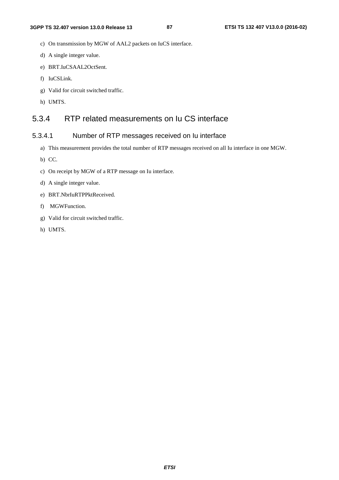- c) On transmission by MGW of AAL2 packets on IuCS interface.
- d) A single integer value.
- e) BRT.IuCSAAL2OctSent.
- f) IuCSLink.
- g) Valid for circuit switched traffic.
- h) UMTS.

# 5.3.4 RTP related measurements on Iu CS interface

# 5.3.4.1 Number of RTP messages received on Iu interface

- a) This measurement provides the total number of RTP messages received on all Iu interface in one MGW.
- b) CC.
- c) On receipt by MGW of a RTP message on Iu interface.
- d) A single integer value.
- e) BRT.NbrIuRTPPktReceived.
- f) MGWFunction.
- g) Valid for circuit switched traffic.
- h) UMTS.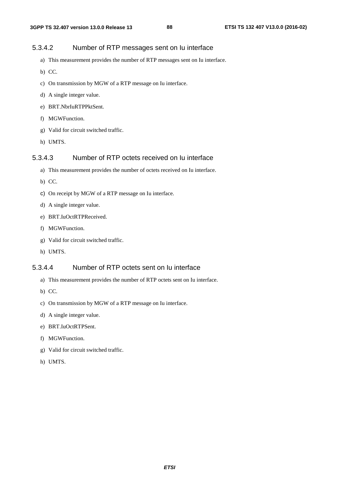### 5.3.4.2 Number of RTP messages sent on Iu interface

- a) This measurement provides the number of RTP messages sent on Iu interface.
- b) CC.
- c) On transmission by MGW of a RTP message on Iu interface.
- d) A single integer value.
- e) BRT.NbrIuRTPPktSent.
- f) MGWFunction.
- g) Valid for circuit switched traffic.
- h) UMTS.

### 5.3.4.3 Number of RTP octets received on Iu interface

- a) This measurement provides the number of octets received on Iu interface.
- b) CC.
- c) On receipt by MGW of a RTP message on Iu interface.
- d) A single integer value.
- e) BRT.IuOctRTPReceived.
- f) MGWFunction.
- g) Valid for circuit switched traffic.
- h) UMTS.

### 5.3.4.4 Number of RTP octets sent on Iu interface

- a) This measurement provides the number of RTP octets sent on Iu interface.
- b) CC.
- c) On transmission by MGW of a RTP message on Iu interface.
- d) A single integer value.
- e) BRT.IuOctRTPSent.
- f) MGWFunction.
- g) Valid for circuit switched traffic.
- h) UMTS.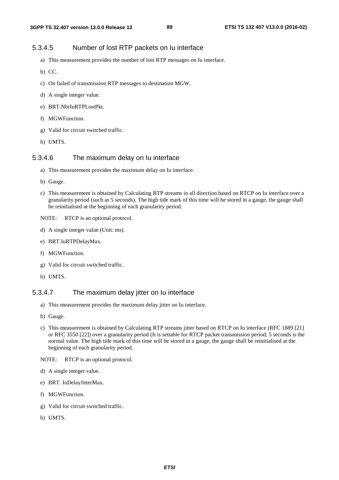#### 5.3.4.5 Number of lost RTP packets on Iu interface

- a) This measurement provides the number of lost RTP messages on Iu interface.
- b) CC.
- c) On failed of transmission RTP messages to destination MGW.
- d) A single integer value.
- e) BRT.NbrIuRTPLostPkt.
- f) MGWFunction.
- g) Valid for circuit switched traffic.
- h) UMTS.

#### 5.3.4.6 The maximum delay on Iu interface

- a) This measurement provides the maximum delay on Iu interface.
- b) Gauge.
- c) This measurement is obtained by Calculating RTP streams in all direction based on RTCP on Iu interface over a granularity period (such as 5 seconds). The high tide mark of this time will be stored in a gauge, the gauge shall be reinitialised at the beginning of each granularity period.
- NOTE: RTCP is an optional protocol.
- d) A single integer value (Unit: ms).
- e) BRT.IuRTPDelayMax.
- f) MGWFunction.
- g) Valid for circuit switched traffic.
- h) UMTS.

#### 5.3.4.7 The maximum delay jitter on Iu interface

- a) This measurement provides the maximum delay jitter on Iu interface.
- b) Gauge.
- c) This measurement is obtained by Calculating RTP streams jitter based on RTCP on Iu interface (RFC 1889 [21] or RFC 3550 [22]) over a granularity period (It is settable for RTCP packet transmission period, 5 seconds is the normal value. The high tide mark of this time will be stored in a gauge, the gauge shall be reinitialised at the beginning of each granularity period.
- NOTE: RTCP is an optional protocol.
- d) A single integer value.
- e) BRT. IuDelayJitterMax.
- f) MGWFunction.
- g) Valid for circuit switched traffic.
- h) UMTS.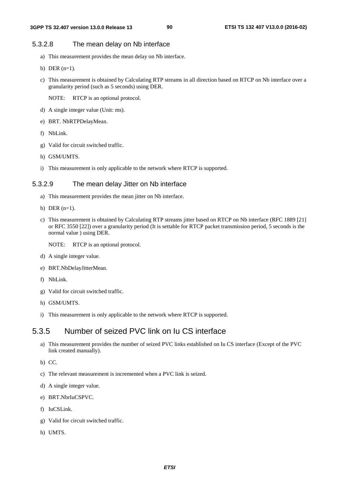### 5.3.2.8 The mean delay on Nb interface

- a) This measurement provides the mean delay on Nb interface.
- b) DER (n=1).
- c) This measurement is obtained by Calculating RTP streams in all direction based on RTCP on Nb interface over a granularity period (such as 5 seconds) using DER.

NOTE: RTCP is an optional protocol.

- d) A single integer value (Unit: ms).
- e) BRT. NbRTPDelayMean.
- f) NbLink.
- g) Valid for circuit switched traffic.
- h) GSM/UMTS.
- i) This measurement is only applicable to the network where RTCP is supported.

### 5.3.2.9 The mean delay Jitter on Nb interface

- a) This measurement provides the mean jitter on Nb interface.
- b) DER (n=1).
- c) This measurement is obtained by Calculating RTP streams jitter based on RTCP on Nb interface (RFC 1889 [21] or RFC 3550 [22]) over a granularity period (It is settable for RTCP packet transmission period, 5 seconds is the normal value ) using DER.
	- NOTE: RTCP is an optional protocol.
- d) A single integer value.
- e) BRT.NbDelayJitterMean.
- f) NbLink.
- g) Valid for circuit switched traffic.
- h) GSM/UMTS.
- i) This measurement is only applicable to the network where RTCP is supported.

## 5.3.5 Number of seized PVC link on Iu CS interface

- a) This measurement provides the number of seized PVC links established on Iu CS interface (Except of the PVC link created manually).
- b) CC.
- c) The relevant measurement is incremented when a PVC link is seized.
- d) A single integer value.
- e) BRT.NbrIuCSPVC.
- f) IuCSLink.
- g) Valid for circuit switched traffic.
- h) UMTS.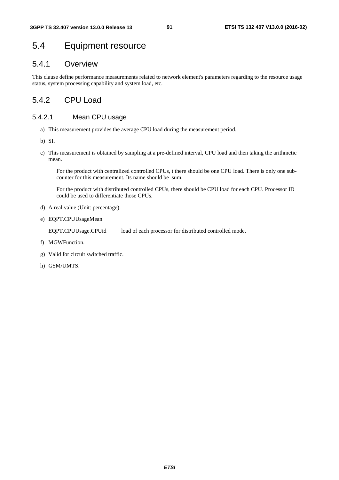# 5.4 Equipment resource

## 5.4.1 Overview

This clause define performance measurements related to network element's parameters regarding to the resource usage status, system processing capability and system load, etc.

# 5.4.2 CPU Load

## 5.4.2.1 Mean CPU usage

- a) This measurement provides the average CPU load during the measurement period.
- b) SI.
- c) This measurement is obtained by sampling at a pre-defined interval, CPU load and then taking the arithmetic mean.

 For the product with centralized controlled CPUs, t there should be one CPU load. There is only one subcounter for this measurement. Its name should be .sum.

 For the product with distributed controlled CPUs, there should be CPU load for each CPU. Processor ID could be used to differentiate those CPUs.

- d) A real value (Unit: percentage).
- e) EQPT.CPUUsageMean.

EQPT.CPUUsage.CPUid load of each processor for distributed controlled mode.

- f) MGWFunction.
- g) Valid for circuit switched traffic.
- h) GSM/UMTS.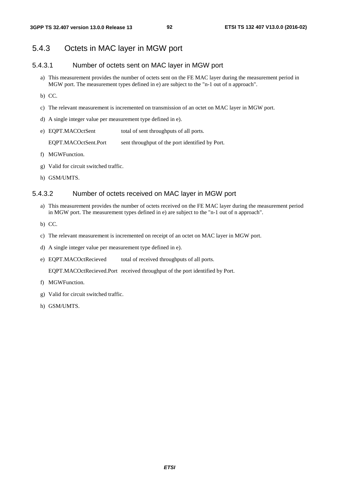## 5.4.3 Octets in MAC layer in MGW port

### 5.4.3.1 Number of octets sent on MAC layer in MGW port

- a) This measurement provides the number of octets sent on the FE MAC layer during the measurement period in MGW port. The measurement types defined in e) are subject to the "n-1 out of n approach".
- b) CC.
- c) The relevant measurement is incremented on transmission of an octet on MAC layer in MGW port.
- d) A single integer value per measurement type defined in e).
- e) EQPT.MACOctSent total of sent throughputs of all ports.

EQPT.MACOctSent.Port sent throughput of the port identified by Port.

- f) MGWFunction.
- g) Valid for circuit switched traffic.
- h) GSM/UMTS.

#### 5.4.3.2 Number of octets received on MAC layer in MGW port

- a) This measurement provides the number of octets received on the FE MAC layer during the measurement period in MGW port. The measurement types defined in e) are subject to the "n-1 out of n approach".
- b) CC.
- c) The relevant measurement is incremented on receipt of an octet on MAC layer in MGW port.
- d) A single integer value per measurement type defined in e).
- e) EQPT.MACOctRecieved total of received throughputs of all ports.

EQPT.MACOctRecieved.Port received throughput of the port identified by Port.

- f) MGWFunction.
- g) Valid for circuit switched traffic.
- h) GSM/UMTS.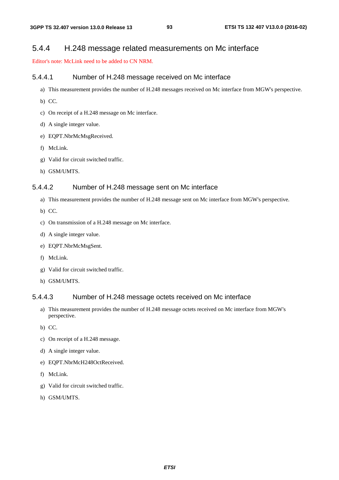## 5.4.4 H.248 message related measurements on Mc interface

Editor's note: McLink need to be added to CN NRM.

#### 5.4.4.1 Number of H.248 message received on Mc interface

- a) This measurement provides the number of H.248 messages received on Mc interface from MGW's perspective.
- b) CC.
- c) On receipt of a H.248 message on Mc interface.
- d) A single integer value.
- e) EQPT.NbrMcMsgReceived.
- f) McLink.
- g) Valid for circuit switched traffic.
- h) GSM/UMTS.

#### 5.4.4.2 Number of H.248 message sent on Mc interface

- a) This measurement provides the number of H.248 message sent on Mc interface from MGW's perspective.
- b) CC.
- c) On transmission of a H.248 message on Mc interface.
- d) A single integer value.
- e) EQPT.NbrMcMsgSent.
- f) McLink.
- g) Valid for circuit switched traffic.
- h) GSM/UMTS.

### 5.4.4.3 Number of H.248 message octets received on Mc interface

- a) This measurement provides the number of H.248 message octets received on Mc interface from MGW's perspective.
- b) CC.
- c) On receipt of a H.248 message.
- d) A single integer value.
- e) EQPT.NbrMcH248OctReceived.
- f) McLink.
- g) Valid for circuit switched traffic.
- h) GSM/UMTS.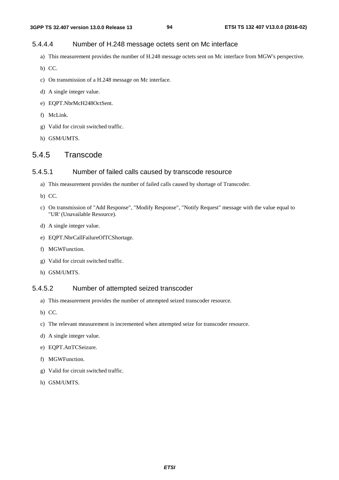### 5.4.4.4 Number of H.248 message octets sent on Mc interface

- a) This measurement provides the number of H.248 message octets sent on Mc interface from MGW's perspective.
- b) CC.
- c) On transmission of a H.248 message on Mc interface.
- d) A single integer value.
- e) EQPT.NbrMcH248OctSent.
- f) McLink.
- g) Valid for circuit switched traffic.
- h) GSM/UMTS.

## 5.4.5 Transcode

#### 5.4.5.1 Number of failed calls caused by transcode resource

- a) This measurement provides the number of failed calls caused by shortage of Transcoder.
- b) CC.
- c) On transmission of "Add Response", "Modify Response", "Notify Request" message with the value equal to "UR' (Unavailable Resource).
- d) A single integer value.
- e) EQPT.NbrCallFailureOfTCShortage.
- f) MGWFunction.
- g) Valid for circuit switched traffic.
- h) GSM/UMTS.

#### 5.4.5.2 Number of attempted seized transcoder

- a) This measurement provides the number of attempted seized transcoder resource.
- b) CC.
- c) The relevant measurement is incremented when attempted seize for transcoder resource.
- d) A single integer value.
- e) EQPT.AttTCSeizure.
- f) MGWFunction.
- g) Valid for circuit switched traffic.
- h) GSM/UMTS.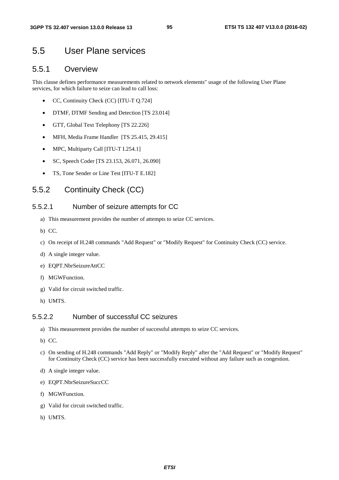# 5.5 User Plane services

## 5.5.1 Overview

This clause defines performance measurements related to network elements" usage of the following User Plane services, for which failure to seize can lead to call loss:

- CC, Continuity Check (CC) [ITU-T Q.724]
- DTMF, DTMF Sending and Detection [TS 23.014]
- GTT, Global Text Telephony [TS 22.226]
- MFH, Media Frame Handler [TS 25.415, 29.415]
- MPC, Multiparty Call [ITU-T I.254.1]
- SC, Speech Coder [TS 23.153, 26.071, 26.090]
- TS, Tone Sender or Line Test [ITU-T E.182]

# 5.5.2 Continuity Check (CC)

#### 5.5.2.1 Number of seizure attempts for CC

- a) This measurement provides the number of attempts to seize CC services.
- b) CC.
- c) On receipt of H.248 commands "Add Request" or "Modify Request" for Continuity Check (CC) service.
- d) A single integer value.
- e) EQPT.NbrSeizureAttCC
- f) MGWFunction.
- g) Valid for circuit switched traffic.
- h) UMTS.

### 5.5.2.2 Number of successful CC seizures

- a) This measurement provides the number of successful attempts to seize CC services.
- b) CC.
- c) On sending of H.248 commands "Add Reply" or "Modify Reply" after the "Add Request" or "Modify Request" for Continuity Check (CC) service has been successfully executed without any failure such as congestion.
- d) A single integer value.
- e) EQPT.NbrSeizureSuccCC
- f) MGWFunction.
- g) Valid for circuit switched traffic.
- h) UMTS.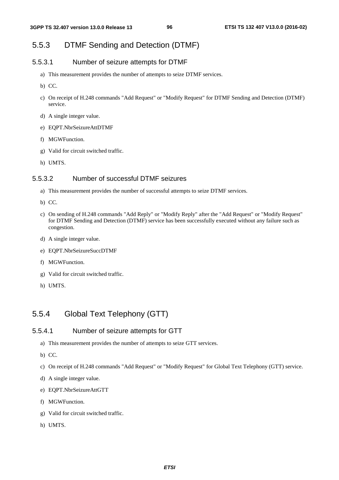# 5.5.3 DTMF Sending and Detection (DTMF)

### 5.5.3.1 Number of seizure attempts for DTMF

- a) This measurement provides the number of attempts to seize DTMF services.
- b) CC.
- c) On receipt of H.248 commands "Add Request" or "Modify Request" for DTMF Sending and Detection (DTMF) service.
- d) A single integer value.
- e) EQPT.NbrSeizureAttDTMF
- f) MGWFunction.
- g) Valid for circuit switched traffic.
- h) UMTS.

### 5.5.3.2 Number of successful DTMF seizures

- a) This measurement provides the number of successful attempts to seize DTMF services.
- b) CC.
- c) On sending of H.248 commands "Add Reply" or "Modify Reply" after the "Add Request" or "Modify Request" for DTMF Sending and Detection (DTMF) service has been successfully executed without any failure such as congestion.
- d) A single integer value.
- e) EQPT.NbrSeizureSuccDTMF
- f) MGWFunction.
- g) Valid for circuit switched traffic.
- h) UMTS.

# 5.5.4 Global Text Telephony (GTT)

#### 5.5.4.1 Number of seizure attempts for GTT

- a) This measurement provides the number of attempts to seize GTT services.
- b) CC.
- c) On receipt of H.248 commands "Add Request" or "Modify Request" for Global Text Telephony (GTT) service.
- d) A single integer value.
- e) EQPT.NbrSeizureAttGTT
- f) MGWFunction.
- g) Valid for circuit switched traffic.
- h) UMTS.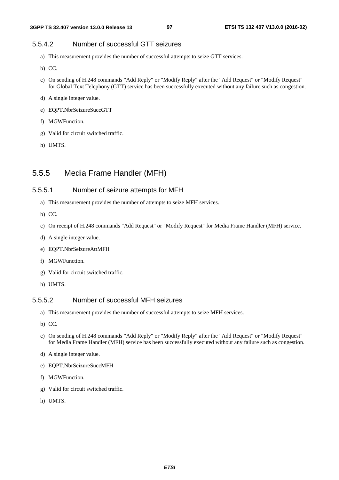### 5.5.4.2 Number of successful GTT seizures

- a) This measurement provides the number of successful attempts to seize GTT services.
- b) CC.
- c) On sending of H.248 commands "Add Reply" or "Modify Reply" after the "Add Request" or "Modify Request" for Global Text Telephony (GTT) service has been successfully executed without any failure such as congestion.
- d) A single integer value.
- e) EQPT.NbrSeizureSuccGTT
- f) MGWFunction.
- g) Valid for circuit switched traffic.
- h) UMTS.

# 5.5.5 Media Frame Handler (MFH)

### 5.5.5.1 Number of seizure attempts for MFH

- a) This measurement provides the number of attempts to seize MFH services.
- b) CC.
- c) On receipt of H.248 commands "Add Request" or "Modify Request" for Media Frame Handler (MFH) service.
- d) A single integer value.
- e) EQPT.NbrSeizureAttMFH
- f) MGWFunction.
- g) Valid for circuit switched traffic.
- h) UMTS.

### 5.5.5.2 Number of successful MFH seizures

- a) This measurement provides the number of successful attempts to seize MFH services.
- b) CC.
- c) On sending of H.248 commands "Add Reply" or "Modify Reply" after the "Add Request" or "Modify Request" for Media Frame Handler (MFH) service has been successfully executed without any failure such as congestion.
- d) A single integer value.
- e) EQPT.NbrSeizureSuccMFH
- f) MGWFunction.
- g) Valid for circuit switched traffic.
- h) UMTS.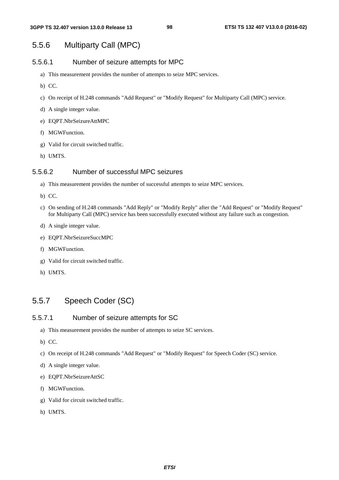# 5.5.6 Multiparty Call (MPC)

#### 5.5.6.1 Number of seizure attempts for MPC

- a) This measurement provides the number of attempts to seize MPC services.
- b) CC.
- c) On receipt of H.248 commands "Add Request" or "Modify Request" for Multiparty Call (MPC) service.
- d) A single integer value.
- e) EQPT.NbrSeizureAttMPC
- f) MGWFunction.
- g) Valid for circuit switched traffic.
- h) UMTS.

### 5.5.6.2 Number of successful MPC seizures

- a) This measurement provides the number of successful attempts to seize MPC services.
- b) CC.
- c) On sending of H.248 commands "Add Reply" or "Modify Reply" after the "Add Request" or "Modify Request" for Multiparty Call (MPC) service has been successfully executed without any failure such as congestion.
- d) A single integer value.
- e) EQPT.NbrSeizureSuccMPC
- f) MGWFunction.
- g) Valid for circuit switched traffic.
- h) UMTS.

# 5.5.7 Speech Coder (SC)

### 5.5.7.1 Number of seizure attempts for SC

- a) This measurement provides the number of attempts to seize SC services.
- b) CC.
- c) On receipt of H.248 commands "Add Request" or "Modify Request" for Speech Coder (SC) service.
- d) A single integer value.
- e) EQPT.NbrSeizureAttSC
- f) MGWFunction.
- g) Valid for circuit switched traffic.
- h) UMTS.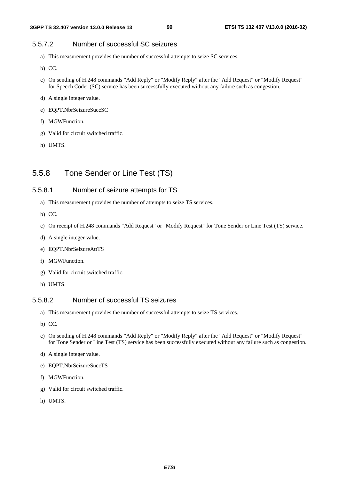### 5.5.7.2 Number of successful SC seizures

- a) This measurement provides the number of successful attempts to seize SC services.
- b) CC.
- c) On sending of H.248 commands "Add Reply" or "Modify Reply" after the "Add Request" or "Modify Request" for Speech Coder (SC) service has been successfully executed without any failure such as congestion.
- d) A single integer value.
- e) EQPT.NbrSeizureSuccSC
- f) MGWFunction.
- g) Valid for circuit switched traffic.
- h) UMTS.

# 5.5.8 Tone Sender or Line Test (TS)

### 5.5.8.1 Number of seizure attempts for TS

- a) This measurement provides the number of attempts to seize TS services.
- b) CC.
- c) On receipt of H.248 commands "Add Request" or "Modify Request" for Tone Sender or Line Test (TS) service.
- d) A single integer value.
- e) EQPT.NbrSeizureAttTS
- f) MGWFunction.
- g) Valid for circuit switched traffic.
- h) UMTS.

#### 5.5.8.2 Number of successful TS seizures

- a) This measurement provides the number of successful attempts to seize TS services.
- b) CC.
- c) On sending of H.248 commands "Add Reply" or "Modify Reply" after the "Add Request" or "Modify Request" for Tone Sender or Line Test (TS) service has been successfully executed without any failure such as congestion.
- d) A single integer value.
- e) EQPT.NbrSeizureSuccTS
- f) MGWFunction.
- g) Valid for circuit switched traffic.
- h) UMTS.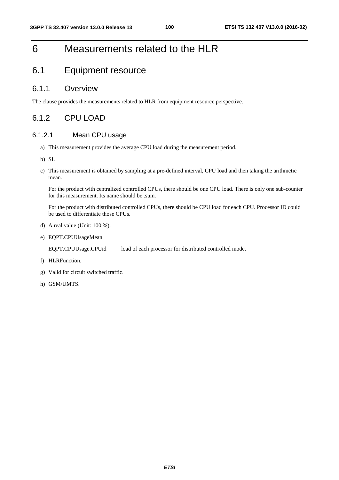# 6 Measurements related to the HLR

# 6.1 Equipment resource

### 6.1.1 Overview

The clause provides the measurements related to HLR from equipment resource perspective.

# 6.1.2 CPU LOAD

### 6.1.2.1 Mean CPU usage

- a) This measurement provides the average CPU load during the measurement period.
- b) SI.
- c) This measurement is obtained by sampling at a pre-defined interval, CPU load and then taking the arithmetic mean.

 For the product with centralized controlled CPUs, there should be one CPU load. There is only one sub-counter for this measurement. Its name should be .sum.

 For the product with distributed controlled CPUs, there should be CPU load for each CPU. Processor ID could be used to differentiate those CPUs.

- d) A real value (Unit: 100 %).
- e) EQPT.CPUUsageMean.

EQPT.CPUUsage.CPUid load of each processor for distributed controlled mode.

- f) HLRFunction.
- g) Valid for circuit switched traffic.
- h) GSM/UMTS.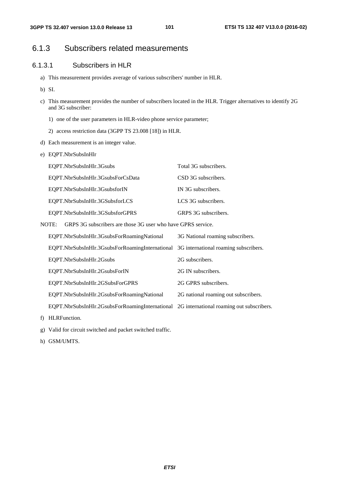# 6.1.3 Subscribers related measurements

### 6.1.3.1 Subscribers in HLR

- a) This measurement provides average of various subscribers' number in HLR.
- b) SI.
- c) This measurement provides the number of subscribers located in the HLR. Trigger alternatives to identify 2G and 3G subscriber:
	- 1) one of the user parameters in HLR-video phone service parameter;
	- 2) access restriction data (3GPP TS 23.008 [18]) in HLR.
- d) Each measurement is an integer value.
- e) EQPT.NbrSubsInHlr

| EQPT.NbrSubsInHlr.3Gsubs          | Total 3G subscribers. |
|-----------------------------------|-----------------------|
| EQPT.NbrSubsInHlr.3GsubsForCsData | CSD 3G subscribers.   |
| EQPT.NbrSubsInHlr.3GsubsforIN     | IN 3G subscribers.    |
| EQPT.NbrSubsInHlr.3GSubsforLCS    | LCS 3G subscribers.   |
| EQPT.NbrSubsInHlr.3GSubsforGPRS   | GRPS 3G subscribers.  |

NOTE: GRPS 3G subscribers are those 3G user who have GPRS service.

| EQPT.NbrSubsInHlr.3GsubsForRoamingNational                                                | 3G National roaming subscribers.     |
|-------------------------------------------------------------------------------------------|--------------------------------------|
| EQPT.NbrSubsInHlr.3GsubsForRoamingInternational 3G international roaming subscribers.     |                                      |
| EOPT.NbrSubsInHlr.2Gsubs                                                                  | 2G subscribers.                      |
| EOPT.NbrSubsInHlr.2GsubsForIN                                                             | 2G IN subscribers.                   |
| EOPT.NbrSubsInHlr.2GSubsForGPRS                                                           | 2G GPRS subscribers.                 |
| EQPT.NbrSubsInHlr.2GsubsForRoamingNational                                                | 2G national roaming out subscribers. |
| EQPT.NbrSubsInHlr.2GsubsForRoamingInternational 2G international roaming out subscribers. |                                      |
|                                                                                           |                                      |

- f) HLRFunction.
- g) Valid for circuit switched and packet switched traffic.
- h) GSM/UMTS.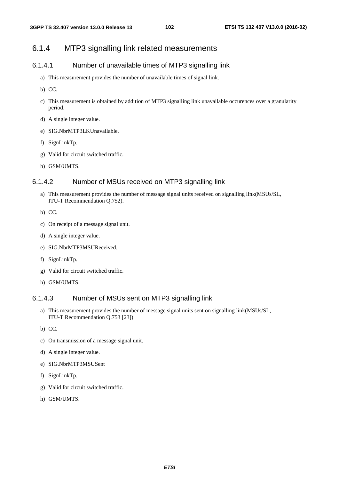# 6.1.4 MTP3 signalling link related measurements

### 6.1.4.1 Number of unavailable times of MTP3 signalling link

- a) This measurement provides the number of unavailable times of signal link.
- b) CC.
- c) This measurement is obtained by addition of MTP3 signalling link unavailable occurences over a granularity period.
- d) A single integer value.
- e) SIG.NbrMTP3LKUnavailable.
- f) SignLinkTp.
- g) Valid for circuit switched traffic.
- h) GSM/UMTS.

### 6.1.4.2 Number of MSUs received on MTP3 signalling link

- a) This measurement provides the number of message signal units received on signalling link(MSUs/SL, ITU-T Recommendation Q.752).
- b) CC.
- c) On receipt of a message signal unit.
- d) A single integer value.
- e) SIG.NbrMTP3MSUReceived.
- f) SignLinkTp.
- g) Valid for circuit switched traffic.
- h) GSM/UMTS.

#### 6.1.4.3 Number of MSUs sent on MTP3 signalling link

- a) This measurement provides the number of message signal units sent on signalling link(MSUs/SL, ITU-T Recommendation Q.753 [23]).
- b) CC.
- c) On transmission of a message signal unit.
- d) A single integer value.
- e) SIG.NbrMTP3MSUSent
- f) SignLinkTp.
- g) Valid for circuit switched traffic.
- h) GSM/UMTS.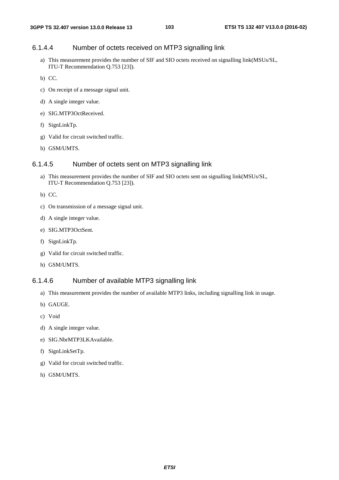### 6.1.4.4 Number of octets received on MTP3 signalling link

- a) This measurement provides the number of SIF and SIO octets received on signalling link(MSUs/SL, ITU-T Recommendation Q.753 [23]).
- b) CC.
- c) On receipt of a message signal unit.
- d) A single integer value.
- e) SIG.MTP3OctReceived.
- f) SignLinkTp.
- g) Valid for circuit switched traffic.
- h) GSM/UMTS.

#### 6.1.4.5 Number of octets sent on MTP3 signalling link

- a) This measurement provides the number of SIF and SIO octets sent on signalling link(MSUs/SL, ITU-T Recommendation Q.753 [23]).
- b) CC.
- c) On transmission of a message signal unit.
- d) A single integer value.
- e) SIG.MTP3OctSent.
- f) SignLinkTp.
- g) Valid for circuit switched traffic.
- h) GSM/UMTS.

### 6.1.4.6 Number of available MTP3 signalling link

- a) This measurement provides the number of available MTP3 links, including signalling link in usage.
- b) GAUGE.
- c) Void
- d) A single integer value.
- e) SIG.NbrMTP3LKAvailable.
- f) SignLinkSetTp.
- g) Valid for circuit switched traffic.
- h) GSM/UMTS.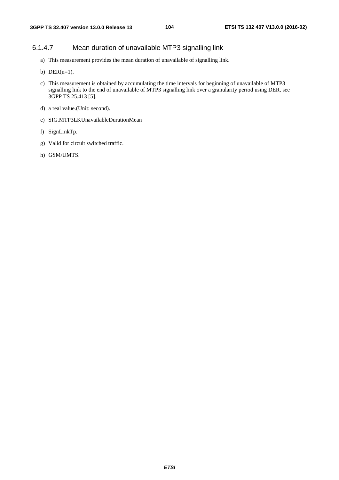### 6.1.4.7 Mean duration of unavailable MTP3 signalling link

- a) This measurement provides the mean duration of unavailable of signalling link.
- b) DER $(n=1)$ .
- c) This measurement is obtained by accumulating the time intervals for beginning of unavailable of MTP3 signalling link to the end of unavailable of MTP3 signalling link over a granularity period using DER, see 3GPP TS 25.413 [5].
- d) a real value.(Unit: second).
- e) SIG.MTP3LKUnavailableDurationMean
- f) SignLinkTp.
- g) Valid for circuit switched traffic.
- h) GSM/UMTS.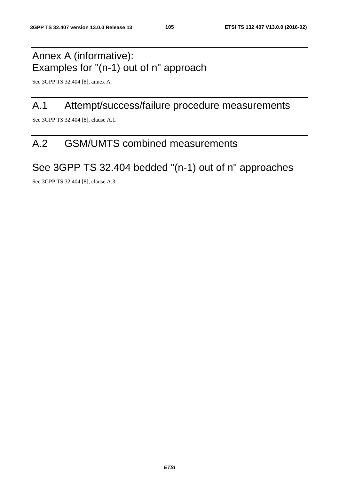# Annex A (informative): Examples for "(n-1) out of n" approach

See 3GPP TS 32.404 [8], annex A.

# A.1 Attempt/success/failure procedure measurements

See 3GPP TS 32.404 [8], clause A.1.

# A.2 GSM/UMTS combined measurements

# See 3GPP TS 32.404 bedded "(n-1) out of n" approaches

See 3GPP TS 32.404 [8], clause A.3.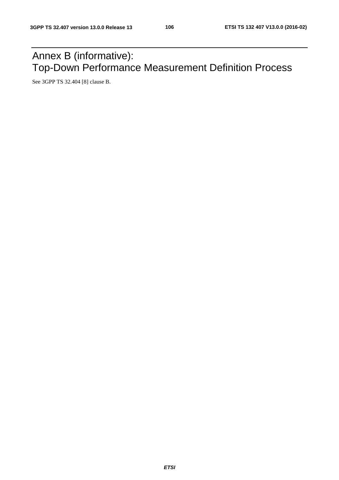# Annex B (informative): Top-Down Performance Measurement Definition Process

See 3GPP TS 32.404 [8] clause B.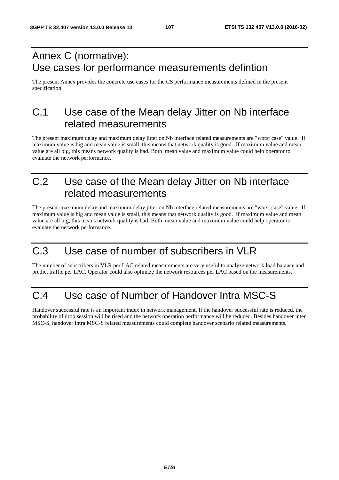# Annex C (normative): Use cases for performance measurements defintion

The present Annex provides the concrete use cases for the CS performance measurements defined in the present specification.

# C.1 Use case of the Mean delay Jitter on Nb interface related measurements

The present maximum delay and maximum delay jitter on Nb interface related measurements are "worst case" value. If maximum value is big and mean value is small, this means that network quality is good. If maximum value and mean value are all big, this means network quality is bad. Both mean value and maximum value could help operator to evaluate the network performance.

# C.2 Use case of the Mean delay Jitter on Nb interface related measurements

The present maximum delay and maximum delay jitter on Nb interface related measurements are "worst case" value. If maximum value is big and mean value is small, this means that network quality is good. If maximum value and mean value are all big, this means network quality is bad. Both mean value and maximum value could help operator to evaluate the network performance.

# C.3 Use case of number of subscribers in VLR

The number of subscribers in VLR per LAC related measurements are very useful to analyze network load balance and predict traffic per LAC. Operator could also optimize the network resources per LAC based on the measurements.

# C.4 Use case of Number of Handover Intra MSC-S

Handover successful rate is an important index in network management. If the handover successful rate is reduced, the probability of drop session will be rised and the network operation performance will be reduced. Besides handover inter MSC-S, handover intra MSC-S related measurements could complete handover scenario related measurements.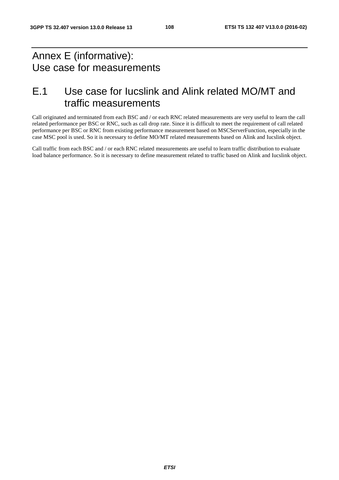## Annex E (informative): Use case for measurements

### E.1 Use case for Iucslink and Alink related MO/MT and traffic measurements

Call originated and terminated from each BSC and / or each RNC related measurements are very useful to learn the call related performance per BSC or RNC, such as call drop rate. Since it is difficult to meet the requirement of call related performance per BSC or RNC from existing performance measurement based on MSCServerFunction, especially in the case MSC pool is used. So it is necessary to define MO/MT related measurements based on Alink and Iucslink object.

Call traffic from each BSC and / or each RNC related measurements are useful to learn traffic distribution to evaluate load balance performance. So it is necessary to define measurement related to traffic based on Alink and Iucslink object.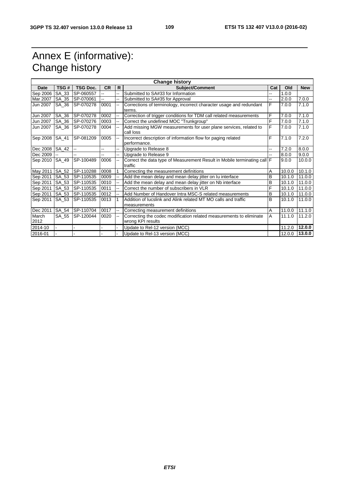## Annex E (informative): Change history

| <b>Change history</b> |       |                 |           |                          |                                                                                          |     |        |            |  |
|-----------------------|-------|-----------------|-----------|--------------------------|------------------------------------------------------------------------------------------|-----|--------|------------|--|
| <b>Date</b>           | TSG#  | <b>TSG Doc.</b> | <b>CR</b> | R                        | <b>Subject/Comment</b>                                                                   | Cat | Old    | <b>New</b> |  |
| Sep 2006              | SA_33 | SP-060557       |           | ż,                       | Submitted to SA#33 for Information                                                       |     | 1.0.0  |            |  |
| Mar 2007 SA_35        |       | SP-070061       | Ξ.        | $\overline{\phantom{a}}$ | Submitted to SA#35 for Approval                                                          |     | 2.0.0  | 7.0.0      |  |
| Jun 2007              | SA 36 | SP-070278       | 0001      | ш.                       | Corrections of terminology, incorrect character usage and redundant<br>terms.            | F   | 7.0.0  | 7.1.0      |  |
| Jun $2007$            | SA_36 | SP-070278       | 0002      | $\overline{\phantom{a}}$ | Correction of trigger conditions for TDM call related measurements                       | F   | 7.0.0  | 7.1.0      |  |
| Jun 2007              | SA 36 | SP-070276       | 0003      |                          | Correct the undefined MOC "Trunkgroup"                                                   | F   | 7.0.0  | 7.1.0      |  |
| Jun 2007              | SA_36 | SP-070278       | 0004      |                          | Add missing MGW measurements for user plane services, related to<br>call loss            | F   | 7.0.0  | 7.1.0      |  |
| Sep 2008   SA_41      |       | SP-081209       | 0005      | ÷.                       | Incorrect description of information flow for paging related<br>performance.             | F   | 7.1.0  | 7.2.0      |  |
| Dec 2008              | SA_42 |                 | --        | --                       | Upgrade to Release 8                                                                     |     | 7.2.0  | 8.0.0      |  |
| Dec 2009              |       |                 | --        | $\overline{a}$           | Upgrade to Release 9                                                                     |     | 8.0.0  | 9.0.0      |  |
| Sep 2010              | SA_49 | SP-100489       | 0006      | $\overline{\phantom{a}}$ | Correct the data type of Measurement Result in Mobile terminating call F<br>traffic      |     | 9.0.0  | 10.0.0     |  |
| May 2011 SA_52        |       | SP-110288       | 0008      |                          | Correcting the measurement definitions                                                   | Α   | 10.0.0 | 10.1.0     |  |
| Sep 2011 SA_53        |       | SP-110535       | 0009      | $\overline{\phantom{a}}$ | Add the mean delay and mean delay jitter on lu interface                                 | B   | 10.1.0 | 11.0.0     |  |
| Sep 2011   SA_53      |       | SP-110535       | 0010      |                          | Add the mean delay and mean delay jitter on Nb interface                                 | B   | 10.1.0 | 11.0.0     |  |
| Sep 2011 SA_53        |       | SP-110535       | 0011      |                          | Correct the number of subscribers in VLR                                                 | F   | 10.1.0 | 11.0.0     |  |
| Sep 2011   SA_53      |       | SP-110535       | 0012      |                          | Add Number of Handover Intra MSC-S related measurements                                  | B   | 10.1.0 | 11.0.0     |  |
| Sep 2011              | SA_53 | SP-110535       | 0013      |                          | Addition of Jucslink and Alink related MT MO calls and traffic<br>measurements           | B   | 10.1.0 | 11.0.0     |  |
| Dec 2011              | SA_54 | SP-110704       | 0017      | $\overline{\phantom{a}}$ | Correcting measurement definitions                                                       | Α   | 11.0.0 | 11.1.0     |  |
| March<br>2012         | SA 55 | SP-120044       | 0020      |                          | Correcting the codec modification related measurements to eliminate<br>wrong KPI results | A   | 11.1.0 | 11.2.0     |  |
| 2014-10               |       |                 |           |                          | Update to Rel-12 version (MCC)                                                           |     | 11.2.0 | 12.0.0     |  |
| 2016-01               |       |                 |           |                          | Update to Rel-13 version (MCC)                                                           |     | 12.0.0 | 13.0.0     |  |